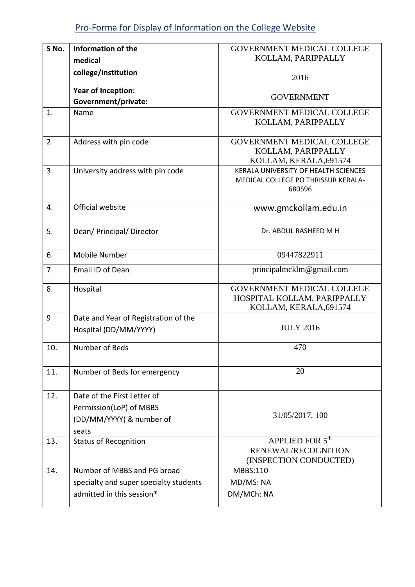| S No. | Information of the                     | <b>GOVERNMENT MEDICAL COLLEGE</b>                                                          |
|-------|----------------------------------------|--------------------------------------------------------------------------------------------|
|       | medical                                | KOLLAM, PARIPPALLY                                                                         |
|       | college/institution                    | 2016                                                                                       |
|       | Year of Inception:                     |                                                                                            |
|       | Government/private:                    | <b>GOVERNMENT</b>                                                                          |
| 1.    | Name                                   | <b>GOVERNMENT MEDICAL COLLEGE</b>                                                          |
|       |                                        | KOLLAM, PARIPPALLY                                                                         |
| 2.    | Address with pin code                  | <b>GOVERNMENT MEDICAL COLLEGE</b>                                                          |
|       |                                        | KOLLAM, PARIPPALLY                                                                         |
|       |                                        | KOLLAM, KERALA, 691574                                                                     |
| 3.    | University address with pin code       | KERALA UNIVERSITY OF HEALTH SCIENCES<br>MEDICAL COLLEGE PO THRISSUR KERALA-                |
|       |                                        | 680596                                                                                     |
|       |                                        |                                                                                            |
| 4.    | Official website                       | www.gmckollam.edu.in                                                                       |
| 5.    | Dean/ Principal/ Director              | Dr. ABDUL RASHEED M H                                                                      |
| 6.    | <b>Mobile Number</b>                   | 09447822911                                                                                |
| 7.    | Email ID of Dean                       | principalmcklm@gmail.com                                                                   |
| 8.    | Hospital                               | <b>GOVERNMENT MEDICAL COLLEGE</b><br>HOSPITAL KOLLAM, PARIPPALLY<br>KOLLAM, KERALA, 691574 |
| 9     | Date and Year of Registration of the   |                                                                                            |
|       | Hospital (DD/MM/YYYY)                  | <b>JULY 2016</b>                                                                           |
| 10.   | Number of Beds                         | 470                                                                                        |
| 11.   | Number of Beds for emergency           | 20                                                                                         |
| 12.   | Date of the First Letter of            |                                                                                            |
|       | Permission(LoP) of MBBS                |                                                                                            |
|       | (DD/MM/YYYY) & number of               | 31/05/2017, 100                                                                            |
|       | seats                                  |                                                                                            |
| 13.   | <b>Status of Recognition</b>           | APPLIED FOR 5 <sup>th</sup>                                                                |
|       |                                        | RENEWAL/RECOGNITION<br>(INSPECTION CONDUCTED)                                              |
| 14.   | Number of MBBS and PG broad            | MBBS:110                                                                                   |
|       | specialty and super specialty students | MD/MS: NA                                                                                  |
|       | admitted in this session*              |                                                                                            |
|       |                                        | DM/MCh: NA                                                                                 |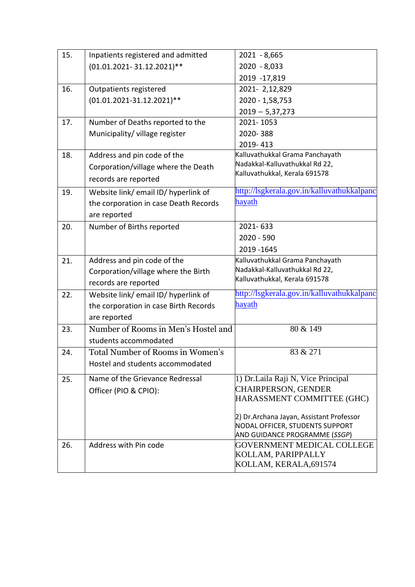| 15. | Inpatients registered and admitted      | $2021 - 8,665$                                                   |
|-----|-----------------------------------------|------------------------------------------------------------------|
|     | (01.01.2021-31.12.2021)**               | 2020 - 8,033                                                     |
|     |                                         | 2019 -17,819                                                     |
| 16. | Outpatients registered                  | 2021-2,12,829                                                    |
|     | $(01.01.2021 - 31.12.2021)$ **          | 2020 - 1,58,753                                                  |
|     |                                         | $2019 - 5,37,273$                                                |
| 17. | Number of Deaths reported to the        | 2021-1053                                                        |
|     | Municipality/ village register          | 2020-388                                                         |
|     |                                         | 2019-413                                                         |
| 18. | Address and pin code of the             | Kalluvathukkal Grama Panchayath                                  |
|     | Corporation/village where the Death     | Nadakkal-Kalluvathukkal Rd 22,                                   |
|     | records are reported                    | Kalluvathukkal, Kerala 691578                                    |
| 19. | Website link/ email ID/ hyperlink of    | http://lsgkerala.gov.in/kalluvathukkalpanc                       |
|     | the corporation in case Death Records   | hayath                                                           |
|     | are reported                            |                                                                  |
| 20. | Number of Births reported               | 2021-633                                                         |
|     |                                         | $2020 - 590$                                                     |
|     |                                         | 2019 - 1645                                                      |
| 21. | Address and pin code of the             | Kalluvathukkal Grama Panchayath                                  |
|     | Corporation/village where the Birth     | Nadakkal-Kalluvathukkal Rd 22,                                   |
|     | records are reported                    | Kalluvathukkal, Kerala 691578                                    |
| 22. | Website link/email ID/hyperlink of      | http://lsgkerala.gov.in/kalluvathukkalpanc                       |
|     | the corporation in case Birth Records   | hayath                                                           |
|     | are reported                            |                                                                  |
| 23. | Number of Rooms in Men's Hostel and     | 80 & 149                                                         |
|     | students accommodated                   |                                                                  |
| 24. | <b>Total Number of Rooms in Women's</b> | 83 & 271                                                         |
|     | Hostel and students accommodated        |                                                                  |
| 25. | Name of the Grievance Redressal         | 1) Dr.Laila Raji N, Vice Principal                               |
|     | Officer (PIO & CPIO):                   | <b>CHAIRPERSON, GENDER</b>                                       |
|     |                                         | HARASSMENT COMMITTEE (GHC)                                       |
|     |                                         |                                                                  |
|     |                                         | 2) Dr.Archana Jayan, Assistant Professor                         |
|     |                                         | NODAL OFFICER, STUDENTS SUPPORT<br>AND GUIDANCE PROGRAMME (SSGP) |
| 26. | Address with Pin code                   | <b>GOVERNMENT MEDICAL COLLEGE</b>                                |
|     |                                         | KOLLAM, PARIPPALLY                                               |
|     |                                         | KOLLAM, KERALA, 691574                                           |
|     |                                         |                                                                  |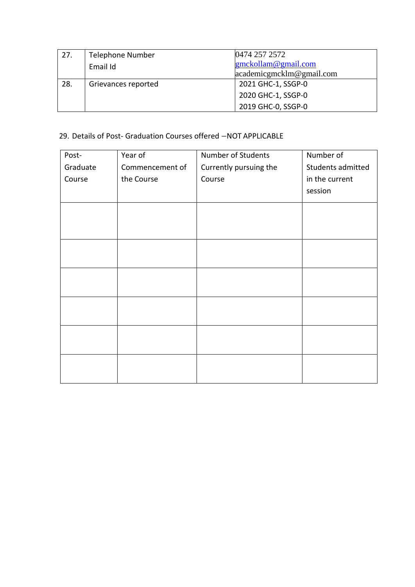| 27. | <b>Telephone Number</b><br>Email Id | 0474 257 2572<br>grmckollam@gmail.com<br>$\alpha$ academicgmcklm@gmail.com |
|-----|-------------------------------------|----------------------------------------------------------------------------|
| 28. | Grievances reported                 | 2021 GHC-1, SSGP-0<br>2020 GHC-1, SSGP-0                                   |
|     |                                     | 2019 GHC-0, SSGP-0                                                         |

### 29. Details of Post- Graduation Courses offered –NOT APPLICABLE

| Post-    | Year of         | Number of Students     | Number of         |
|----------|-----------------|------------------------|-------------------|
| Graduate | Commencement of | Currently pursuing the | Students admitted |
| Course   | the Course      | Course                 | in the current    |
|          |                 |                        | session           |
|          |                 |                        |                   |
|          |                 |                        |                   |
|          |                 |                        |                   |
|          |                 |                        |                   |
|          |                 |                        |                   |
|          |                 |                        |                   |
|          |                 |                        |                   |
|          |                 |                        |                   |
|          |                 |                        |                   |
|          |                 |                        |                   |
|          |                 |                        |                   |
|          |                 |                        |                   |
|          |                 |                        |                   |
|          |                 |                        |                   |
|          |                 |                        |                   |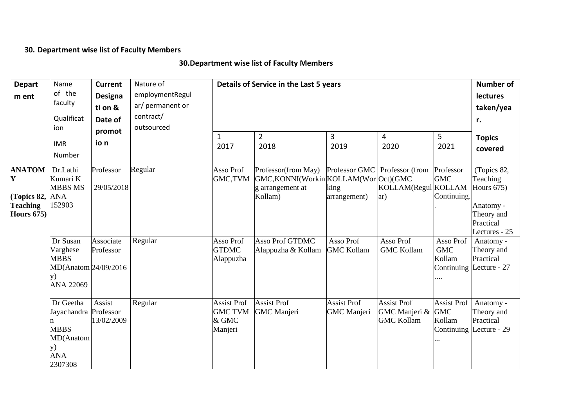# **30. Department wise list of Faculty Members**

# **30.Department wise list of Faculty Members**

| <b>Depart</b>                                                             | Name                                                                                  | <b>Current</b>                    | Nature of        |                                                          | Details of Service in the Last 5 years                                                      |                                          |                                                             |                                            | <b>Number of</b>                                                                 |  |  |
|---------------------------------------------------------------------------|---------------------------------------------------------------------------------------|-----------------------------------|------------------|----------------------------------------------------------|---------------------------------------------------------------------------------------------|------------------------------------------|-------------------------------------------------------------|--------------------------------------------|----------------------------------------------------------------------------------|--|--|
| m ent                                                                     | of the                                                                                | Designa                           | employmentRegul  |                                                          |                                                                                             |                                          |                                                             |                                            | <b>lectures</b>                                                                  |  |  |
|                                                                           | faculty                                                                               | ti on &                           | ar/ permanent or |                                                          |                                                                                             |                                          |                                                             |                                            | taken/yea                                                                        |  |  |
|                                                                           | Qualificat                                                                            | Date of                           | contract/        |                                                          |                                                                                             |                                          |                                                             |                                            |                                                                                  |  |  |
|                                                                           | ion                                                                                   | promot                            | outsourced       |                                                          |                                                                                             |                                          |                                                             |                                            |                                                                                  |  |  |
|                                                                           | <b>IMR</b><br>Number                                                                  | io n                              |                  | $\mathbf{1}$<br>2017                                     | $\overline{2}$<br>2018                                                                      | 3<br>2019                                | $\overline{4}$<br>2020                                      | 5<br>2021                                  | <b>Topics</b><br>covered                                                         |  |  |
| <b>ANATOM</b><br>Y<br>(Topics 82,<br><b>Teaching</b><br><b>Hours 675)</b> | Dr.Lathi<br>Kumari K<br><b>MBBS MS</b><br><b>ANA</b><br>152903                        | Professor<br>29/05/2018           | Regular          | Asso Prof<br>GMC,TVM                                     | Professor(from May)<br>GMC, KONNI(Workin KOLLAM(Wor Oct)(GMC<br>g arrangement at<br>Kollam) | king<br>arrangement)                     | Professor GMC Professor (from<br>KOLLAM(Regul KOLLAM<br>ar) | Professor<br><b>GMC</b><br>Continuing.     | (Topics 82,<br>Teaching<br>Hours $675$ )<br>Anatomy -<br>Theory and<br>Practical |  |  |
|                                                                           | Dr Susan<br>Varghese<br><b>MBBS</b><br>MD(Anatom 24/09/2016<br>y)<br><b>ANA 22069</b> | Associate<br>Professor            | Regular          | Asso Prof<br><b>GTDMC</b><br>Alappuzha                   | <b>Asso Prof GTDMC</b><br>Alappuzha & Kollam                                                | Asso Prof<br><b>GMC Kollam</b>           | Asso Prof<br><b>GMC Kollam</b>                              | Asso Prof<br><b>GMC</b><br>Kollam          | Lectures - 25<br>Anatomy -<br>Theory and<br>Practical<br>Continuing Lecture - 27 |  |  |
|                                                                           | Dr Geetha<br>Jayachandra<br><b>MBBS</b><br>MD(Anatom<br>y)<br><b>ANA</b><br>2307308   | Assist<br>Professor<br>13/02/2009 | Regular          | <b>Assist Prof</b><br><b>GMC TVM</b><br>& GMC<br>Manjeri | <b>Assist Prof</b><br><b>GMC</b> Manjeri                                                    | <b>Assist Prof</b><br><b>GMC</b> Manjeri | <b>Assist Prof</b><br>GMC Manjeri &<br><b>GMC Kollam</b>    | <b>Assist Prof</b><br><b>GMC</b><br>Kollam | Anatomy -<br>Theory and<br>Practical<br>Continuing Lecture - 29                  |  |  |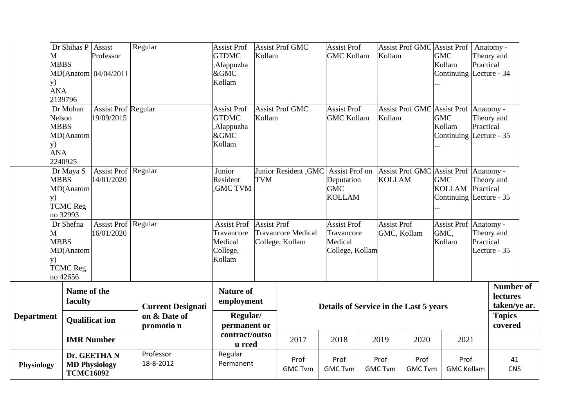| M<br><b>y</b> )   | Dr Shihas P Assist<br><b>MBBS</b><br><b>ANA</b><br>2139796              | Professor<br>MD(Anatom 04/04/2011        | Regular                                                | <b>Assist Prof</b><br><b>GTDMC</b><br>,Alappuzha<br>&GMC<br>Kollam | Kollam                                                     | <b>Assist Prof GMC</b>                       | <b>Assist Prof</b><br><b>GMC Kollam</b>                        |                        | Kollam                                 |                        | Assist Prof GMC Assist Prof   Anatomy -<br><b>GMC</b><br>Kollam<br>Continuing Lecture - 34 | Practical | Theory and                                                               |  |
|-------------------|-------------------------------------------------------------------------|------------------------------------------|--------------------------------------------------------|--------------------------------------------------------------------|------------------------------------------------------------|----------------------------------------------|----------------------------------------------------------------|------------------------|----------------------------------------|------------------------|--------------------------------------------------------------------------------------------|-----------|--------------------------------------------------------------------------|--|
| y)                | Dr Mohan<br>Nelson<br><b>MBBS</b><br>MD(Anatom<br><b>ANA</b><br>2240925 | <b>Assist Prof Regular</b><br>19/09/2015 |                                                        | <b>Assist Prof</b><br><b>GTDMC</b><br>Alappuzha,<br>&GMC<br>Kollam | Kollam                                                     | <b>Assist Prof GMC</b>                       | <b>Assist Prof</b><br><b>GMC Kollam</b>                        |                        | Kollam                                 |                        | Assist Prof GMC Assist Prof Anatomy -<br><b>GMC</b><br>Kollam<br>Continuing Lecture - 35   | Practical | Theory and                                                               |  |
| y)                | Dr Maya S<br><b>MBBS</b><br>MD(Anatom<br><b>TCMC Reg</b><br>no 32993    | Assist Prof Regular<br>14/01/2020        |                                                        | Junior<br>Resident<br><b>GMC TVM</b>                               | <b>TVM</b>                                                 | Junior Resident , GMC Assist Prof on         | Deputation<br><b>GMC</b><br><b>KOLLAM</b>                      |                        | <b>KOLLAM</b>                          | <b>Assist Prof GMC</b> | Assist Prof Anatomy -<br><b>GMC</b><br>KOLLAM Practical<br>Continuing Lecture - 35         |           | Theory and                                                               |  |
| M<br>y)           | Dr Shefna<br><b>MBBS</b><br>MD(Anatom<br><b>TCMC Reg</b><br>no 42656    | Assist Prof   Regular<br>16/01/2020      |                                                        | <b>Assist Prof</b><br>Travancore<br>Medical<br>College,<br>Kollam  | <b>Assist Prof</b>                                         | <b>Travancore Medical</b><br>College, Kollam | <b>Assist Prof</b><br>Travancore<br>Medical<br>College, Kollam |                        | <b>Assist Prof</b>                     | GMC, Kollam            | Assist Prof   Anatomy -<br>GMC,<br>Kollam                                                  | Practical | Theory and<br>Lecture - 35                                               |  |
| <b>Department</b> | Name of the<br>faculty<br><b>Qualificat ion</b>                         |                                          | <b>Current Designati</b><br>on & Date of<br>promotio n |                                                                    | <b>Nature of</b><br>employment<br>Regular/<br>permanent or |                                              |                                                                |                        | Details of Service in the Last 5 years |                        |                                                                                            |           | Number of<br><b>lectures</b><br>taken/ye ar.<br><b>Topics</b><br>covered |  |
|                   | <b>IMR Number</b>                                                       |                                          |                                                        | contract/outso<br>u rced                                           |                                                            | 2017                                         | 2018                                                           | 2019                   |                                        | 2020                   | 2021                                                                                       |           |                                                                          |  |
| <b>Physiology</b> | <b>TCMC16092</b>                                                        | Dr. GEETHAN<br><b>MD Physiology</b>      | Professor<br>18-8-2012                                 | Regular<br>Permanent                                               |                                                            | Prof<br><b>GMC Tvm</b>                       | Prof<br><b>GMC Tvm</b>                                         | Prof<br><b>GMC Tvm</b> |                                        | Prof<br><b>GMC Tvm</b> | Prof<br><b>GMC Kollam</b>                                                                  |           | 41<br><b>CNS</b>                                                         |  |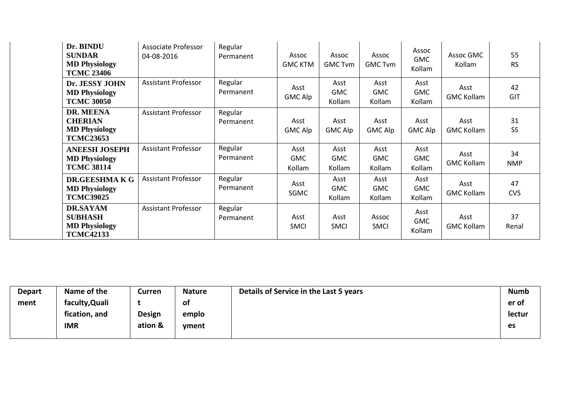| Dr. BINDU<br><b>SUNDAR</b><br><b>MD Physiology</b><br><b>TCMC 23406</b>       | Associate Professor<br>04-08-2016 | Regular<br>Permanent | Assoc<br><b>GMC KTM</b>      | Assoc<br><b>GMC Tvm</b>      | Assoc<br><b>GMC Tvm</b>      | Assoc<br><b>GMC</b><br>Kollam | Assoc GMC<br>Kollam       | 55<br><b>RS</b>  |
|-------------------------------------------------------------------------------|-----------------------------------|----------------------|------------------------------|------------------------------|------------------------------|-------------------------------|---------------------------|------------------|
| Dr. JESSY JOHN<br><b>MD Physiology</b><br><b>TCMC 30050</b>                   | <b>Assistant Professor</b>        | Regular<br>Permanent | Asst<br>GMC Alp              | Asst<br><b>GMC</b><br>Kollam | Asst<br><b>GMC</b><br>Kollam | Asst<br><b>GMC</b><br>Kollam  | Asst<br><b>GMC Kollam</b> | 42<br>GIT        |
| DR. MEENA<br><b>CHERIAN</b><br><b>MD Physiology</b><br><b>TCMC23653</b>       | <b>Assistant Professor</b>        | Regular<br>Permanent | Asst<br><b>GMC Alp</b>       | Asst<br><b>GMC Alp</b>       | Asst<br><b>GMC Alp</b>       | Asst<br><b>GMC Alp</b>        | Asst<br><b>GMC Kollam</b> | 31<br>SS         |
| <b>ANEESH JOSEPH</b><br><b>MD Physiology</b><br><b>TCMC 38114</b>             | <b>Assistant Professor</b>        | Regular<br>Permanent | Asst<br><b>GMC</b><br>Kollam | Asst<br><b>GMC</b><br>Kollam | Asst<br><b>GMC</b><br>Kollam | Asst<br><b>GMC</b><br>Kollam  | Asst<br><b>GMC Kollam</b> | 34<br><b>NMP</b> |
| DR.GEESHMAKG<br><b>MD Physiology</b><br><b>TCMC39025</b>                      | <b>Assistant Professor</b>        | Regular<br>Permanent | Asst<br>SGMC                 | Asst<br><b>GMC</b><br>Kollam | Asst<br><b>GMC</b><br>Kollam | Asst<br><b>GMC</b><br>Kollam  | Asst<br><b>GMC Kollam</b> | 47<br><b>CVS</b> |
| <b>DR.SAYAM</b><br><b>SUBHASH</b><br><b>MD Physiology</b><br><b>TCMC42133</b> | <b>Assistant Professor</b>        | Regular<br>Permanent | Asst<br><b>SMCI</b>          | Asst<br><b>SMCI</b>          | Assoc<br><b>SMCI</b>         | Asst<br><b>GMC</b><br>Kollam  | Asst<br><b>GMC Kollam</b> | 37<br>Renal      |

| <b>Depart</b> | Name of the    | Curren        | <b>Nature</b> | Details of Service in the Last 5 years | <b>Numb</b> |
|---------------|----------------|---------------|---------------|----------------------------------------|-------------|
| ment          | faculty, Quali |               | οt            |                                        | er of       |
|               | fication, and  | <b>Design</b> | emplo         |                                        | lectur      |
|               | <b>IMR</b>     | ation &       | yment         |                                        | es          |
|               |                |               |               |                                        |             |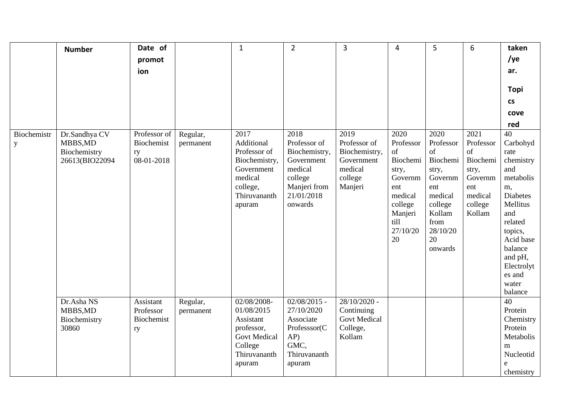|                  | <b>Number</b>                                               | Date of                                        |                       | $\mathbf{1}$                                                                                                       | $\overline{2}$                                                                                                     | 3                                                                                    | $\overline{4}$                                                                                                            | 5                                                                                                                                   | 6                                                                                              | taken                                                                                                                                                                                                    |
|------------------|-------------------------------------------------------------|------------------------------------------------|-----------------------|--------------------------------------------------------------------------------------------------------------------|--------------------------------------------------------------------------------------------------------------------|--------------------------------------------------------------------------------------|---------------------------------------------------------------------------------------------------------------------------|-------------------------------------------------------------------------------------------------------------------------------------|------------------------------------------------------------------------------------------------|----------------------------------------------------------------------------------------------------------------------------------------------------------------------------------------------------------|
|                  |                                                             | promot                                         |                       |                                                                                                                    |                                                                                                                    |                                                                                      |                                                                                                                           |                                                                                                                                     |                                                                                                | /ye                                                                                                                                                                                                      |
|                  |                                                             | ion                                            |                       |                                                                                                                    |                                                                                                                    |                                                                                      |                                                                                                                           |                                                                                                                                     |                                                                                                | ar.                                                                                                                                                                                                      |
|                  |                                                             |                                                |                       |                                                                                                                    |                                                                                                                    |                                                                                      |                                                                                                                           |                                                                                                                                     |                                                                                                |                                                                                                                                                                                                          |
|                  |                                                             |                                                |                       |                                                                                                                    |                                                                                                                    |                                                                                      |                                                                                                                           |                                                                                                                                     |                                                                                                | <b>Topi</b>                                                                                                                                                                                              |
|                  |                                                             |                                                |                       |                                                                                                                    |                                                                                                                    |                                                                                      |                                                                                                                           |                                                                                                                                     |                                                                                                | $\mathsf{CS}\xspace$                                                                                                                                                                                     |
|                  |                                                             |                                                |                       |                                                                                                                    |                                                                                                                    |                                                                                      |                                                                                                                           |                                                                                                                                     |                                                                                                | cove                                                                                                                                                                                                     |
|                  |                                                             |                                                |                       |                                                                                                                    |                                                                                                                    |                                                                                      |                                                                                                                           |                                                                                                                                     |                                                                                                | red                                                                                                                                                                                                      |
| Biochemistr<br>y | Dr.Sandhya CV<br>MBBS, MD<br>Biochemistry<br>26613(BIO22094 | Professor of<br>Biochemist<br>ry<br>08-01-2018 | Regular,<br>permanent | 2017<br>Additional<br>Professor of<br>Biochemistry,<br>Government<br>medical<br>college,<br>Thiruvananth<br>apuram | 2018<br>Professor of<br>Biochemistry,<br>Government<br>medical<br>college<br>Manjeri from<br>21/01/2018<br>onwards | 2019<br>Professor of<br>Biochemistry,<br>Government<br>medical<br>college<br>Manjeri | 2020<br>Professor<br>of<br>Biochemi<br>stry,<br>Governm<br>ent<br>medical<br>college<br>Manjeri<br>till<br>27/10/20<br>20 | 2020<br>Professor<br>of<br>Biochemi<br>stry,<br>Governm<br>ent<br>medical<br>college<br>Kollam<br>from<br>28/10/20<br>20<br>onwards | 2021<br>Professor<br>of<br>Biochemi<br>stry,<br>Governm<br>ent<br>medical<br>college<br>Kollam | 40<br>Carbohyd<br>rate<br>chemistry<br>and<br>metabolis<br>m,<br><b>Diabetes</b><br>Mellitus<br>and<br>related<br>topics,<br>Acid base<br>balance<br>and pH,<br>Electrolyt<br>es and<br>water<br>balance |
|                  | Dr.Asha NS<br>MBBS, MD<br>Biochemistry<br>30860             | Assistant<br>Professor<br>Biochemist<br>ry     | Regular,<br>permanent | 02/08/2008-<br>01/08/2015<br>Assistant<br>professor,<br><b>Govt Medical</b><br>College<br>Thiruvananth<br>apuram   | $02/08/2015$ -<br>27/10/2020<br>Associate<br>Professsor(C<br>AP)<br>GMC,<br>Thiruvananth<br>apuram                 | $28/10/2020$ -<br>Continuing<br><b>Govt Medical</b><br>College,<br>Kollam            |                                                                                                                           |                                                                                                                                     |                                                                                                | 40<br>Protein<br>Chemistry<br>Protein<br>Metabolis<br>m<br>Nucleotid<br>e<br>chemistry                                                                                                                   |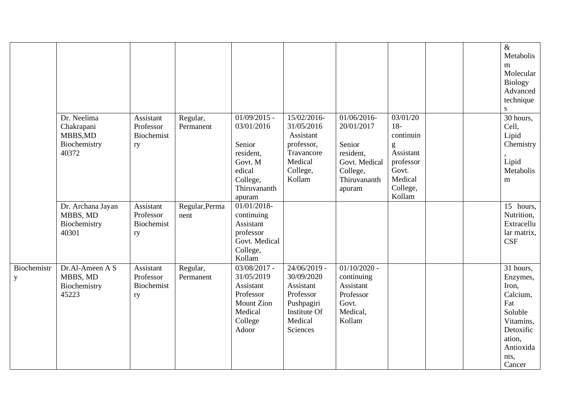|                         |                                                                |                                            |                        |                                                                                                                |                                                                                                             |                                                                                                        |                                                                                                         |  | $\&$<br>Metabolis<br>m<br>Molecular<br><b>Biology</b><br>Advanced<br>technique<br>S                                             |
|-------------------------|----------------------------------------------------------------|--------------------------------------------|------------------------|----------------------------------------------------------------------------------------------------------------|-------------------------------------------------------------------------------------------------------------|--------------------------------------------------------------------------------------------------------|---------------------------------------------------------------------------------------------------------|--|---------------------------------------------------------------------------------------------------------------------------------|
|                         | Dr. Neelima<br>Chakrapani<br>MBBS, MD<br>Biochemistry<br>40372 | Assistant<br>Professor<br>Biochemist<br>ry | Regular,<br>Permanent  | $01/09/2015$ -<br>03/01/2016<br>Senior<br>resident.<br>Govt. M<br>edical<br>College,<br>Thiruvananth<br>apuram | 15/02/2016-<br>31/05/2016<br>Assistant<br>professor,<br>Travancore<br>Medical<br>College,<br>Kollam         | 01/06/2016<br>20/01/2017<br>Senior<br>resident,<br>Govt. Medical<br>College,<br>Thiruvananth<br>apuram | 03/01/20<br>$18-$<br>continuin<br>g<br>Assistant<br>professor<br>Govt.<br>Medical<br>College,<br>Kollam |  | 30 hours,<br>Cell,<br>Lipid<br>Chemistry<br>Lipid<br>Metabolis<br>m                                                             |
|                         | Dr. Archana Jayan<br>MBBS, MD<br>Biochemistry<br>40301         | Assistant<br>Professor<br>Biochemist<br>ry | Regular, Perma<br>nent | $01/01/2018$ -<br>continuing<br>Assistant<br>professor<br>Govt. Medical<br>College,<br>Kollam                  |                                                                                                             |                                                                                                        |                                                                                                         |  | $\overline{15}$ hours,<br>Nutrition,<br>Extracellu<br>lar matrix,<br><b>CSF</b>                                                 |
| <b>Biochemistr</b><br>y | Dr.Al-Ameen A S<br>MBBS, MD<br>Biochemistry<br>45223           | Assistant<br>Professor<br>Biochemist<br>ry | Regular,<br>Permanent  | $03/08/2017$ -<br>31/05/2019<br>Assistant<br>Professor<br><b>Mount Zion</b><br>Medical<br>College<br>Adoor     | $24/06/2019$ -<br>30/09/2020<br>Assistant<br>Professor<br>Pushpagiri<br>Institute Of<br>Medical<br>Sciences | $01/10/2020$ -<br>continuing<br>Assistant<br>Professor<br>Govt.<br>Medical,<br>Kollam                  |                                                                                                         |  | 31 hours,<br>Enzymes,<br>Iron,<br>Calcium,<br>Fat<br>Soluble<br>Vitamins,<br>Detoxific<br>ation,<br>Antioxida<br>nts,<br>Cancer |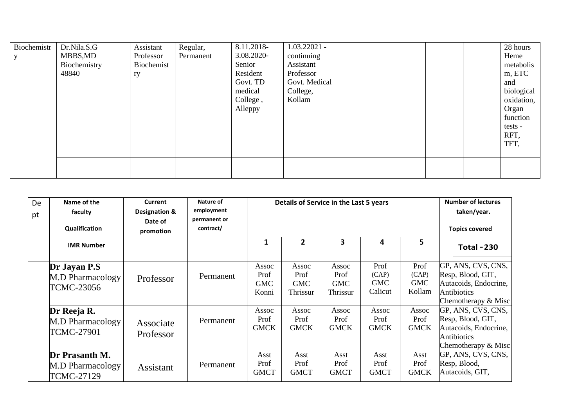| Biochemistr | Dr.Nila.S.G  | Assistant  | Regular,  | 8.11.2018- | $1.03.22021 -$ |  |  | 28 hours   |
|-------------|--------------|------------|-----------|------------|----------------|--|--|------------|
|             | MBBS,MD      | Professor  | Permanent | 3.08.2020- | continuing     |  |  | Heme       |
|             | Biochemistry | Biochemist |           | Senior     | Assistant      |  |  | metabolis  |
|             | 48840        | ry         |           | Resident   | Professor      |  |  | m, ETC     |
|             |              |            |           | Govt. TD   | Govt. Medical  |  |  | and        |
|             |              |            |           | medical    | College,       |  |  | biological |
|             |              |            |           | College,   | Kollam         |  |  | oxidation, |
|             |              |            |           | Alleppy    |                |  |  | Organ      |
|             |              |            |           |            |                |  |  | function   |
|             |              |            |           |            |                |  |  | tests -    |
|             |              |            |           |            |                |  |  | RFT,       |
|             |              |            |           |            |                |  |  | TFT,       |
|             |              |            |           |            |                |  |  |            |
|             |              |            |           |            |                |  |  |            |
|             |              |            |           |            |                |  |  |            |

| De<br>pt | Name of the<br>faculty<br>Qualification                 | Current<br>Designation &<br>Date of<br>promotion | Nature of<br>employment<br>permanent or<br>contract/ |                                      | Details of Service in the Last 5 years  |                                         | <b>Number of lectures</b><br>taken/year.<br><b>Topics covered</b> |                                       |                                                                                                          |
|----------|---------------------------------------------------------|--------------------------------------------------|------------------------------------------------------|--------------------------------------|-----------------------------------------|-----------------------------------------|-------------------------------------------------------------------|---------------------------------------|----------------------------------------------------------------------------------------------------------|
|          | <b>IMR Number</b>                                       |                                                  |                                                      | 1                                    | $\overline{2}$                          | 3                                       | 4                                                                 | 5                                     | <b>Total - 230</b>                                                                                       |
|          | Dr Jayan P.S<br><b>M.D Pharmacology</b><br>TCMC-23056   | Professor                                        | Permanent                                            | Assoc<br>Prof<br><b>GMC</b><br>Konni | Assoc<br>Prof<br><b>GMC</b><br>Thrissur | Assoc<br>Prof<br><b>GMC</b><br>Thrissur | Prof<br>(CAP)<br><b>GMC</b><br>Calicut                            | Prof<br>(CAP)<br><b>GMC</b><br>Kollam | GP, ANS, CVS, CNS,<br>Resp, Blood, GIT,<br>Autacoids, Endocrine,<br>Antibiotics<br>Chemotherapy $&$ Misc |
|          | Dr Reeja R.<br><b>M.D Pharmacology</b><br>TCMC-27901    | Associate<br>Professor                           | Permanent                                            | Assoc<br>Prof<br><b>GMCK</b>         | Assoc<br>Prof<br><b>GMCK</b>            | Assoc<br>Prof<br><b>GMCK</b>            | Assoc<br>Prof<br><b>GMCK</b>                                      | Assoc<br>Prof<br><b>GMCK</b>          | GP, ANS, CVS, CNS,<br>Resp, Blood, GIT,<br>Autacoids, Endocrine,<br>Antibiotics<br>Chemotherapy & Misc   |
|          | Dr Prasanth M.<br><b>M.D Pharmacology</b><br>TCMC-27129 | <b>Assistant</b>                                 | Permanent                                            | Asst<br>Prof<br><b>GMCT</b>          | Asst<br>Prof<br><b>GMCT</b>             | Asst<br>Prof<br><b>GMCT</b>             | Asst<br>Prof<br><b>GMCT</b>                                       | Asst<br>Prof<br><b>GMCK</b>           | GP, ANS, CVS, CNS,<br>Resp, Blood,<br>Autacoids, GIT,                                                    |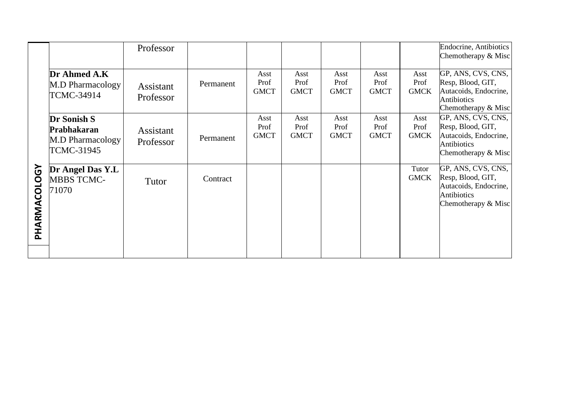|                      |                         | Professor        |           |              |              |              |              |              | Endocrine, Antibiotics<br>Chemotherapy & Misc |
|----------------------|-------------------------|------------------|-----------|--------------|--------------|--------------|--------------|--------------|-----------------------------------------------|
|                      |                         |                  |           |              |              |              |              |              |                                               |
|                      | Dr Ahmed A.K            |                  |           | Asst<br>Prof | Asst<br>Prof | Asst<br>Prof | Asst<br>Prof | Asst<br>Prof | GP, ANS, CVS, CNS,<br>Resp, Blood, GIT,       |
|                      | <b>M.D Pharmacology</b> | <b>Assistant</b> | Permanent | <b>GMCT</b>  | <b>GMCT</b>  | <b>GMCT</b>  | <b>GMCT</b>  | <b>GMCK</b>  | Autacoids, Endocrine,                         |
|                      | TCMC-34914              | Professor        |           |              |              |              |              |              | <b>Antibiotics</b>                            |
|                      |                         |                  |           |              |              |              |              |              | Chemotherapy & Misc                           |
|                      | Dr Sonish S             |                  |           | Asst<br>Prof | Asst<br>Prof | Asst<br>Prof | Asst<br>Prof | Asst<br>Prof | GP, ANS, CVS, CNS,<br>Resp, Blood, GIT,       |
|                      | Prabhakaran             | Assistant        | Permanent | <b>GMCT</b>  | <b>GMCT</b>  | <b>GMCT</b>  | <b>GMCT</b>  | <b>GMCK</b>  | Autacoids, Endocrine,                         |
|                      | <b>M.D Pharmacology</b> | Professor        |           |              |              |              |              |              | Antibiotics                                   |
|                      | <b>TCMC-31945</b>       |                  |           |              |              |              |              |              | Chemotherapy & Misc                           |
| $\mathbf{\tilde{S}}$ | Dr Angel Das Y.L        |                  |           |              |              |              |              | Tutor        | GP, ANS, CVS, CNS,                            |
|                      | <b>MBBS TCMC-</b>       | Tutor            | Contract  |              |              |              |              | <b>GMCK</b>  | Resp, Blood, GIT,                             |
|                      | 71070                   |                  |           |              |              |              |              |              | Autacoids, Endocrine,<br><b>Antibiotics</b>   |
|                      |                         |                  |           |              |              |              |              |              | Chemotherapy & Misc                           |
|                      |                         |                  |           |              |              |              |              |              |                                               |
| PHARMACOLO           |                         |                  |           |              |              |              |              |              |                                               |
|                      |                         |                  |           |              |              |              |              |              |                                               |
|                      |                         |                  |           |              |              |              |              |              |                                               |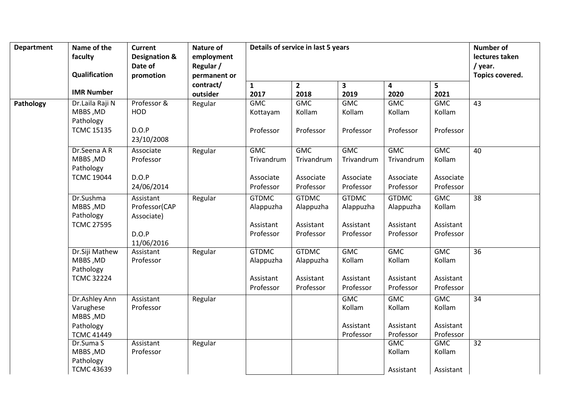| <b>Department</b> | Name of the                                                              | <b>Current</b>                                                  | <b>Nature of</b>        |                                                     | Details of service in last 5 years                  |                                                     |                                                     |                                                | <b>Number of</b>          |
|-------------------|--------------------------------------------------------------------------|-----------------------------------------------------------------|-------------------------|-----------------------------------------------------|-----------------------------------------------------|-----------------------------------------------------|-----------------------------------------------------|------------------------------------------------|---------------------------|
|                   | faculty                                                                  | <b>Designation &amp;</b><br>Date of                             | employment<br>Regular / |                                                     |                                                     |                                                     |                                                     |                                                | lectures taken<br>/ year. |
|                   | Qualification                                                            | promotion                                                       | permanent or            |                                                     |                                                     |                                                     |                                                     |                                                | Topics covered.           |
|                   | <b>IMR Number</b>                                                        |                                                                 | contract/<br>outsider   | $\mathbf{1}$<br>2017                                | $\overline{2}$<br>2018                              | $\mathbf{3}$<br>2019                                | 4<br>2020                                           | 5<br>2021                                      |                           |
| Pathology         | Dr.Laila Raji N<br>MBBS, MD<br>Pathology<br><b>TCMC 15135</b>            | Professor &<br><b>HOD</b><br>D.O.P<br>23/10/2008                | Regular                 | <b>GMC</b><br>Kottayam<br>Professor                 | <b>GMC</b><br>Kollam<br>Professor                   | <b>GMC</b><br>Kollam<br>Professor                   | <b>GMC</b><br>Kollam<br>Professor                   | <b>GMC</b><br>Kollam<br>Professor              | 43                        |
|                   | Dr.Seena A R<br>MBBS, MD<br>Pathology<br><b>TCMC 19044</b>               | Associate<br>Professor<br>D.O.P<br>24/06/2014                   | Regular                 | <b>GMC</b><br>Trivandrum<br>Associate<br>Professor  | <b>GMC</b><br>Trivandrum<br>Associate<br>Professor  | <b>GMC</b><br>Trivandrum<br>Associate<br>Professor  | <b>GMC</b><br>Trivandrum<br>Associate<br>Professor  | <b>GMC</b><br>Kollam<br>Associate<br>Professor | 40                        |
|                   | Dr.Sushma<br>MBBS, MD<br>Pathology<br><b>TCMC 27595</b>                  | Assistant<br>Professor(CAP<br>Associate)<br>D.O.P<br>11/06/2016 | Regular                 | <b>GTDMC</b><br>Alappuzha<br>Assistant<br>Professor | <b>GTDMC</b><br>Alappuzha<br>Assistant<br>Professor | <b>GTDMC</b><br>Alappuzha<br>Assistant<br>Professor | <b>GTDMC</b><br>Alappuzha<br>Assistant<br>Professor | <b>GMC</b><br>Kollam<br>Assistant<br>Professor | $\overline{38}$           |
|                   | Dr.Siji Mathew<br>MBBS, MD<br>Pathology<br><b>TCMC 32224</b>             | Assistant<br>Professor                                          | Regular                 | <b>GTDMC</b><br>Alappuzha<br>Assistant<br>Professor | <b>GTDMC</b><br>Alappuzha<br>Assistant<br>Professor | <b>GMC</b><br>Kollam<br>Assistant<br>Professor      | <b>GMC</b><br>Kollam<br>Assistant<br>Professor      | <b>GMC</b><br>Kollam<br>Assistant<br>Professor | $\overline{36}$           |
|                   | Dr.Ashley Ann<br>Varughese<br>MBBS, MD<br>Pathology<br><b>TCMC 41449</b> | Assistant<br>Professor                                          | Regular                 |                                                     |                                                     | <b>GMC</b><br>Kollam<br>Assistant<br>Professor      | <b>GMC</b><br>Kollam<br>Assistant<br>Professor      | <b>GMC</b><br>Kollam<br>Assistant<br>Professor | 34                        |
|                   | Dr.Suma S<br>MBBS, MD<br>Pathology<br><b>TCMC 43639</b>                  | Assistant<br>Professor                                          | Regular                 |                                                     |                                                     |                                                     | <b>GMC</b><br>Kollam<br>Assistant                   | GMC<br>Kollam<br>Assistant                     | $\overline{32}$           |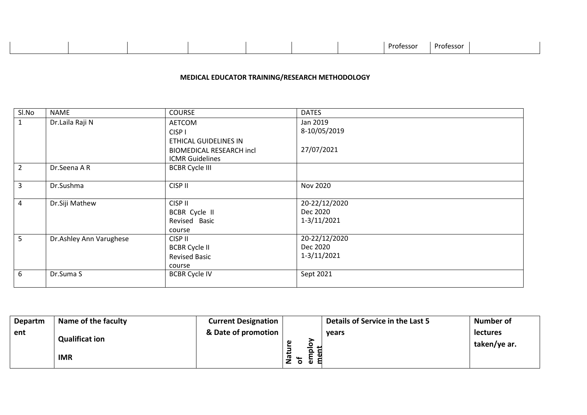|--|

#### **MEDICAL EDUCATOR TRAINING/RESEARCH METHODOLOGY**

| Sl.No           | NAME                    | <b>COURSE</b>                   | <b>DATES</b>    |
|-----------------|-------------------------|---------------------------------|-----------------|
| $\mathbf{1}$    | Dr.Laila Raji N         | AETCOM                          | Jan 2019        |
|                 |                         | CISP <sub>1</sub>               | 8-10/05/2019    |
|                 |                         | ETHICAL GUIDELINES IN           |                 |
|                 |                         | <b>BIOMEDICAL RESEARCH incl</b> | 27/07/2021      |
|                 |                         | <b>ICMR Guidelines</b>          |                 |
| $\overline{2}$  | Dr.Seena A R            | <b>BCBR Cycle III</b>           |                 |
|                 |                         |                                 |                 |
| $\overline{3}$  | Dr.Sushma               | CISP II                         | Nov 2020        |
|                 |                         |                                 |                 |
| $\overline{4}$  | Dr.Siji Mathew          | CISP II                         | 20-22/12/2020   |
|                 |                         | BCBR Cycle II                   | Dec 2020        |
|                 |                         | Revised Basic                   | $1 - 3/11/2021$ |
|                 |                         | course                          |                 |
| $5\overline{)}$ | Dr.Ashley Ann Varughese | CISP II                         | 20-22/12/2020   |
|                 |                         | <b>BCBR Cycle II</b>            | Dec 2020        |
|                 |                         | <b>Revised Basic</b>            | $1 - 3/11/2021$ |
|                 |                         | course                          |                 |
| 6               | Dr.Suma S               | <b>BCBR Cycle IV</b>            | Sept 2021       |
|                 |                         |                                 |                 |

| <b>Departm</b> | Name of the faculty   | <b>Current Designation</b> |               | Details of Service in the Last 5 | <b>Number of</b>                |
|----------------|-----------------------|----------------------------|---------------|----------------------------------|---------------------------------|
| ent            | <b>Qualificat ion</b> | & Date of promotion        | ω<br>$\Omega$ | vears                            | <b>lectures</b><br>taken/ye ar. |
|                | <b>IMR</b>            |                            | ത<br>o        |                                  |                                 |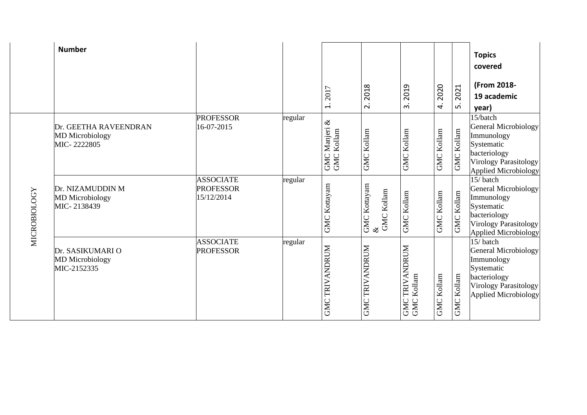|                     | <b>Number</b>                                                  |                                                    |         | 2017<br>$\div$              | 2018<br>$\overline{\mathbf{c}}$        | 2019<br>ന്                                           | 2020<br>4.        | 2021<br>ம்           | <b>Topics</b><br>covered<br>(From 2018-<br>19 academic<br>year)                                                                             |
|---------------------|----------------------------------------------------------------|----------------------------------------------------|---------|-----------------------------|----------------------------------------|------------------------------------------------------|-------------------|----------------------|---------------------------------------------------------------------------------------------------------------------------------------------|
|                     | Dr. GEETHA RAVEENDRAN<br><b>MD</b> Microbiology<br>MIC-2222805 | <b>PROFESSOR</b><br>16-07-2015                     | regular | GMC Manjeri &<br>GMC Kollam | <b>GMC Kollam</b>                      | <b>GMC Kollam</b>                                    | <b>GMC Kollam</b> | Kollam<br><b>GMC</b> | 15/batch<br>General Microbiology<br>Immunology<br>Systematic<br>bacteriology<br><b>Virology Parasitology</b><br><b>Applied Microbiology</b> |
| <b>MICROBIOLOGY</b> | Dr. NIZAMUDDIN M<br><b>MD</b> Microbiology<br>MIC-2138439      | <b>ASSOCIATE</b><br><b>PROFESSOR</b><br>15/12/2014 | regular | GMC Kottayam                | GMC Kottayam $\&$<br><b>GMC Kollam</b> | <b>GMC Kollam</b>                                    | <b>GMC Kollam</b> | Kollam<br>GMC        | 15/batch<br><b>General Microbiology</b><br>Immunology<br>Systematic<br>bacteriology<br><b>Virology Parasitology</b><br>Applied Microbiology |
|                     | Dr. SASIKUMARI O<br><b>MD</b> Microbiology<br>MIC-2152335      | <b>ASSOCIATE</b><br><b>PROFESSOR</b>               | regular | <b>GMC TRIVANDRUM</b>       | TRIVANDRUM<br>GMC                      | <b>TRIVANDRUM</b><br><b>GMC TRIVAN</b><br>GMC Kollam | <b>GMC Kollam</b> | Kollam<br>GMC        | 15/batch<br><b>General Microbiology</b><br>Immunology<br>Systematic<br>bacteriology<br>Virology Parasitology<br>Applied Microbiology        |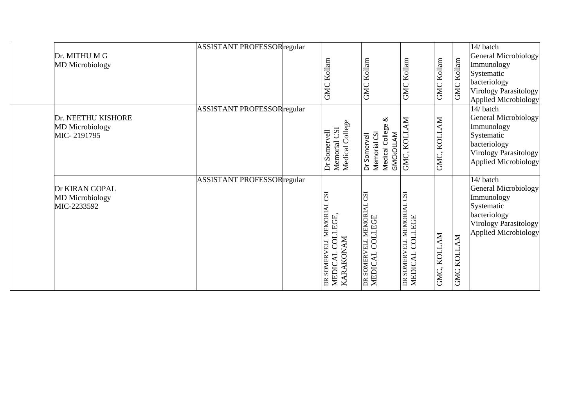| Dr. MITHU M G<br><b>MD</b> Microbiology                     | ASSISTANT PROFESSORregular         | <b>GMC Kollam</b>                                                     | <b>GMC Kollam</b>                                                 | <b>GMC Kollam</b>                                      | <b>GMC Kollam</b> | <b>GMC Kollam</b>    | 14/batch<br><b>General Microbiology</b><br>Immunology<br>Systematic<br>bacteriology<br>Virology Parasitology<br>Applied Microbiology         |
|-------------------------------------------------------------|------------------------------------|-----------------------------------------------------------------------|-------------------------------------------------------------------|--------------------------------------------------------|-------------------|----------------------|----------------------------------------------------------------------------------------------------------------------------------------------|
| Dr. NEETHU KISHORE<br><b>MD</b> Microbiology<br>MIC-2191795 | <b>ASSISTANT PROFESSOR</b> regular | Medical College<br>Memorial CSI<br>Dr Somervell                       | ∞<br>Medical College<br>GMCKOLLAM<br>Memorial CSI<br>Dr Somervell | GMC, KOLLAM                                            | KOLLAM<br>GMC.    |                      | 14/ batch<br><b>General Microbiology</b><br>Immunology<br>Systematic<br>bacteriology<br><b>Virology Parasitology</b><br>Applied Microbiology |
| Dr KIRAN GOPAL<br><b>MD</b> Microbiology<br>MIC-2233592     | ASSISTANT PROFESSORregular         | ESJ<br>DR SOMERVELL MEMORIA<br>COLLEGE<br>KARAKONAM<br><b>MEDICAL</b> | <b>USJ</b><br>DR SOMERVELL MEMORIAL<br>MEDICAL COLLEGE            | <b>CSI</b><br>DR SOMERVELL MEMORIAL<br>MEDICAL COLLEGE | GMC, KOLLAM       | <b>NATION</b><br>GMC | 14/ batch<br><b>General Microbiology</b><br>Immunology<br>Systematic<br>bacteriology<br>Virology Parasitology<br><b>Applied Microbiology</b> |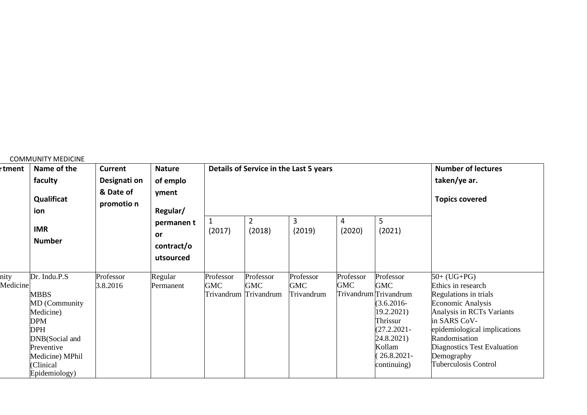|                  | <b>COMMUNITY MEDICINE</b>                                                                                                                                                     |                                                           |                                                    |                         |                                                  |                                        |                  |                                                                                                                                                                       |                                                                                                                                                                                                                                                      |
|------------------|-------------------------------------------------------------------------------------------------------------------------------------------------------------------------------|-----------------------------------------------------------|----------------------------------------------------|-------------------------|--------------------------------------------------|----------------------------------------|------------------|-----------------------------------------------------------------------------------------------------------------------------------------------------------------------|------------------------------------------------------------------------------------------------------------------------------------------------------------------------------------------------------------------------------------------------------|
| r <b>tment</b>   | Name of the<br>faculty<br>Qualificat<br>ion                                                                                                                                   | <b>Current</b><br>Designati on<br>& Date of<br>promotio n | <b>Nature</b><br>of emplo<br>yment<br>Regular/     |                         |                                                  | Details of Service in the Last 5 years |                  |                                                                                                                                                                       | <b>Number of lectures</b><br>taken/ye ar.<br><b>Topics covered</b>                                                                                                                                                                                   |
|                  | <b>IMR</b><br><b>Number</b>                                                                                                                                                   |                                                           | permanen t<br><b>or</b><br>contract/o<br>utsourced | 1<br>(2017)             | $\overline{2}$<br>(2018)                         | 3<br>(2019)                            | 4<br>(2020)      | 5<br>(2021)                                                                                                                                                           |                                                                                                                                                                                                                                                      |
| nity<br>Medicine | Dr. Indu.P.S<br><b>MBBS</b><br><b>MD</b> (Community<br>Medicine)<br><b>DPM</b><br><b>DPH</b><br>DNB(Social and<br>Preventive<br>Medicine) MPhil<br>(Clinical<br>Epidemiology) | Professor<br>3.8.2016                                     | Regular<br>Permanent                               | Professor<br><b>GMC</b> | Professor<br><b>GMC</b><br>Trivandrum Trivandrum | Professor<br><b>GMC</b><br>Trivandrum  | Professor<br>GMC | Professor<br><b>GMC</b><br>Trivandrum Trivandrum<br>$(3.6.2016 -$<br>19.2.2021<br>Thrissur<br>$(27.2.2021 -$<br>24.8.2021)<br>Kollam<br>$(26.8.2021 -$<br>continuing) | $50+ (UG+PG)$<br>Ethics in research<br>Regulations in trials<br>Economic Analysis<br>Analysis in RCTs Variants<br>in SARS CoV-<br>epidemiological implications<br>Randomisation<br>Diagnostics Test Evaluation<br>Demography<br>Tuberculosis Control |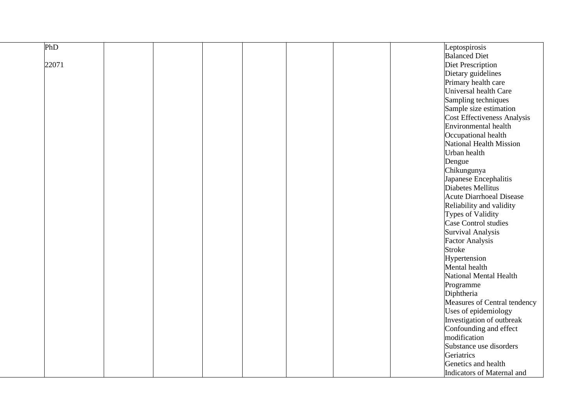| PhD   |  |  |  | Leptospirosis                   |  |
|-------|--|--|--|---------------------------------|--|
|       |  |  |  | <b>Balanced Diet</b>            |  |
| 22071 |  |  |  | Diet Prescription               |  |
|       |  |  |  | Dietary guidelines              |  |
|       |  |  |  | Primary health care             |  |
|       |  |  |  | Universal health Care           |  |
|       |  |  |  | Sampling techniques             |  |
|       |  |  |  | Sample size estimation          |  |
|       |  |  |  | Cost Effectiveness Analysis     |  |
|       |  |  |  | <b>Environmental health</b>     |  |
|       |  |  |  | Occupational health             |  |
|       |  |  |  | National Health Mission         |  |
|       |  |  |  | Urban health                    |  |
|       |  |  |  | Dengue                          |  |
|       |  |  |  | Chikungunya                     |  |
|       |  |  |  | Japanese Encephalitis           |  |
|       |  |  |  | Diabetes Mellitus               |  |
|       |  |  |  | <b>Acute Diarrhoeal Disease</b> |  |
|       |  |  |  | Reliability and validity        |  |
|       |  |  |  | Types of Validity               |  |
|       |  |  |  | Case Control studies            |  |
|       |  |  |  | Survival Analysis               |  |
|       |  |  |  | <b>Factor Analysis</b>          |  |
|       |  |  |  | <b>Stroke</b>                   |  |
|       |  |  |  | Hypertension                    |  |
|       |  |  |  | Mental health                   |  |
|       |  |  |  | National Mental Health          |  |
|       |  |  |  | Programme                       |  |
|       |  |  |  | Diphtheria                      |  |
|       |  |  |  | Measures of Central tendency    |  |
|       |  |  |  | Uses of epidemiology            |  |
|       |  |  |  | Investigation of outbreak       |  |
|       |  |  |  | Confounding and effect          |  |
|       |  |  |  | modification                    |  |
|       |  |  |  | Substance use disorders         |  |
|       |  |  |  | Geriatrics                      |  |
|       |  |  |  | Genetics and health             |  |
|       |  |  |  | Indicators of Maternal and      |  |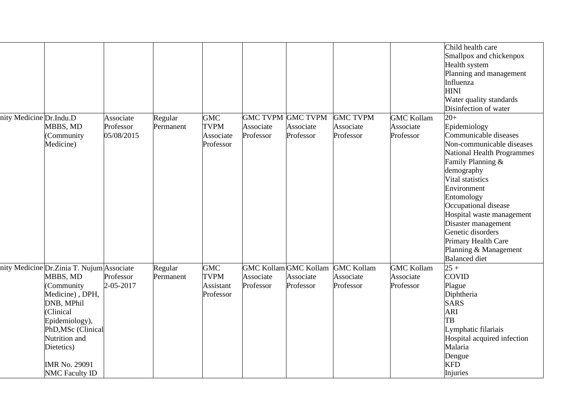| nity Medicine Dr.Indu.D | MBBS, MD<br>(Community                                                                                                                                                                                                                     | Associate<br>Professor<br>05/08/2015 | Regular<br>Permanent | <b>GMC</b><br><b>TVPM</b><br>Associate              | <b>GMC TVPM</b><br>Associate<br>Professor              | <b>GMC TVPM</b><br>Associate<br>Professor | <b>GMC TVPM</b><br>Associate<br>Professor   | <b>GMC Kollam</b><br>Associate<br>Professor | Child health care<br>Smallpox and chickenpox<br>Health system<br>Planning and management<br>Influenza<br><b>HINI</b><br>Water quality standards<br>Disinfection of water<br>$20+$<br>Epidemiology<br>Communicable diseases                                                                                           |
|-------------------------|--------------------------------------------------------------------------------------------------------------------------------------------------------------------------------------------------------------------------------------------|--------------------------------------|----------------------|-----------------------------------------------------|--------------------------------------------------------|-------------------------------------------|---------------------------------------------|---------------------------------------------|----------------------------------------------------------------------------------------------------------------------------------------------------------------------------------------------------------------------------------------------------------------------------------------------------------------------|
|                         | Medicine)                                                                                                                                                                                                                                  |                                      |                      | Professor                                           |                                                        |                                           |                                             |                                             | Non-communicable diseases<br>National Health Programmes<br>Family Planning &<br>demography<br>Vital statistics<br>Environment<br>Entomology<br>Occupational disease<br>Hospital waste management<br>Disaster management<br>Genetic disorders<br>Primary Health Care<br>Planning & Management<br><b>Balanced</b> diet |
|                         | nity Medicine Dr. Zinia T. Nujum Associate<br>MBBS, MD<br>(Community<br>Medicine), DPH,<br>DNB, MPhil<br>(Clinical<br>Epidemiology),<br>PhD, MSc (Clinical<br>Nutrition and<br>Dietetics)<br><b>IMR No. 29091</b><br><b>NMC Faculty ID</b> | Professor<br>2-05-2017               | Regular<br>Permanent | <b>GMC</b><br><b>TVPM</b><br>Assistant<br>Professor | <b>GMC Kollam</b> GMC Kollam<br>Associate<br>Professor | Associate<br>Professor                    | <b>GMC Kollam</b><br>Associate<br>Professor | <b>GMC Kollam</b><br>Associate<br>Professor | $25 +$<br><b>COVID</b><br>Plague<br>Diphtheria<br><b>SARS</b><br>ARI<br>TB<br>Lymphatic filariais<br>Hospital acquired infection<br>Malaria<br>Dengue<br><b>KFD</b><br>Injuries                                                                                                                                      |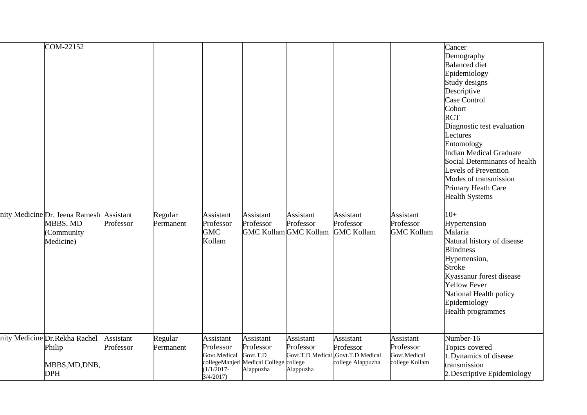| COM-22152<br>nity Medicine Dr. Jeena Ramesh Assistant<br>MBBS, MD<br>(Community<br>Medicine) | Professor              | Regular<br>Permanent | Assistant<br>Professor<br><b>GMC</b><br>Kollam                      | Assistant<br>Professor                                                                    | Assistant<br>Professor<br><b>GMC Kollam GMC Kollam</b> | Assistant<br>Professor<br><b>GMC Kollam</b>                                       | Assistant<br>Professor<br><b>GMC Kollam</b>              | Cancer<br>Demography<br><b>Balanced</b> diet<br>Epidemiology<br>Study designs<br>Descriptive<br>Case Control<br>Cohort<br><b>RCT</b><br>Diagnostic test evaluation<br>Lectures<br>Entomology<br><b>Indian Medical Graduate</b><br>Social Determinants of health<br><b>Levels of Prevention</b><br>Modes of transmission<br>Primary Heath Care<br><b>Health Systems</b><br>$10+$<br>Hypertension<br>Malaria<br>Natural history of disease<br><b>Blindness</b><br>Hypertension, |
|----------------------------------------------------------------------------------------------|------------------------|----------------------|---------------------------------------------------------------------|-------------------------------------------------------------------------------------------|--------------------------------------------------------|-----------------------------------------------------------------------------------|----------------------------------------------------------|-------------------------------------------------------------------------------------------------------------------------------------------------------------------------------------------------------------------------------------------------------------------------------------------------------------------------------------------------------------------------------------------------------------------------------------------------------------------------------|
|                                                                                              |                        |                      |                                                                     |                                                                                           |                                                        |                                                                                   |                                                          | <b>Stroke</b><br>Kyassanur forest disease<br><b>Yellow Fever</b><br>National Health policy<br>Epidemiology<br>Health programmes                                                                                                                                                                                                                                                                                                                                               |
| nity Medicine Dr.Rekha Rachel<br>Philip<br>MBBS, MD, DNB,<br><b>DPH</b>                      | Assistant<br>Professor | Regular<br>Permanent | Assistant<br>Professor<br>Govt.Medical<br>$(1/1/2017 -$<br>3/4/2017 | Assistant<br>Professor<br>Govt.T.D<br>collegeManjeri Medical College college<br>Alappuzha | Assistant<br>Professor<br>Alappuzha                    | Assistant<br>Professor<br>Govt.T.D Medical, Govt.T.D Medical<br>college Alappuzha | Assistant<br>Professor<br>Govt.Medical<br>college Kollam | Number-16<br>Topics covered<br>1. Dynamics of disease<br>transmission<br>2. Descriptive Epidemiology                                                                                                                                                                                                                                                                                                                                                                          |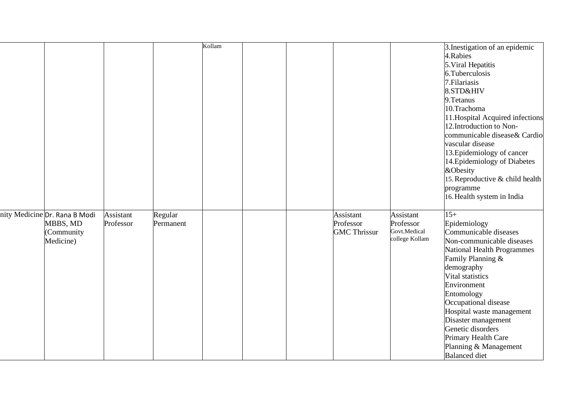|                                                                      |                        |                      | Kollam |  |                                               |                                                                 | 3. Inestigation of an epidemic<br>4.Rabies<br>5. Viral Hepatitis<br>6.Tuberculosis<br>7. Filariasis<br>8.STD&HIV<br>9. Tetanus<br>10.Trachoma<br>11. Hospital Acquired infections<br>12. Introduction to Non-<br>communicable disease& Cardio<br>vascular disease<br>13. Epidemiology of cancer<br>14. Epidemiology of Diabetes<br>&Obesity                            |
|----------------------------------------------------------------------|------------------------|----------------------|--------|--|-----------------------------------------------|-----------------------------------------------------------------|------------------------------------------------------------------------------------------------------------------------------------------------------------------------------------------------------------------------------------------------------------------------------------------------------------------------------------------------------------------------|
|                                                                      |                        |                      |        |  |                                               |                                                                 | 15. Reproductive & child health                                                                                                                                                                                                                                                                                                                                        |
|                                                                      |                        |                      |        |  |                                               |                                                                 | programme                                                                                                                                                                                                                                                                                                                                                              |
|                                                                      |                        |                      |        |  |                                               |                                                                 | 16. Health system in India                                                                                                                                                                                                                                                                                                                                             |
| nity Medicine Dr. Rana B Modi<br>MBBS, MD<br>(Community<br>Medicine) | Assistant<br>Professor | Regular<br>Permanent |        |  | Assistant<br>Professor<br><b>GMC Thrissur</b> | <b>Assistant</b><br>Professor<br>Govt.Medical<br>college Kollam | $15+$<br>Epidemiology<br>Communicable diseases<br>Non-communicable diseases<br>National Health Programmes<br>Family Planning &<br>demography<br>Vital statistics<br>Environment<br>Entomology<br>Occupational disease<br>Hospital waste management<br>Disaster management<br>Genetic disorders<br>Primary Health Care<br>Planning & Management<br><b>Balanced</b> diet |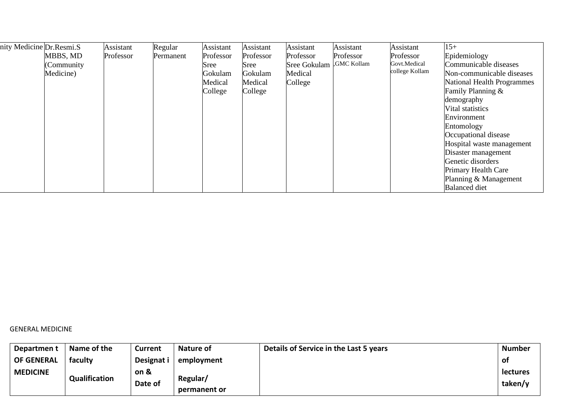| nity Medicine Dr. Resmi. S |            | Assistant | Regular   | Assistant | Assistant | Assistant           | Assistant   | Assistant      | $15+$                      |
|----------------------------|------------|-----------|-----------|-----------|-----------|---------------------|-------------|----------------|----------------------------|
|                            | MBBS, MD   | Professor | Permanent | Professor | Professor | Professor           | Professor   | Professor      | Epidemiology               |
|                            | (Community |           |           | Sree      | Sree      | <b>Sree Gokulam</b> | GMC Kollam. | Govt.Medical   | Communicable diseases      |
|                            | Medicine)  |           |           | Gokulam   | Gokulam   | Medical             |             | college Kollam | Non-communicable diseases  |
|                            |            |           |           | Medical   | Medical   | College             |             |                | National Health Programmes |
|                            |            |           |           | College   | College   |                     |             |                | Family Planning &          |
|                            |            |           |           |           |           |                     |             |                | demography                 |
|                            |            |           |           |           |           |                     |             |                | Vital statistics           |
|                            |            |           |           |           |           |                     |             |                | Environment                |
|                            |            |           |           |           |           |                     |             |                | Entomology                 |
|                            |            |           |           |           |           |                     |             |                | Occupational disease       |
|                            |            |           |           |           |           |                     |             |                | Hospital waste management  |
|                            |            |           |           |           |           |                     |             |                | Disaster management        |
|                            |            |           |           |           |           |                     |             |                | Genetic disorders          |
|                            |            |           |           |           |           |                     |             |                | Primary Health Care        |
|                            |            |           |           |           |           |                     |             |                | Planning & Management      |
|                            |            |           |           |           |           |                     |             |                | <b>Balanced</b> diet       |

GENERAL MEDICINE

| Departmen t       | Name of the          | <b>Current</b>  | Nature of                | Details of Service in the Last 5 years | <b>Number</b>              |
|-------------------|----------------------|-----------------|--------------------------|----------------------------------------|----------------------------|
| <b>OF GENERAL</b> | faculty              | Designat i      | employment               |                                        | .of                        |
| <b>MEDICINE</b>   | <b>Qualification</b> | on &<br>Date of | Regular/<br>permanent or |                                        | <b>lectures</b><br>taken/y |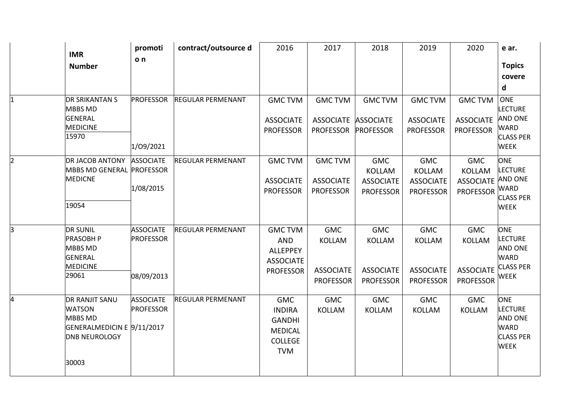|                | <b>IMR</b><br><b>Number</b>                                                                                      | promoti<br>o <sub>n</sub>                          | contract/outsource d     | 2016                                                                                           | 2017                                                         | 2018                                                                | 2019                                                                | 2020                                                                 | e ar.<br><b>Topics</b><br>covere<br>d                                                            |
|----------------|------------------------------------------------------------------------------------------------------------------|----------------------------------------------------|--------------------------|------------------------------------------------------------------------------------------------|--------------------------------------------------------------|---------------------------------------------------------------------|---------------------------------------------------------------------|----------------------------------------------------------------------|--------------------------------------------------------------------------------------------------|
| $\mathbf 1$    | <b>DR SRIKANTAN S</b><br><b>MBBS MD</b><br><b>GENERAL</b><br><b>MEDICINE</b><br>15970                            | <b>PROFESSOR</b><br>1/09/2021                      | <b>REGULAR PERMENANT</b> | <b>GMC TVM</b><br><b>ASSOCIATE</b><br><b>PROFESSOR</b>                                         | <b>GMC TVM</b><br>ASSOCIATE ASSOCIATE<br><b>PROFESSOR</b>    | <b>GMCTVM</b><br><b>PROFESSOR</b>                                   | <b>GMC TVM</b><br><b>ASSOCIATE</b><br><b>PROFESSOR</b>              | <b>GMC TVM</b><br><b>ASSOCIATE</b><br><b>PROFESSOR</b>               | ONE<br><b>LECTURE</b><br><b>AND ONE</b><br><b>WARD</b><br><b>CLASS PER</b><br><b>WEEK</b>        |
| $\overline{2}$ | <b>DR JACOB ANTONY</b><br>MBBS MD GENERAL PROFESSOR<br><b>MEDICNE</b><br>19054                                   | <b>ASSOCIATE</b><br>1/08/2015                      | <b>REGULAR PERMENANT</b> | <b>GMC TVM</b><br><b>ASSOCIATE</b><br><b>PROFESSOR</b>                                         | <b>GMC TVM</b><br><b>ASSOCIATE</b><br><b>PROFESSOR</b>       | <b>GMC</b><br><b>KOLLAM</b><br><b>ASSOCIATE</b><br><b>PROFESSOR</b> | <b>GMC</b><br><b>KOLLAM</b><br><b>ASSOCIATE</b><br><b>PROFESSOR</b> | <b>GMC</b><br><b>KOLLAM</b><br>ASSOCIATE AND ONE<br><b>PROFESSOR</b> | <b>ONE</b><br><b>LECTURE</b><br><b>WARD</b><br><b>CLASS PER</b><br><b>WEEK</b>                   |
| $\overline{3}$ | <b>DR SUNIL</b><br><b>PRASOBH P</b><br><b>MBBS MD</b><br><b>GENERAL</b><br><b>MEDICINE</b><br>29061              | <b>ASSOCIATE</b><br><b>PROFESSOR</b><br>08/09/2013 | <b>REGULAR PERMENANT</b> | <b>GMC TVM</b><br><b>AND</b><br>ALLEPPEY<br><b>ASSOCIATE</b><br><b>PROFESSOR</b>               | <b>GMC</b><br>KOLLAM<br><b>ASSOCIATE</b><br><b>PROFESSOR</b> | <b>GMC</b><br><b>KOLLAM</b><br><b>ASSOCIATE</b><br><b>PROFESSOR</b> | <b>GMC</b><br>KOLLAM<br><b>ASSOCIATE</b><br><b>PROFESSOR</b>        | <b>GMC</b><br><b>KOLLAM</b><br><b>ASSOCIATE</b><br><b>PROFESSOR</b>  | ONE<br><b>LECTURE</b><br>AND ONE<br><b>WARD</b><br><b>CLASS PER</b><br><b>WEEK</b>               |
| 4              | <b>DR RANJIT SANU</b><br><b>WATSON</b><br>MBBS MD<br>GENERALMEDICIN E 9/11/2017<br><b>DNB NEUROLOGY</b><br>30003 | <b>ASSOCIATE</b><br><b>PROFESSOR</b>               | <b>REGULAR PERMENANT</b> | <b>GMC</b><br><b>INDIRA</b><br><b>GANDHI</b><br><b>MEDICAL</b><br><b>COLLEGE</b><br><b>TVM</b> | <b>GMC</b><br>KOLLAM                                         | <b>GMC</b><br>KOLLAM                                                | <b>GMC</b><br><b>KOLLAM</b>                                         | <b>GMC</b><br><b>KOLLAM</b>                                          | <b>ONE</b><br><b>LECTURE</b><br><b>AND ONE</b><br><b>WARD</b><br><b>CLASS PER</b><br><b>WEEK</b> |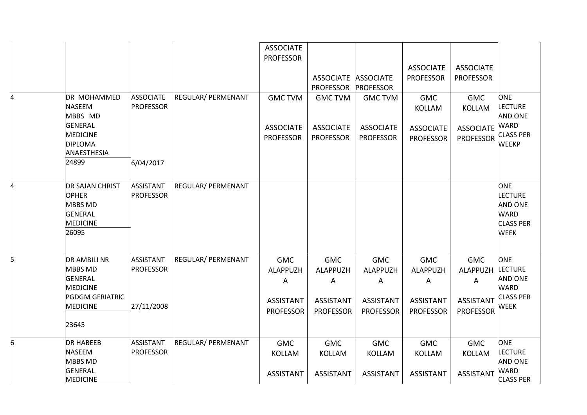|   |                                                                                                                           |                                                    |                           | <b>ASSOCIATE</b><br><b>PROFESSOR</b>                                | <b>ASSOCIATE</b><br><b>PROFESSOR</b>                                | <b>ASSOCIATE</b><br><b>PROFESSOR</b>                                | <b>ASSOCIATE</b><br><b>PROFESSOR</b>                                | <b>ASSOCIATE</b><br><b>PROFESSOR</b>                                |                                                                                                   |
|---|---------------------------------------------------------------------------------------------------------------------------|----------------------------------------------------|---------------------------|---------------------------------------------------------------------|---------------------------------------------------------------------|---------------------------------------------------------------------|---------------------------------------------------------------------|---------------------------------------------------------------------|---------------------------------------------------------------------------------------------------|
| 4 | DR MOHAMMED<br><b>NASEEM</b><br>MBBS MD<br>GENERAL<br><b>MEDICINE</b><br><b>DIPLOMA</b><br>ANAESTHESIA<br>24899           | <b>ASSOCIATE</b><br><b>PROFESSOR</b><br>6/04/2017  | <b>REGULAR/ PERMENANT</b> | <b>GMC TVM</b><br><b>ASSOCIATE</b><br><b>PROFESSOR</b>              | <b>GMC TVM</b><br><b>ASSOCIATE</b><br><b>PROFESSOR</b>              | <b>GMC TVM</b><br><b>ASSOCIATE</b><br><b>PROFESSOR</b>              | <b>GMC</b><br>KOLLAM<br><b>ASSOCIATE</b><br><b>PROFESSOR</b>        | <b>GMC</b><br><b>KOLLAM</b><br><b>ASSOCIATE</b><br><b>PROFESSOR</b> | <b>ONE</b><br><b>LECTURE</b><br><b>AND ONE</b><br><b>WARD</b><br><b>CLASS PER</b><br><b>WEEKP</b> |
| 4 | <b>DR SAJAN CHRIST</b><br><b>OPHER</b><br><b>MBBS MD</b><br>GENERAL<br><b>MEDICINE</b><br>26095                           | <b>ASSISTANT</b><br><b>PROFESSOR</b>               | <b>REGULAR/ PERMENANT</b> |                                                                     |                                                                     |                                                                     |                                                                     |                                                                     | <b>ONE</b><br><b>LECTURE</b><br><b>AND ONE</b><br><b>WARD</b><br><b>CLASS PER</b><br><b>WEEK</b>  |
| 5 | <b>DR AMBILI NR</b><br><b>MBBS MD</b><br>GENERAL<br><b>MEDICINE</b><br><b>PGDGM GERIATRIC</b><br><b>MEDICINE</b><br>23645 | <b>ASSISTANT</b><br><b>PROFESSOR</b><br>27/11/2008 | <b>REGULAR/ PERMENANT</b> | <b>GMC</b><br>ALAPPUZH<br>A<br><b>ASSISTANT</b><br><b>PROFESSOR</b> | <b>GMC</b><br>ALAPPUZH<br>A<br><b>ASSISTANT</b><br><b>PROFESSOR</b> | <b>GMC</b><br>ALAPPUZH<br>A<br><b>ASSISTANT</b><br><b>PROFESSOR</b> | <b>GMC</b><br>ALAPPUZH<br>A<br><b>ASSISTANT</b><br><b>PROFESSOR</b> | <b>GMC</b><br>ALAPPUZH<br>A<br><b>ASSISTANT</b><br><b>PROFESSOR</b> | <b>ONE</b><br><b>LECTURE</b><br><b>AND ONE</b><br><b>WARD</b><br><b>CLASS PER</b><br><b>WEEK</b>  |
| 6 | <b>DR HABEEB</b><br><b>NASEEM</b><br><b>MBBS MD</b><br>GENERAL<br><b>MEDICINE</b>                                         | <b>ASSISTANT</b><br><b>PROFESSOR</b>               | <b>REGULAR/ PERMENANT</b> | <b>GMC</b><br><b>KOLLAM</b><br><b>ASSISTANT</b>                     | <b>GMC</b><br><b>KOLLAM</b><br><b>ASSISTANT</b>                     | <b>GMC</b><br><b>KOLLAM</b><br><b>ASSISTANT</b>                     | <b>GMC</b><br><b>KOLLAM</b><br><b>ASSISTANT</b>                     | <b>GMC</b><br><b>KOLLAM</b><br><b>ASSISTANT</b>                     | <b>ONE</b><br><b>LECTURE</b><br><b>AND ONE</b><br><b>WARD</b><br><b>CLASS PER</b>                 |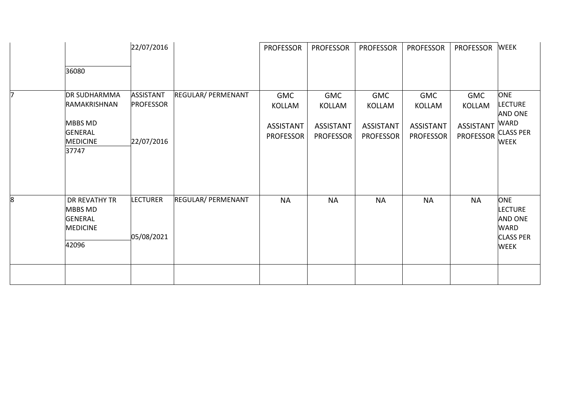|   |                                                                               | 22/07/2016                           |                           | <b>PROFESSOR</b>                                             | <b>PROFESSOR</b>                                             | <b>PROFESSOR</b>                                             | <b>PROFESSOR</b>                                             | <b>PROFESSOR</b>                                             | <b>WEEK</b>                                                                                      |
|---|-------------------------------------------------------------------------------|--------------------------------------|---------------------------|--------------------------------------------------------------|--------------------------------------------------------------|--------------------------------------------------------------|--------------------------------------------------------------|--------------------------------------------------------------|--------------------------------------------------------------------------------------------------|
|   | 36080                                                                         |                                      |                           |                                                              |                                                              |                                                              |                                                              |                                                              |                                                                                                  |
| 7 | <b>DR SUDHARMMA</b><br>RAMAKRISHNAN<br><b>MBBS MD</b><br><b>GENERAL</b>       | <b>ASSISTANT</b><br><b>PROFESSOR</b> | REGULAR/ PERMENANT        | <b>GMC</b><br>KOLLAM<br><b>ASSISTANT</b><br><b>PROFESSOR</b> | <b>GMC</b><br>KOLLAM<br><b>ASSISTANT</b><br><b>PROFESSOR</b> | <b>GMC</b><br>KOLLAM<br><b>ASSISTANT</b><br><b>PROFESSOR</b> | <b>GMC</b><br>KOLLAM<br><b>ASSISTANT</b><br><b>PROFESSOR</b> | <b>GMC</b><br>KOLLAM<br><b>ASSISTANT</b><br><b>PROFESSOR</b> | <b>ONE</b><br><b>LECTURE</b><br><b>AND ONE</b><br><b>WARD</b><br><b>CLASS PER</b>                |
|   | <b>MEDICINE</b><br>37747                                                      | 22/07/2016                           |                           |                                                              |                                                              |                                                              |                                                              |                                                              | <b>WEEK</b>                                                                                      |
| 8 | DR REVATHY TR<br><b>MBBS MD</b><br><b>GENERAL</b><br><b>MEDICINE</b><br>42096 | <b>LECTURER</b><br>05/08/2021        | <b>REGULAR/ PERMENANT</b> | <b>NA</b>                                                    | <b>NA</b>                                                    | <b>NA</b>                                                    | <b>NA</b>                                                    | <b>NA</b>                                                    | <b>ONE</b><br><b>LECTURE</b><br><b>AND ONE</b><br><b>WARD</b><br><b>CLASS PER</b><br><b>WEEK</b> |
|   |                                                                               |                                      |                           |                                                              |                                                              |                                                              |                                                              |                                                              |                                                                                                  |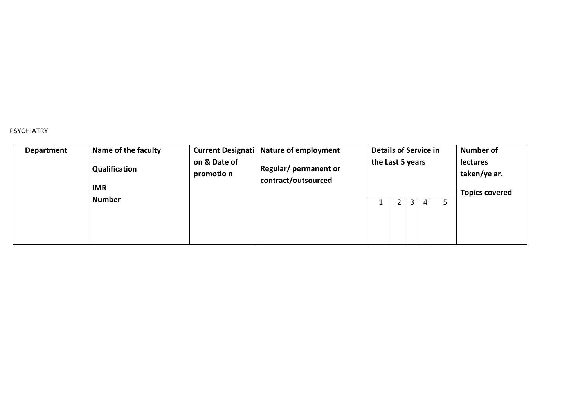#### PSYCHIATRY

| Department | Name of the faculty         |                            | Current Designati Nature of employment       | <b>Details of Service in</b> | <b>Number of</b>         |  |
|------------|-----------------------------|----------------------------|----------------------------------------------|------------------------------|--------------------------|--|
|            | Qualification<br><b>IMR</b> | on & Date of<br>promotio n | Regular/ permanent or<br>contract/outsourced | the Last 5 years             | lectures<br>taken/ye ar. |  |
|            | <b>Number</b>               |                            |                                              | 5                            | <b>Topics covered</b>    |  |
|            |                             |                            |                                              | 4                            |                          |  |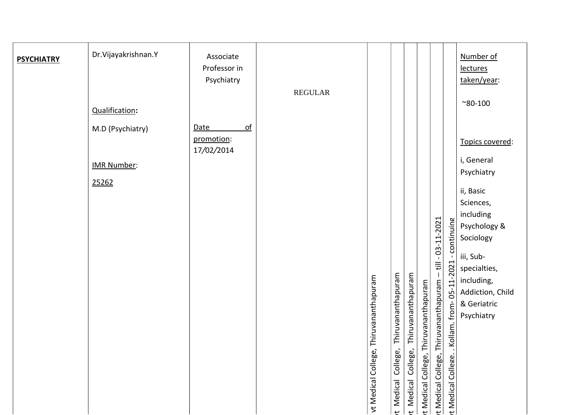| <b>PSYCHIATRY</b> | Dr.Vijayakrishnan.Y<br>Qualification:           | Associate<br>Professor in<br>Psychiatry      | <b>REGULAR</b> |                                           |                                          |                                          |                                          |                                                          |                                                        | Number of<br>lectures<br>taken/year:<br>$^{\sim}80 - 100$                                                                                    |
|-------------------|-------------------------------------------------|----------------------------------------------|----------------|-------------------------------------------|------------------------------------------|------------------------------------------|------------------------------------------|----------------------------------------------------------|--------------------------------------------------------|----------------------------------------------------------------------------------------------------------------------------------------------|
|                   | M.D (Psychiatry)<br><b>IMR Number:</b><br>25262 | $\Omega$<br>Date<br>promotion:<br>17/02/2014 |                |                                           |                                          |                                          |                                          | $-03 - 11 - 2021$<br>$\overline{\overline{z}}$           | continuing                                             | Topics covered:<br>i, General<br>Psychiatry<br>ii, Basic<br>Sciences,<br>including<br>Psychology &<br>Sociology<br>iii, Sub-<br>specialties, |
|                   |                                                 |                                              |                | "Thiruvananthapuram<br>vt Medical College | Thiruvananthapuram<br>t Medical College, | Thiruvananthapuram<br>t Medical College, | Thiruvananthapuram<br>t Medical College, | $\mathbf{I}$<br>Thiruvananthapuram<br>t Medical College, | 05-11-2021<br>from-<br>. Kollam.<br>t Medical College. | including,<br>Addiction, Child<br>& Geriatric<br>Psychiatry                                                                                  |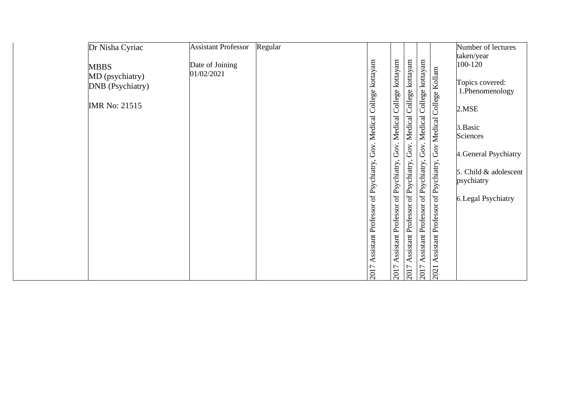| Dr Nisha Cyriac                     | <b>Assistant Professor</b> | Regular |                     |                     |                                    |                                                                  |                    | Number of lectures                 |
|-------------------------------------|----------------------------|---------|---------------------|---------------------|------------------------------------|------------------------------------------------------------------|--------------------|------------------------------------|
| <b>MBBS</b>                         | Date of Joining            |         |                     |                     |                                    |                                                                  |                    | taken/year<br>100-120              |
| MD (psychiatry)<br>DNB (Psychiatry) | 01/02/2021                 |         | College kottayam    | College kottayam    | Gov. Medical College kottayam      | Assistant Professor of Psychiatry, Gov. Medical College kottayam | College Kollam     | Topics covered:<br>1.Phenomenology |
| <b>IMR No: 21515</b>                |                            |         |                     |                     |                                    |                                                                  |                    | 2.MSE                              |
|                                     |                            |         | Gov. Medical        | Gov. Medical        |                                    |                                                                  |                    | 3. Basic                           |
|                                     |                            |         |                     |                     |                                    |                                                                  | <b>Gov Medical</b> | Sciences                           |
|                                     |                            |         |                     |                     |                                    |                                                                  |                    | 4. General Psychiatry              |
|                                     |                            |         | of Psychiatry,      | of Psychiatry,      |                                    |                                                                  | of Psychiatry,     | 5. Child $\&$ adolescent           |
|                                     |                            |         |                     |                     |                                    |                                                                  |                    | psychiatry                         |
|                                     |                            |         |                     |                     |                                    |                                                                  |                    | 6. Legal Psychiatry                |
|                                     |                            |         |                     |                     |                                    |                                                                  | Professor          |                                    |
|                                     |                            |         |                     |                     |                                    |                                                                  |                    |                                    |
|                                     |                            |         | Assistant Professor | Assistant Professor | Assistant Professor of Psychiatry, |                                                                  | Assistant          |                                    |
|                                     |                            |         | 2017                | 2017                | 2017                               | 7107                                                             | 2021               |                                    |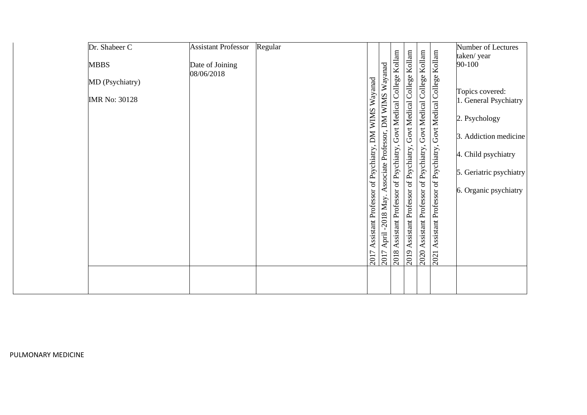| Dr. Shabeer C        | <b>Assistant Professor</b> | Regular |                                                                                                             |                                                                |                                    |                                                                |                                    | Number of Lectures      |
|----------------------|----------------------------|---------|-------------------------------------------------------------------------------------------------------------|----------------------------------------------------------------|------------------------------------|----------------------------------------------------------------|------------------------------------|-------------------------|
| <b>MBBS</b>          | Date of Joining            |         |                                                                                                             |                                                                |                                    |                                                                | Kollam                             | taken/year<br>90-100    |
| MD (Psychiatry)      | 08/06/2018                 |         | April -2018 May. Associate Professor, DM WIMS Wayanad<br>Assistant Professor of Psychiatry, DM WIMS Wayanad | Assistant Professor of Psychiatry, Govt Medical College Kollam | Govt Medical College Kollam        | Assistant Professor of Psychiatry, Govt Medical College Kollam | Govt Medical College               | Topics covered:         |
| <b>IMR No: 30128</b> |                            |         |                                                                                                             |                                                                |                                    |                                                                |                                    | 1. General Psychiatry   |
|                      |                            |         |                                                                                                             |                                                                |                                    |                                                                |                                    | 2. Psychology           |
|                      |                            |         |                                                                                                             |                                                                |                                    |                                                                |                                    | 3. Addiction medicine   |
|                      |                            |         |                                                                                                             |                                                                | Assistant Professor of Psychiatry, |                                                                | Assistant Professor of Psychiatry, | 4. Child psychiatry     |
|                      |                            |         |                                                                                                             |                                                                |                                    |                                                                |                                    | 5. Geriatric psychiatry |
|                      |                            |         |                                                                                                             |                                                                |                                    |                                                                |                                    | 6. Organic psychiatry   |
|                      |                            |         |                                                                                                             |                                                                |                                    |                                                                |                                    |                         |
|                      |                            |         |                                                                                                             |                                                                |                                    |                                                                |                                    |                         |
|                      |                            |         |                                                                                                             |                                                                |                                    |                                                                |                                    |                         |
|                      |                            |         | 2017<br>2017                                                                                                | 2018                                                           | 2019                               | $\frac{1}{2020}$ .                                             | 2021                               |                         |
|                      |                            |         |                                                                                                             |                                                                |                                    |                                                                |                                    |                         |
|                      |                            |         |                                                                                                             |                                                                |                                    |                                                                |                                    |                         |

PULMONARY MEDICINE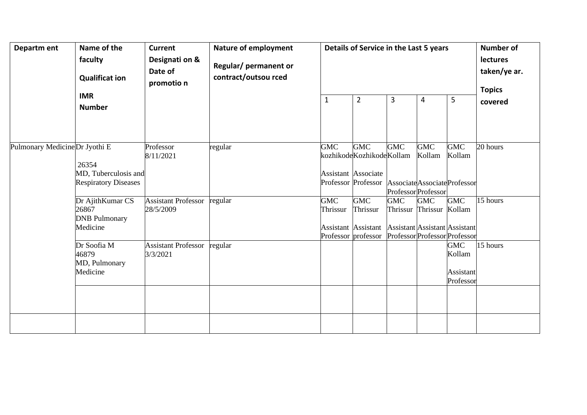| Departm ent                   | Name of the<br>faculty<br><b>Qualificat ion</b><br><b>IMR</b><br><b>Number</b> | <b>Current</b><br>Designati on &<br>Date of<br>promotio n | Nature of employment<br>Regular/ permanent or<br>contract/outsou rced | Details of Service in the Last 5 years<br>1 | <b>Number of</b><br>lectures<br>taken/ye ar.<br><b>Topics</b><br>covered                                           |                                             |                                        |                                                |          |
|-------------------------------|--------------------------------------------------------------------------------|-----------------------------------------------------------|-----------------------------------------------------------------------|---------------------------------------------|--------------------------------------------------------------------------------------------------------------------|---------------------------------------------|----------------------------------------|------------------------------------------------|----------|
| Pulmonary MedicineDr Jyothi E | 26354<br>MD, Tuberculosis and<br><b>Respiratory Diseases</b>                   | Professor<br>8/11/2021                                    | regular                                                               | <b>GMC</b>                                  | <b>GMC</b><br>kozhikodeKozhikodeKollam<br>Assistant Associate<br>Professor Professor Associate Associate Professor | <b>GMC</b><br>Professor Professor           | <b>GMC</b><br>Kollam                   | <b>GMC</b><br>Kollam                           | 20 hours |
|                               | Dr AjithKumar CS<br>26867<br><b>DNB</b> Pulmonary<br>Medicine                  | <b>Assistant Professor</b><br>28/5/2009                   | regular                                                               | <b>GMC</b><br>Thrissur                      | <b>GMC</b><br>Thrissur<br>Assistant Assistant Assistant Assistant Assistant<br>Professor professor                 | <b>GMC</b><br>Professor Professor Professor | <b>GMC</b><br>Thrissur Thrissur Kollam | GMC                                            | 15 hours |
|                               | Dr Soofia M<br>46879<br>MD, Pulmonary<br>Medicine                              | <b>Assistant Professor</b><br>3/3/2021                    | regular                                                               |                                             |                                                                                                                    |                                             |                                        | <b>GMC</b><br>Kollam<br>Assistant<br>Professor | 15 hours |
|                               |                                                                                |                                                           |                                                                       |                                             |                                                                                                                    |                                             |                                        |                                                |          |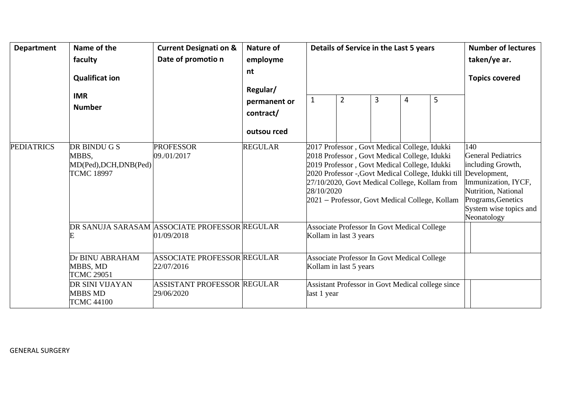| <b>Department</b> | Name of the                                                          | <b>Current Designati on &amp;</b>                           | <b>Nature of</b>          |                                                                  | Details of Service in the Last 5 years                                                                                                                                                                                                                                                                 | <b>Number of lectures</b> |                                                                                                                                                                             |   |              |
|-------------------|----------------------------------------------------------------------|-------------------------------------------------------------|---------------------------|------------------------------------------------------------------|--------------------------------------------------------------------------------------------------------------------------------------------------------------------------------------------------------------------------------------------------------------------------------------------------------|---------------------------|-----------------------------------------------------------------------------------------------------------------------------------------------------------------------------|---|--------------|
|                   | faculty                                                              | Date of promotio n                                          | employme                  |                                                                  |                                                                                                                                                                                                                                                                                                        |                           |                                                                                                                                                                             |   | taken/ye ar. |
|                   | <b>Qualificat ion</b>                                                |                                                             | nt<br>Regular/            |                                                                  |                                                                                                                                                                                                                                                                                                        |                           | <b>Topics covered</b>                                                                                                                                                       |   |              |
|                   | <b>IMR</b><br><b>Number</b>                                          |                                                             | permanent or<br>contract/ | 1                                                                | 2                                                                                                                                                                                                                                                                                                      | 3                         | 4                                                                                                                                                                           | 5 |              |
|                   |                                                                      |                                                             | outsou rced               |                                                                  |                                                                                                                                                                                                                                                                                                        |                           |                                                                                                                                                                             |   |              |
| <b>PEDIATRICS</b> | DR BINDU G S<br>MBBS.<br>MD(Ped), DCH, DNB(Ped)<br><b>TCMC 18997</b> | <b>PROFESSOR</b><br>09./01/2017                             | <b>REGULAR</b>            | 28/10/2020                                                       | 2017 Professor, Govt Medical College, Idukki<br>2018 Professor, Govt Medical College, Idukki<br>2019 Professor, Govt Medical College, Idukki<br>2020 Professor -, Govt Medical College, Idukki till<br>27/10/2020, Govt Medical College, Kollam from<br>2021 – Professor, Govt Medical College, Kollam |                           | 140<br>General Pediatrics<br>including Growth,<br>Development,<br>Immunization, IYCF,<br>Nutrition, National<br>Programs, Genetics<br>System wise topics and<br>Neonatology |   |              |
|                   |                                                                      | DR SANUJA SARASAM ASSOCIATE PROFESSOR REGULAR<br>01/09/2018 |                           |                                                                  | <b>Associate Professor In Govt Medical College</b><br>Kollam in last 3 years                                                                                                                                                                                                                           |                           |                                                                                                                                                                             |   |              |
|                   | Dr BINU ABRAHAM<br>MBBS, MD<br><b>TCMC 29051</b>                     | <b>ASSOCIATE PROFESSOR REGULAR</b><br>22/07/2016            |                           |                                                                  | <b>Associate Professor In Govt Medical College</b><br>Kollam in last 5 years                                                                                                                                                                                                                           |                           |                                                                                                                                                                             |   |              |
|                   | DR SINI VIJAYAN<br><b>MBBS MD</b><br><b>TCMC 44100</b>               | <b>ASSISTANT PROFESSOR REGULAR</b><br>29/06/2020            |                           | Assistant Professor in Govt Medical college since<br>last 1 year |                                                                                                                                                                                                                                                                                                        |                           |                                                                                                                                                                             |   |              |

GENERAL SURGERY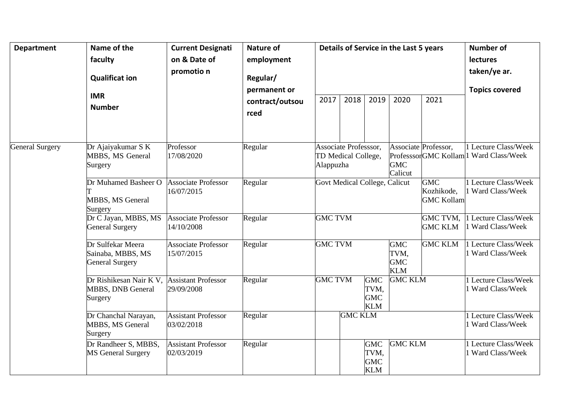| <b>Department</b>      | Name of the<br>faculty<br><b>Qualificat ion</b><br><b>IMR</b><br><b>Number</b>     | <b>Current Designati</b><br>on & Date of<br>promotio n | <b>Nature of</b><br>employment<br>Regular/<br>permanent or<br>contract/outsou<br>rced | 2017                                                             | 2018                          | 2019                                           | Details of Service in the Last 5 years<br>2020                   | 2021                                      | <b>Number of</b><br><b>lectures</b><br>taken/ye ar.<br><b>Topics covered</b> |  |                                               |  |                                                                |
|------------------------|------------------------------------------------------------------------------------|--------------------------------------------------------|---------------------------------------------------------------------------------------|------------------------------------------------------------------|-------------------------------|------------------------------------------------|------------------------------------------------------------------|-------------------------------------------|------------------------------------------------------------------------------|--|-----------------------------------------------|--|----------------------------------------------------------------|
| <b>General Surgery</b> | Dr Ajaiyakumar S K<br><b>MBBS, MS General</b><br>Surgery                           | Professor<br>17/08/2020                                | Regular                                                                               |                                                                  |                               |                                                | Associate Professsor,<br>TD Medical College,<br>Alappuzha        |                                           |                                                                              |  | Associate Professor,<br><b>GMC</b><br>Calicut |  | 1 Lecture Class/Week<br>ProfesssorGMC Kollam 1 Ward Class/Week |
|                        | Dr Muhamed Basheer O<br><b>MBBS, MS General</b><br>Surgery                         | <b>Associate Professor</b><br>16/07/2015               | Regular                                                                               |                                                                  | Govt Medical College, Calicut |                                                |                                                                  | GMC<br>Kozhikode,<br><b>GMC Kollam</b>    | 1 Lecture Class/Week<br>1 Ward Class/Week                                    |  |                                               |  |                                                                |
|                        | Dr C Jayan, MBBS, MS<br><b>General Surgery</b>                                     | Associate Professor<br>14/10/2008                      | Regular                                                                               | <b>GMC TVM</b>                                                   |                               |                                                |                                                                  | GMC TVM,<br><b>GMC KLM</b>                | 1 Lecture Class/Week<br>1 Ward Class/Week                                    |  |                                               |  |                                                                |
|                        | Dr Sulfekar Meera<br>Sainaba, MBBS, MS<br><b>General Surgery</b>                   | <b>Associate Professor</b><br>15/07/2015               | Regular                                                                               |                                                                  | <b>GMC TVM</b>                |                                                | <b>GMC KLM</b><br><b>GMC</b><br>TVM,<br><b>GMC</b><br><b>KLM</b> |                                           | 1 Lecture Class/Week<br>1 Ward Class/Week                                    |  |                                               |  |                                                                |
|                        | Dr Rishikesan Nair K V, Assistant Professor<br><b>MBBS, DNB General</b><br>Surgery | 29/09/2008                                             | Regular                                                                               | <b>GMC TVM</b><br><b>GMC</b><br>TVM,<br><b>GMC</b><br><b>KLM</b> |                               | <b>GMC KLM</b>                                 |                                                                  | 1 Lecture Class/Week<br>1 Ward Class/Week |                                                                              |  |                                               |  |                                                                |
|                        | Dr Chanchal Narayan,<br>MBBS, MS General<br>Surgery                                | <b>Assistant Professor</b><br>03/02/2018               | Regular                                                                               |                                                                  | <b>GMC KLM</b>                |                                                |                                                                  |                                           | 1 Lecture Class/Week<br>1 Ward Class/Week                                    |  |                                               |  |                                                                |
|                        | Dr Randheer S, MBBS,<br><b>MS General Surgery</b>                                  | <b>Assistant Professor</b><br>02/03/2019               | Regular                                                                               |                                                                  |                               | <b>GMC</b><br>TVM,<br><b>GMC</b><br><b>KLM</b> | <b>GMC KLM</b>                                                   |                                           | 1 Lecture Class/Week<br>1 Ward Class/Week                                    |  |                                               |  |                                                                |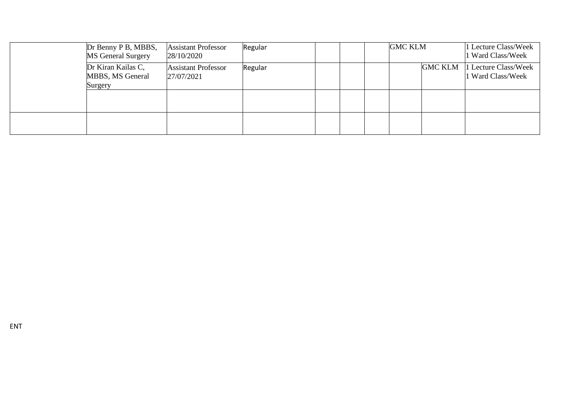| Dr Benny P B, MBBS,<br><b>MS</b> General Surgery  | <b>Assistant Professor</b><br>28/10/2020 | Regular |  | <b>GMC KLM</b> |                | 1 Lecture Class/Week<br>1 Ward Class/Week |
|---------------------------------------------------|------------------------------------------|---------|--|----------------|----------------|-------------------------------------------|
| Dr Kiran Kailas C,<br>MBBS, MS General<br>Surgery | <b>Assistant Professor</b><br>27/07/2021 | Regular |  |                | <b>GMC KLM</b> | 1 Lecture Class/Week<br>1 Ward Class/Week |
|                                                   |                                          |         |  |                |                |                                           |
|                                                   |                                          |         |  |                |                |                                           |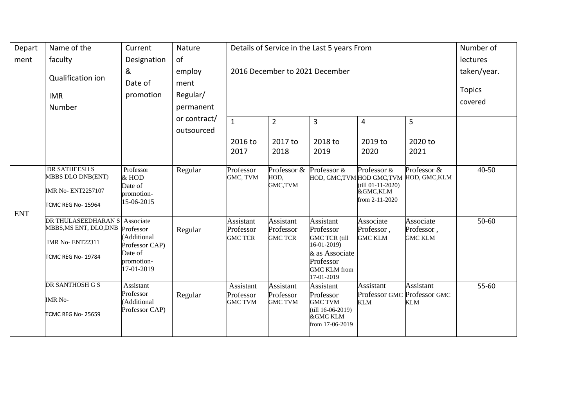| Depart     | Name of the                                                                                             | Current                                                                          | Nature                     | Details of Service in the Last 5 years From     | Number of                                       |                                                                                                                                             |                                                                     |                                           |           |
|------------|---------------------------------------------------------------------------------------------------------|----------------------------------------------------------------------------------|----------------------------|-------------------------------------------------|-------------------------------------------------|---------------------------------------------------------------------------------------------------------------------------------------------|---------------------------------------------------------------------|-------------------------------------------|-----------|
| ment       | faculty                                                                                                 | Designation                                                                      | of                         |                                                 |                                                 |                                                                                                                                             |                                                                     |                                           | lectures  |
|            |                                                                                                         | 2016 December to 2021 December<br>taken/year.<br>&<br>employ                     |                            |                                                 |                                                 |                                                                                                                                             |                                                                     |                                           |           |
|            | Qualification ion                                                                                       | Date of                                                                          | ment                       |                                                 |                                                 |                                                                                                                                             |                                                                     |                                           |           |
|            | <b>IMR</b>                                                                                              | promotion                                                                        | Regular/                   |                                                 |                                                 | <b>Topics</b>                                                                                                                               |                                                                     |                                           |           |
|            | Number                                                                                                  |                                                                                  | permanent                  |                                                 |                                                 | covered                                                                                                                                     |                                                                     |                                           |           |
|            |                                                                                                         |                                                                                  | or contract/<br>outsourced | $\mathbf{1}$                                    | $\overline{2}$                                  | 3                                                                                                                                           | 4                                                                   | 5                                         |           |
|            |                                                                                                         |                                                                                  |                            | 2016 to<br>2017                                 | 2017 to<br>2018                                 | 2018 to<br>2019                                                                                                                             | 2019 to<br>2020                                                     | 2020 to<br>2021                           |           |
|            | <b>DR SATHEESH S</b><br>MBBS DLO DNB(ENT)<br><b>IMR No- ENT2257107</b><br>TCMC REG No-15964             | Professor<br>& HOD<br>Date of<br>promotion-<br>15-06-2015                        | Regular                    | Professor<br>GMC, TVM                           | Professor & Professor &<br>HOD,<br>GMC,TVM      | HOD, GMC, TVM HOD GMC, TVM HOD, GMC, KLM                                                                                                    | Professor $\&$<br>$(till 01-11-2020)$<br>&GMC,KLM<br>from 2-11-2020 | Professor &                               | $40 - 50$ |
| <b>ENT</b> | DR THULASEEDHARAN S Associate<br>MBBS, MS ENT, DLO, DNB<br><b>IMR No- ENT22311</b><br>TCMC REG No-19784 | Professor<br>Additional<br>Professor CAP)<br>Date of<br>promotion-<br>17-01-2019 | Regular                    | <b>Assistant</b><br>Professor<br><b>GMC TCR</b> | <b>Assistant</b><br>Professor<br><b>GMC TCR</b> | <b>Assistant</b><br>Professor<br><b>GMC TCR (till</b><br>$16-01-2019$ )<br>& as Associate<br>Professor<br><b>GMC KLM</b> from<br>17-01-2019 | Associate<br>Professor,<br><b>GMC KLM</b>                           | Associate<br>Professor,<br><b>GMC KLM</b> | $50-60$   |
|            | DR SANTHOSH G S<br><b>IMR No-</b><br><b>TCMC REG No- 25659</b>                                          | Assistant<br>Professor<br>Additional<br>Professor CAP)                           | Regular                    | Assistant<br>Professor<br><b>GMC TVM</b>        | <b>Assistant</b><br>Professor<br><b>GMC TVM</b> | Assistant<br>Professor<br><b>GMC TVM</b><br>$(till 16-06-2019)$<br><b>&amp;GMC KLM</b><br>from 17-06-2019                                   | <b>Assistant</b><br>Professor GMC Professor GMC<br><b>KLM</b>       | Assistant<br>KLM                          | 55-60     |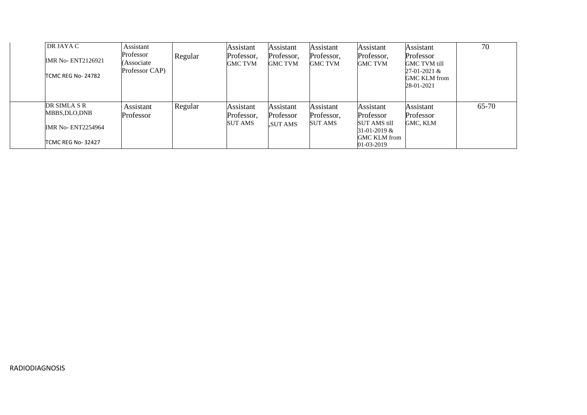| DR JAYA C<br><b>IMR No-ENT2126921</b><br>TCMC REG No-24782                     | Assistant<br>Professor<br>(Associate<br>Professor CAP) | Regular | Assistant<br>Professor,<br><b>GMC TVM</b> | <b>Assistant</b><br>Professor,<br>GMC TVM | Assistant<br>Professor,<br><b>GMC TVM</b> | <b>Assistant</b><br>Professor,<br><b>GMC TVM</b>                                                       | <b>Assistant</b><br>Professor<br><b>GMC TVM till</b><br>$27-01-2021$ &<br><b>GMC KLM</b> from<br>28-01-2021 | 70    |
|--------------------------------------------------------------------------------|--------------------------------------------------------|---------|-------------------------------------------|-------------------------------------------|-------------------------------------------|--------------------------------------------------------------------------------------------------------|-------------------------------------------------------------------------------------------------------------|-------|
| DR SIMLA S R<br>MBBS.DLO.DNB<br><b>IMR No- ENT2254964</b><br>TCMC REG No-32427 | Assistant<br>Professor                                 | Regular | Assistant<br>Professor,<br>SUT AMS        | Assistant<br>Professor<br><b>SUT AMS</b>  | Assistant<br>Professor,<br>SUT AMS        | Assistant<br>Professor<br><b>SUT AMS till</b><br>$31-01-2019$ &<br><b>GMC KLM</b> from<br>$01-03-2019$ | <b>Assistant</b><br>Professor<br>GMC, KLM                                                                   | 65-70 |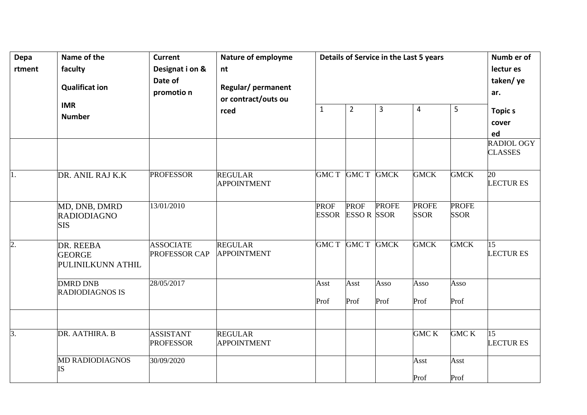| Depa<br>rtment   | Name of the<br>faculty<br><b>Qualificat ion</b><br><b>IMR</b> | <b>Current</b><br>Designat i on &<br>Date of<br>promotio n | Nature of employme<br>nt<br>Regular/ permanent<br>or contract/outs ou | $\mathbf{1}$                | Details of Service in the Last 5 years |                |                             |                             |                                    |  |  |
|------------------|---------------------------------------------------------------|------------------------------------------------------------|-----------------------------------------------------------------------|-----------------------------|----------------------------------------|----------------|-----------------------------|-----------------------------|------------------------------------|--|--|
|                  | <b>Number</b>                                                 |                                                            | rced                                                                  |                             | $\overline{2}$                         | $\overline{3}$ | 4                           | 5                           | <b>Topics</b><br>cover<br>ed       |  |  |
|                  |                                                               |                                                            |                                                                       |                             |                                        |                |                             |                             | RADIOL OGY<br><b>CLASSES</b>       |  |  |
| $\overline{1}$ . | DR. ANIL RAJ K.K                                              | <b>PROFESSOR</b>                                           | <b>REGULAR</b><br><b>APPOINTMENT</b>                                  |                             | GMC T GMC T GMCK                       |                | <b>GMCK</b>                 | <b>GMCK</b>                 | 20<br><b>LECTURES</b>              |  |  |
|                  | MD, DNB, DMRD<br><b>RADIODIAGNO</b><br><b>SIS</b>             | 13/01/2010                                                 |                                                                       | <b>PROF</b><br><b>ESSOR</b> | <b>PROF</b><br><b>ESSOR</b> SSOR       | <b>PROFE</b>   | <b>PROFE</b><br><b>SSOR</b> | <b>PROFE</b><br><b>SSOR</b> |                                    |  |  |
| $\overline{2}$ . | DR. REEBA<br><b>GEORGE</b><br>PULINILKUNN ATHIL               | <b>ASSOCIATE</b><br>PROFESSOR CAP                          | <b>REGULAR</b><br><b>APPOINTMENT</b>                                  | <b>GMC T</b>                | GMC T GMCK                             |                | <b>GMCK</b>                 | <b>GMCK</b>                 | $\overline{15}$<br><b>LECTURES</b> |  |  |
|                  | <b>DMRD DNB</b><br><b>RADIODIAGNOS IS</b>                     | 28/05/2017                                                 |                                                                       | Asst<br>Prof                | Asst<br>Prof                           | Asso<br>Prof   | Asso<br>Prof                | Asso<br>Prof                |                                    |  |  |
| 3.               | DR. AATHIRA. B                                                | <b>ASSISTANT</b><br><b>PROFESSOR</b>                       | <b>REGULAR</b><br><b>APPOINTMENT</b>                                  |                             |                                        |                | <b>GMC K</b>                | <b>GMC K</b>                | 15<br><b>LECTURES</b>              |  |  |
|                  | <b>MD RADIODIAGNOS</b><br><b>IS</b>                           | 30/09/2020                                                 |                                                                       |                             |                                        |                | Asst<br>Prof                | Asst<br>Prof                |                                    |  |  |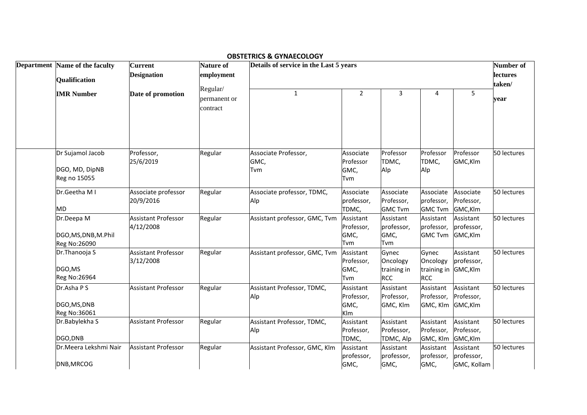|                                                        |                                         |                                      | <b>OBSTETRICS &amp; GYNAECOLOGY</b>    |                                        |                                                |                                                |                                        |             |
|--------------------------------------------------------|-----------------------------------------|--------------------------------------|----------------------------------------|----------------------------------------|------------------------------------------------|------------------------------------------------|----------------------------------------|-------------|
| Department Name of the faculty<br><b>Qualification</b> | <b>Current</b><br><b>Designation</b>    | Nature of<br>employment              | Details of service in the Last 5 years |                                        | Number of<br><b>lectures</b><br>taken/         |                                                |                                        |             |
| <b>IMR Number</b>                                      | Date of promotion                       | Regular/<br>permanent or<br>contract | $\mathbf{1}$                           | $\overline{2}$                         | 3                                              | 4                                              | 5                                      | vear        |
| Dr Sujamol Jacob<br>DGO, MD, DipNB<br>Reg no 15055     | Professor,<br>25/6/2019                 | Regular                              | Associate Professor,<br>GMC,<br>Tvm    | Associate<br>Professor<br>GMC,<br>Tvm  | Professor<br>TDMC,<br>Alp                      | Professor<br>TDMC,<br>Alp                      | Professor<br>GMC,Klm                   | 50 lectures |
| Dr.Geetha M I<br><b>MD</b>                             | Associate professor<br>20/9/2016        | Regular                              | Associate professor, TDMC,<br>Alp      | Associate<br>professor,<br>TDMC,       | Associate<br>Professor,<br><b>GMC Tvm</b>      | Associate<br>professor,<br><b>GMC Tvm</b>      | Associate<br>Professor,<br>GMC,Klm     | 50 lectures |
| Dr.Deepa M<br>DGO, MS, DNB, M. Phil<br>Reg No:26090    | <b>Assistant Professor</b><br>4/12/2008 | Regular                              | Assistant professor, GMC, Tvm          | Assistant<br>Professor,<br>GMC,<br>Tvm | Assistant<br>professor,<br>GMC,<br><b>Tvm</b>  | Assistant<br>professor,<br><b>GMC Tvm</b>      | Assistant<br>professor,<br>GMC,Klm     | 50 lectures |
| Dr.Thanooja S<br>DGO,MS<br>Reg No:26964                | <b>Assistant Professor</b><br>3/12/2008 | Regular                              | Assistant professor, GMC, Tvm          | Assistant<br>Professor,<br>GMC,<br>Tvm | Gynec<br>Oncology<br>training in<br><b>RCC</b> | Gynec<br>Oncology<br>training in<br><b>RCC</b> | Assistant<br>professor,<br>GMC,Klm     | 50 lectures |
| Dr.Asha P S<br>DGO, MS, DNB<br>Reg No:36061            | <b>Assistant Professor</b>              | Regular                              | Assistant Professor, TDMC,<br>Alp      | Assistant<br>Professor,<br>GMC,<br>Klm | Assistant<br>Professor,<br>GMC, Klm            | Assistant<br>Professor,<br>GMC, Klm            | Assistant<br>Professor,<br>GMC,Klm     | 50 lectures |
| Dr.Babylekha S<br>DGO, DNB                             | <b>Assistant Professor</b>              | Regular                              | Assistant Professor, TDMC,<br>Alp      | Assistant<br>Professor,<br>TDMC,       | Assistant<br>Professor,<br>TDMC, Alp           | Assistant<br>Professor,<br>GMC, Klm            | Assistant<br>Professor,<br>GMC,Klm     | 50 lectures |
| Dr.Meera Lekshmi Nair<br>DNB, MRCOG                    | <b>Assistant Professor</b>              | Regular                              | Assistant Professor, GMC, Klm          | Assistant<br>professor,<br>GMC,        | Assistant<br>professor,<br>GMC,                | Assistant<br>professor,<br>GMC,                | Assistant<br>professor,<br>GMC, Kollam | 50 lectures |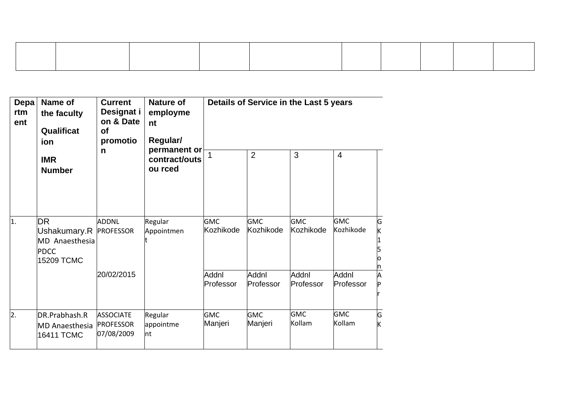| Depa<br>rtm<br>ent | Name of<br>the faculty<br>Qualificat<br>ion                                        | <b>Current</b><br>Designat i<br>on & Date<br>of<br>promotio | Nature of<br>employme<br>nt<br>Regular/<br>permanent or<br>contract/outs<br>ou rced |                         | Details of Service in the Last 5 years |                         |                         |        |
|--------------------|------------------------------------------------------------------------------------|-------------------------------------------------------------|-------------------------------------------------------------------------------------|-------------------------|----------------------------------------|-------------------------|-------------------------|--------|
|                    | <b>IMR</b><br><b>Number</b>                                                        | n                                                           |                                                                                     | $\mathbf 1$             | $\overline{2}$                         | 3                       | $\overline{4}$          |        |
| 1.                 | <b>DR</b><br>Ushakumary.R PROFESSOR<br>MD Anaesthesia<br><b>PDCC</b><br>15209 TCMC | <b>ADDNL</b>                                                | Regular<br>Appointmen                                                               | <b>GMC</b><br>Kozhikode | <b>GMC</b><br>Kozhikode                | <b>GMC</b><br>Kozhikode | <b>GMC</b><br>Kozhikode | Ġ<br>K |
|                    |                                                                                    | 20/02/2015                                                  |                                                                                     | Addnl<br>Professor      | Addnl<br>Professor                     | Addnl<br>Professor      | Addnl<br>Professor      | Α      |
| $\overline{2}$ .   | DR.Prabhash.R<br>MD Anaesthesia PROFESSOR<br>16411 TCMC                            | <b>ASSOCIATE</b><br>07/08/2009                              | Regular<br>appointme<br>nt                                                          | <b>GMC</b><br>Manjeri   | <b>GMC</b><br>Manjeri                  | <b>GMC</b><br>Kollam    | <b>GMC</b><br>Kollam    | G<br>Κ |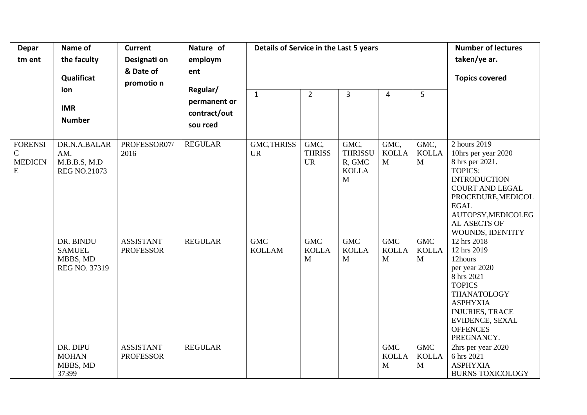| <b>Depar</b><br>tm ent                               | Name of<br>the faculty<br>Qualificat<br>ion<br><b>IMR</b><br><b>Number</b> | <b>Current</b><br>Designati on<br>& Date of<br>promotio n | Nature of<br>employm<br>ent<br>Regular/<br>permanent or<br>contract/out<br>sou rced | Details of Service in the Last 5 years<br>$\mathbf{1}$ | $\overline{2}$                     | 3                                                     | $\overline{4}$                       | 5                                    | <b>Number of lectures</b><br>taken/ye ar.<br><b>Topics covered</b>                                                                                                                                                       |
|------------------------------------------------------|----------------------------------------------------------------------------|-----------------------------------------------------------|-------------------------------------------------------------------------------------|--------------------------------------------------------|------------------------------------|-------------------------------------------------------|--------------------------------------|--------------------------------------|--------------------------------------------------------------------------------------------------------------------------------------------------------------------------------------------------------------------------|
| <b>FORENSI</b><br>$\mathsf C$<br><b>MEDICIN</b><br>E | DR.N.A.BALAR<br>AM.<br>M.B.B.S, M.D<br><b>REG NO.21073</b>                 | PROFESSOR07/<br>2016                                      | <b>REGULAR</b>                                                                      | <b>GMC, THRISS</b><br><b>UR</b>                        | GMC,<br><b>THRISS</b><br><b>UR</b> | GMC,<br><b>THRISSU</b><br>R, GMC<br><b>KOLLA</b><br>M | GMC,<br><b>KOLLA</b><br>$\mathbf{M}$ | GMC,<br><b>KOLLA</b><br>$\mathbf{M}$ | 2 hours 2019<br>10hrs per year 2020<br>8 hrs per 2021.<br><b>TOPICS:</b><br><b>INTRODUCTION</b><br><b>COURT AND LEGAL</b><br>PROCEDURE, MEDICOL<br><b>EGAL</b><br>AUTOPSY, MEDICOLEG<br>AL ASECTS OF<br>WOUNDS, IDENTITY |
|                                                      | DR. BINDU<br><b>SAMUEL</b><br>MBBS, MD<br>REG NO. 37319                    | <b>ASSISTANT</b><br><b>PROFESSOR</b>                      | <b>REGULAR</b>                                                                      | <b>GMC</b><br><b>KOLLAM</b>                            | <b>GMC</b><br><b>KOLLA</b><br>M    | <b>GMC</b><br><b>KOLLA</b><br>M                       | <b>GMC</b><br><b>KOLLA</b><br>M      | <b>GMC</b><br><b>KOLLA</b><br>M      | 12 hrs 2018<br>12 hrs 2019<br>12hours<br>per year 2020<br>8 hrs 2021<br><b>TOPICS</b><br>THANATOLOGY<br><b>ASPHYXIA</b><br><b>INJURIES, TRACE</b><br>EVIDENCE, SEXAL<br><b>OFFENCES</b><br>PREGNANCY.                    |
|                                                      | DR. DIPU<br><b>MOHAN</b><br>MBBS, MD<br>37399                              | <b>ASSISTANT</b><br><b>PROFESSOR</b>                      | <b>REGULAR</b>                                                                      |                                                        |                                    |                                                       | <b>GMC</b><br><b>KOLLA</b><br>M      | <b>GMC</b><br><b>KOLLA</b><br>M      | 2hrs per year 2020<br>6 hrs 2021<br><b>ASPHYXIA</b><br><b>BURNS TOXICOLOGY</b>                                                                                                                                           |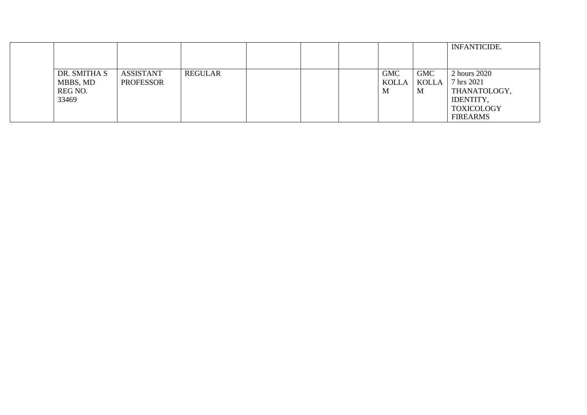|              |                  |         |  |            |            | <b>INFANTICIDE.</b> |
|--------------|------------------|---------|--|------------|------------|---------------------|
|              |                  |         |  |            |            |                     |
| DR. SMITHA S | <b>ASSISTANT</b> | REGULAR |  | <b>GMC</b> | <b>GMC</b> | 2 hours 2020        |
| MBBS, MD     | <b>PROFESSOR</b> |         |  | KOLLA      | KOLLA      | 7 hrs 2021          |
| REG NO.      |                  |         |  | M          | M          | THANATOLOGY,        |
| 33469        |                  |         |  |            |            | IDENTITY,           |
|              |                  |         |  |            |            | <b>TOXICOLOGY</b>   |
|              |                  |         |  |            |            | <b>FIREARMS</b>     |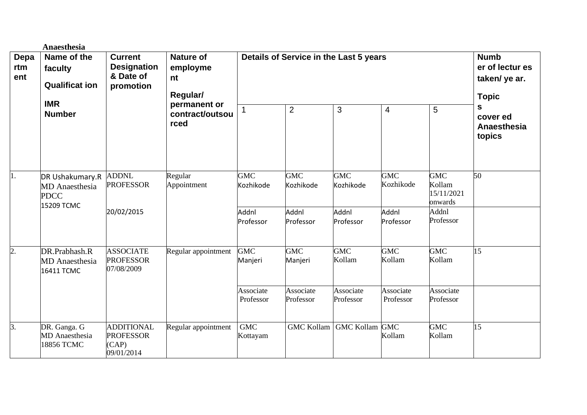|                    | Anaesthesia                                                           |                                                                |                                                                                           |                                        |                                                                 |                         |                         |                                               |                                        |
|--------------------|-----------------------------------------------------------------------|----------------------------------------------------------------|-------------------------------------------------------------------------------------------|----------------------------------------|-----------------------------------------------------------------|-------------------------|-------------------------|-----------------------------------------------|----------------------------------------|
| Depa<br>rtm<br>ent | Name of the<br>faculty<br><b>Qualificat ion</b>                       | <b>Current</b><br><b>Designation</b><br>& Date of<br>promotion | <b>Nature of</b><br>employme<br>nt<br>Regular/<br>permanent or<br>contract/outsou<br>rced | Details of Service in the Last 5 years | <b>Numb</b><br>er of lectur es<br>taken/ ye ar.<br><b>Topic</b> |                         |                         |                                               |                                        |
|                    | <b>IMR</b><br><b>Number</b>                                           |                                                                |                                                                                           |                                        | $\overline{2}$                                                  | 3                       | 4                       | 5                                             | s<br>cover ed<br>Anaesthesia<br>topics |
| 1.                 | DR Ushakumary.R<br><b>MD</b> Anaesthesia<br><b>PDCC</b><br>15209 TCMC | <b>ADDNL</b><br><b>PROFESSOR</b>                               | Regular<br>Appointment                                                                    | <b>GMC</b><br>Kozhikode                | <b>GMC</b><br>Kozhikode                                         | <b>GMC</b><br>Kozhikode | <b>GMC</b><br>Kozhikode | <b>GMC</b><br>Kollam<br>15/11/2021<br>onwards | 50                                     |
|                    |                                                                       | 20/02/2015                                                     |                                                                                           | Addnl<br>Professor                     | Addnl<br>Professor                                              | Addnl<br>Professor      | Addnl<br>Professor      | Addnl<br>Professor                            |                                        |
| $\overline{2}$ .   | DR.Prabhash.R<br><b>MD</b> Anaesthesia<br>16411 TCMC                  | <b>ASSOCIATE</b><br><b>PROFESSOR</b><br>07/08/2009             | Regular appointment                                                                       | <b>GMC</b><br>Manjeri                  | <b>GMC</b><br>Manjeri                                           | <b>GMC</b><br>Kollam    | <b>GMC</b><br>Kollam    | <b>GMC</b><br>Kollam                          | 15                                     |
|                    |                                                                       |                                                                |                                                                                           | Associate<br>Professor                 | Associate<br>Professor                                          | Associate<br>Professor  | Associate<br>Professor  | Associate<br>Professor                        |                                        |
| 3.                 | DR. Ganga. G<br><b>MD</b> Anaesthesia<br>18856 TCMC                   | <b>ADDITIONAL</b><br><b>PROFESSOR</b><br>(CAP)<br>09/01/2014   | Regular appointment                                                                       | <b>GMC</b><br>Kottayam                 | <b>GMC Kollam</b>                                               | <b>GMC Kollam</b>       | <b>GMC</b><br>Kollam    | <b>GMC</b><br>Kollam                          | 15                                     |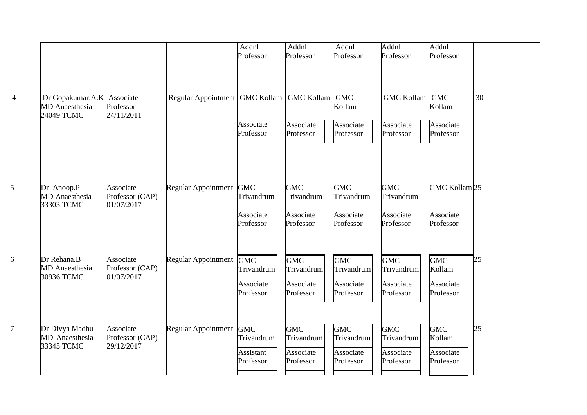|                |                                                                     |                                            |                                  | Addnl<br>Professor      | Addnl<br>Professor                    | Addnl<br>Professor                    | $\overline{A}$ ddnl<br>Professor      | Addnl<br>Professor                |    |
|----------------|---------------------------------------------------------------------|--------------------------------------------|----------------------------------|-------------------------|---------------------------------------|---------------------------------------|---------------------------------------|-----------------------------------|----|
|                |                                                                     |                                            |                                  |                         |                                       |                                       |                                       |                                   |    |
| $\overline{4}$ | Dr Gopakumar.A.K   Associate<br><b>MD</b> Anaesthesia<br>24049 TCMC | Professor<br>24/11/2011                    | Regular Appointment   GMC Kollam |                         | <b>GMC Kollam</b>                     | <b>GMC</b><br>Kollam                  | <b>GMC Kollam</b>                     | <b>GMC</b><br>Kollam              | 30 |
|                |                                                                     |                                            |                                  | Associate<br>Professor  | Associate<br>Professor                | Associate<br>Professor                | Associate<br>Professor                | Associate<br>Professor            |    |
| 5              | Dr Anoop.P<br><b>MD</b> Anaesthesia<br>33303 TCMC                   | Associate<br>Professor (CAP)<br>01/07/2017 | Regular Appointment GMC          | Trivandrum              | <b>GMC</b><br>Trivandrum              | <b>GMC</b><br>Trivandrum              | <b>GMC</b><br>Trivandrum              | GMC Kollam <sub>25</sub>          |    |
|                |                                                                     |                                            |                                  | Associate<br>Professor  | Associate<br>Professor                | Associate<br>Professor                | Associate<br>Professor                | Associate<br>Professor            |    |
| 6              | Dr Rehana.B<br><b>MD</b> Anaesthesia<br>30936 TCMC                  | Associate<br>Professor (CAP)<br>01/07/2017 | Regular Appointment GMC          | Trivandrum              | <b>GMC</b><br>Trivandrum              | <b>GMC</b><br>Trivandrum              | <b>GMC</b><br>Trivandrum              | <b>GMC</b><br>Kollam              | 25 |
|                |                                                                     |                                            |                                  | Associate<br>Professor  | Associate<br>Professor                | Associate<br>Professor                | Associate<br>Professor                | Associate<br>Professor            |    |
| 7              | Dr Divya Madhu<br>MD Anaesthesia<br>33345 TCMC                      | Associate<br>Professor (CAP)<br>29/12/2017 | Regular Appointment GMC          | Trivandrum<br>Assistant | <b>GMC</b><br>Trivandrum<br>Associate | <b>GMC</b><br>Trivandrum<br>Associate | <b>GMC</b><br>Trivandrum<br>Associate | <b>GMC</b><br>Kollam<br>Associate | 25 |
|                |                                                                     |                                            |                                  | Professor               | Professor                             | Professor                             | Professor                             | Professor                         |    |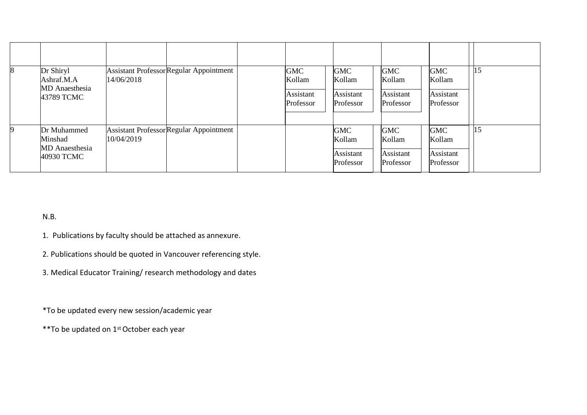| 8  | Dr Shiryl<br>Ashraf.M.A<br><b>MD</b> Anaesthesia<br>43789 TCMC | 14/06/2018 | <b>Assistant Professor Regular Appointment</b> | <b>GMC</b><br>Kollam<br>Assistant<br>Professor | <b>GMC</b><br>Kollam<br>Assistant<br>Professor | <b>GMC</b><br>Kollam<br>Assistant<br>Professor | <b>GMC</b><br>Kollam<br>Assistant<br>Professor | 15 |
|----|----------------------------------------------------------------|------------|------------------------------------------------|------------------------------------------------|------------------------------------------------|------------------------------------------------|------------------------------------------------|----|
| 19 | Dr Muhammed<br>Minshad<br><b>MD</b> Anaesthesia<br>40930 TCMC  | 10/04/2019 | <b>Assistant Professor Regular Appointment</b> |                                                | <b>GMC</b><br>Kollam<br>Assistant<br>Professor | <b>GMC</b><br>Kollam<br>Assistant<br>Professor | <b>GMC</b><br>Kollam<br>Assistant<br>Professor | 15 |

N.B.

- 1. Publications by faculty should be attached as annexure.
- 2. Publications should be quoted in Vancouver referencing style.
- 3. Medical Educator Training/ research methodology and dates

\*To be updated every new session/academic year

\*\*To be updated on 1st October each year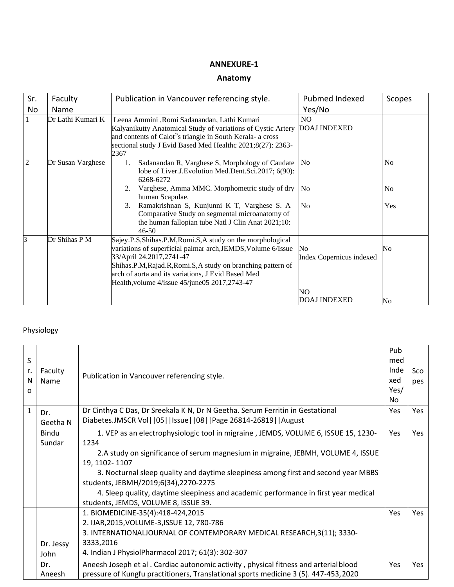### **Anatomy**

| Sr. | Faculty           | Publication in Vancouver referencing style.                                                                                                                                                                                                                                                                                                                                       | Pubmed Indexed                                               | Scopes                       |
|-----|-------------------|-----------------------------------------------------------------------------------------------------------------------------------------------------------------------------------------------------------------------------------------------------------------------------------------------------------------------------------------------------------------------------------|--------------------------------------------------------------|------------------------------|
| No  | Name              |                                                                                                                                                                                                                                                                                                                                                                                   | Yes/No                                                       |                              |
|     | Dr Lathi Kumari K | Leena Ammini , Romi Sadanandan, Lathi Kumari<br>Kalyanikutty Anatomical Study of variations of Cystic Artery<br>and contents of Calot"s triangle in South Kerala- a cross<br>sectional study J Evid Based Med Healthc 2021;8(27): 2363-<br>2367                                                                                                                                   | N <sub>O</sub><br><b>DOAJ INDEXED</b>                        |                              |
| 2   | Dr Susan Varghese | Sadanandan R, Varghese S, Morphology of Caudate<br>1.<br>lobe of Liver.J. Evolution Med. Dent. Sci. 2017; 6(90):<br>6268-6272<br>Varghese, Amma MMC. Morphometric study of dry<br>2.<br>human Scapulae.<br>Ramakrishnan S, Kunjunni K T, Varghese S. A<br>3.<br>Comparative Study on segmental microanatomy of<br>the human fallopian tube Natl J Clin Anat 2021;10:<br>$46 - 50$ | No<br>N <sub>0</sub><br>No                                   | N <sub>o</sub><br>No.<br>Yes |
| 3   | Dr Shihas P M     | Sajey.P.S, Shihas.P.M, Romi.S, A study on the morphological<br>variations of superficial palmar arch, JEMDS, Volume 6/Issue<br>33/April 24.2017,2741-47<br>Shihas.P.M, Rajad.R, Romi.S, A study on branching pattern of<br>arch of aorta and its variations, J Evid Based Med<br>Health, volume 4/issue 45/june05 2017, 2743-47                                                   | No<br>Index Copernicus indexed<br>NO.<br><b>DOAJ INDEXED</b> | No<br>No                     |

### Physiology

| S<br>r.<br>N<br>O | Faculty<br>Name        | Publication in Vancouver referencing style.                                                                                                                                                                                                                                                                                                                                                                                                                  | Pub<br>med<br>Inde<br>xed<br>Yes/<br>No | Sco<br>pes |
|-------------------|------------------------|--------------------------------------------------------------------------------------------------------------------------------------------------------------------------------------------------------------------------------------------------------------------------------------------------------------------------------------------------------------------------------------------------------------------------------------------------------------|-----------------------------------------|------------|
| $\mathbf{1}$      | Dr.<br>Geetha N        | Dr Cinthya C Das, Dr Sreekala K N, Dr N Geetha. Serum Ferritin in Gestational<br>Diabetes.JMSCR Vol   05     Issue   108     Page 26814-26819     August                                                                                                                                                                                                                                                                                                     | Yes                                     | Yes        |
|                   | <b>Bindu</b><br>Sundar | 1. VEP as an electrophysiologic tool in migraine, JEMDS, VOLUME 6, ISSUE 15, 1230-<br>1234<br>2.A study on significance of serum magnesium in migraine, JEBMH, VOLUME 4, ISSUE<br>19, 1102-1107<br>3. Nocturnal sleep quality and daytime sleepiness among first and second year MBBS<br>students, JEBMH/2019;6(34),2270-2275<br>4. Sleep quality, daytime sleepiness and academic performance in first year medical<br>students, JEMDS, VOLUME 8, ISSUE 39. | Yes                                     | Yes        |
|                   | Dr. Jessy<br>John      | 1. BIOMEDICINE-35(4):418-424,2015<br>2. IJAR, 2015, VOLUME-3, ISSUE 12, 780-786<br>3. INTERNATIONALJOURNAL OF CONTEMPORARY MEDICAL RESEARCH, 3(11); 3330-<br>3333,2016<br>4. Indian J PhysiolPharmacol 2017; 61(3): 302-307                                                                                                                                                                                                                                  | Yes                                     | <b>Yes</b> |
|                   | Dr.<br>Aneesh          | Aneesh Joseph et al . Cardiac autonomic activity, physical fitness and arterial blood<br>pressure of Kungfu practitioners, Translational sports medicine 3 (5). 447-453, 2020                                                                                                                                                                                                                                                                                | Yes                                     | <b>Yes</b> |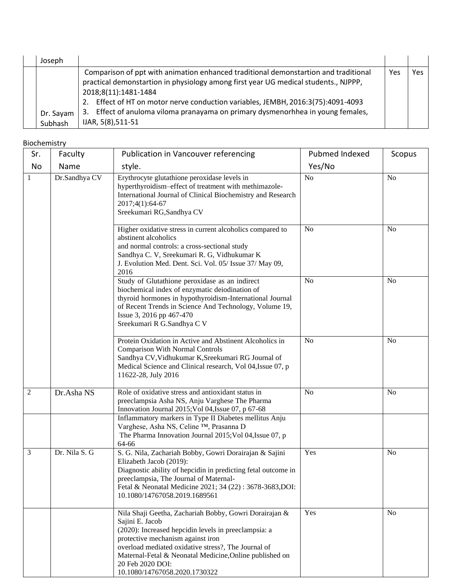| Joseph    |                                                                                     |     |     |
|-----------|-------------------------------------------------------------------------------------|-----|-----|
|           | Comparison of ppt with animation enhanced traditional demonstartion and traditional | Yes | Yes |
|           | practical demonstartion in physiology among first year UG medical students., NJPPP, |     |     |
|           | 2018;8(11):1481-1484                                                                |     |     |
|           | Effect of HT on motor nerve conduction variables, JEMBH, 2016:3(75):4091-4093<br>2. |     |     |
| Dr. Sayam | 3. Effect of anuloma viloma pranayama on primary dysmenorhhea in young females,     |     |     |
| Subhash   | IJAR, 5(8), 511-51                                                                  |     |     |

#### Biochemistry

| Sr.            | Faculty       | Publication in Vancouver referencing                                                                                                                                                                                                                                                                                                          | Pubmed Indexed | Scopus         |
|----------------|---------------|-----------------------------------------------------------------------------------------------------------------------------------------------------------------------------------------------------------------------------------------------------------------------------------------------------------------------------------------------|----------------|----------------|
| No             | Name          | style.                                                                                                                                                                                                                                                                                                                                        | Yes/No         |                |
| $\mathbf{1}$   | Dr.Sandhya CV | Erythrocyte glutathione peroxidase levels in<br>hyperthyroidism-effect of treatment with methimazole-<br>International Journal of Clinical Biochemistry and Research<br>2017;4(1):64-67<br>Sreekumari RG, Sandhya CV                                                                                                                          | N <sub>o</sub> | N <sub>o</sub> |
|                |               | Higher oxidative stress in current alcoholics compared to<br>abstinent alcoholics<br>and normal controls: a cross-sectional study<br>Sandhya C. V, Sreekumari R. G, Vidhukumar K<br>J. Evolution Med. Dent. Sci. Vol. 05/ Issue 37/ May 09,<br>2016                                                                                           | N <sub>o</sub> | N <sub>0</sub> |
|                |               | Study of Glutathione peroxidase as an indirect<br>biochemical index of enzymatic deiodination of<br>thyroid hormones in hypothyroidism-International Journal<br>of Recent Trends in Science And Technology, Volume 19,<br>Issue 3, 2016 pp 467-470<br>Sreekumari R G.Sandhya C V                                                              | N <sub>o</sub> | N <sub>o</sub> |
|                |               | Protein Oxidation in Active and Abstinent Alcoholics in<br><b>Comparison With Normal Controls</b><br>Sandhya CV, Vidhukumar K, Sreekumari RG Journal of<br>Medical Science and Clinical research, Vol 04, Issue 07, p<br>11622-28, July 2016                                                                                                  | N <sub>o</sub> | N <sub>o</sub> |
| $\overline{2}$ | Dr.Asha NS    | Role of oxidative stress and antioxidant status in<br>preeclampsia Asha NS, Anju Varghese The Pharma<br>Innovation Journal 2015; Vol 04, Issue 07, p 67-68                                                                                                                                                                                    | N <sub>o</sub> | N <sub>o</sub> |
|                |               | Inflammatory markers in Type II Diabetes mellitus Anju<br>Varghese, Asha NS, Celine ™, Prasanna D<br>The Pharma Innovation Journal 2015; Vol 04, Issue 07, p<br>64-66                                                                                                                                                                         |                |                |
| 3              | Dr. Nila S. G | S. G. Nila, Zachariah Bobby, Gowri Dorairajan & Sajini<br>Elizabeth Jacob (2019):<br>Diagnostic ability of hepcidin in predicting fetal outcome in<br>preeclampsia, The Journal of Maternal-<br>Fetal & Neonatal Medicine 2021; 34 (22): 3678-3683, DOI:<br>10.1080/14767058.2019.1689561                                                     | Yes            | N <sub>o</sub> |
|                |               | Nila Shaji Geetha, Zachariah Bobby, Gowri Dorairajan &<br>Sajini E. Jacob<br>(2020): Increased hepcidin levels in preeclampsia: a<br>protective mechanism against iron<br>overload mediated oxidative stress?, The Journal of<br>Maternal-Fetal & Neonatal Medicine, Online published on<br>20 Feb 2020 DOI:<br>10.1080/14767058.2020.1730322 | Yes            | N <sub>o</sub> |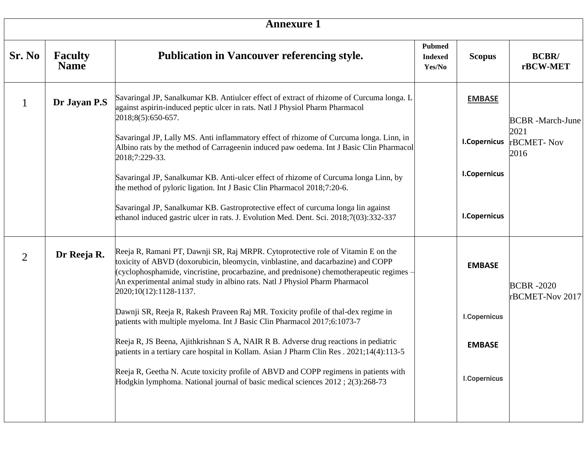|                |                               | <b>Annexure 1</b>                                                                                                                                                                                                                                                                                                                                                         |                                           |                     |                                     |
|----------------|-------------------------------|---------------------------------------------------------------------------------------------------------------------------------------------------------------------------------------------------------------------------------------------------------------------------------------------------------------------------------------------------------------------------|-------------------------------------------|---------------------|-------------------------------------|
| Sr. No         | <b>Faculty</b><br><b>Name</b> | Publication in Vancouver referencing style.                                                                                                                                                                                                                                                                                                                               | <b>Pubmed</b><br><b>Indexed</b><br>Yes/No | <b>Scopus</b>       | <b>BCBR/</b><br>rBCW-MET            |
| $\mathbf{1}$   | Dr Jayan P.S                  | Savaringal JP, Sanalkumar KB. Antiulcer effect of extract of rhizome of Curcuma longa. L<br>against aspirin-induced peptic ulcer in rats. Natl J Physiol Pharm Pharmacol<br>2018;8(5):650-657.                                                                                                                                                                            |                                           | <b>EMBASE</b>       | <b>BCBR</b> -March-June             |
|                |                               | Savaringal JP, Lally MS. Anti inflammatory effect of rhizome of Curcuma longa. Linn, in<br>Albino rats by the method of Carrageenin induced paw oedema. Int J Basic Clin Pharmacol<br>2018;7:229-33.                                                                                                                                                                      |                                           | <b>I.Copernicus</b> | 2021<br>rBCMET-Nov<br>2016          |
|                |                               | Savaringal JP, Sanalkumar KB. Anti-ulcer effect of rhizome of Curcuma longa Linn, by<br>the method of pyloric ligation. Int J Basic Clin Pharmacol 2018;7:20-6.                                                                                                                                                                                                           |                                           | <b>I.Copernicus</b> |                                     |
|                |                               | Savaringal JP, Sanalkumar KB. Gastroprotective effect of curcuma longa lin against<br>ethanol induced gastric ulcer in rats. J. Evolution Med. Dent. Sci. 2018;7(03):332-337                                                                                                                                                                                              |                                           | <b>I.Copernicus</b> |                                     |
| $\overline{2}$ | Dr Reeja R.                   | Reeja R, Ramani PT, Dawnji SR, Raj MRPR. Cytoprotective role of Vitamin E on the<br>toxicity of ABVD (doxorubicin, bleomycin, vinblastine, and dacarbazine) and COPP<br>(cyclophosphamide, vincristine, procarbazine, and prednisone) chemotherapeutic regimes -<br>An experimental animal study in albino rats. Natl J Physiol Pharm Pharmacol<br>2020;10(12):1128-1137. |                                           | <b>EMBASE</b>       | <b>BCBR-2020</b><br>rBCMET-Nov 2017 |
|                |                               | Dawnji SR, Reeja R, Rakesh Praveen Raj MR. Toxicity profile of thal-dex regime in<br>patients with multiple myeloma. Int J Basic Clin Pharmacol 2017;6:1073-7                                                                                                                                                                                                             |                                           | <b>I.Copernicus</b> |                                     |
|                |                               | Reeja R, JS Beena, Ajithkrishnan S A, NAIR R B. Adverse drug reactions in pediatric<br>patients in a tertiary care hospital in Kollam. Asian J Pharm Clin Res. 2021;14(4):113-5                                                                                                                                                                                           |                                           | <b>EMBASE</b>       |                                     |
|                |                               | Reeja R, Geetha N. Acute toxicity profile of ABVD and COPP regimens in patients with<br>Hodgkin lymphoma. National journal of basic medical sciences 2012; 2(3):268-73                                                                                                                                                                                                    |                                           | <b>I.Copernicus</b> |                                     |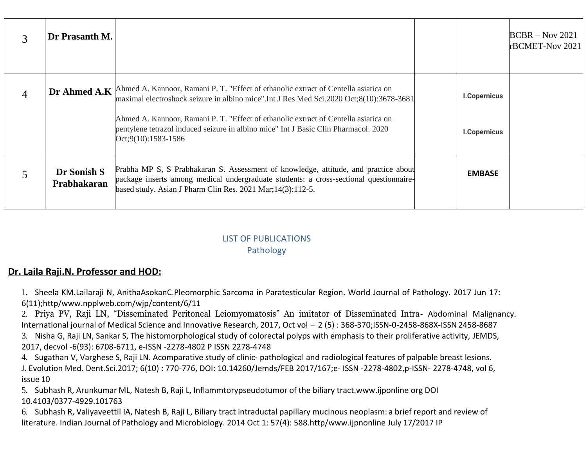|   | Dr Prasanth M.             |                                                                                                                                                                                                                                                                                                                                                                                                  |                                     | $BCBR - Nov 2021$<br>rBCMET-Nov 2021 |
|---|----------------------------|--------------------------------------------------------------------------------------------------------------------------------------------------------------------------------------------------------------------------------------------------------------------------------------------------------------------------------------------------------------------------------------------------|-------------------------------------|--------------------------------------|
| 4 |                            | Dr Ahmed A.K Ahmed A. Kannoor, Ramani P. T. "Effect of ethanolic extract of Centella asiatica on<br>maximal electroshock seizure in albino mice".Int J Res Med Sci.2020 Oct;8(10):3678-3681<br>Ahmed A. Kannoor, Ramani P. T. "Effect of ethanolic extract of Centella asiatica on<br>pentylene tetrazol induced seizure in albino mice" Int J Basic Clin Pharmacol. 2020<br>Oct;9(10):1583-1586 | <b>I.Copernicus</b><br>I.Copernicus |                                      |
|   | Dr Sonish S<br>Prabhakaran | Prabha MP S, S Prabhakaran S. Assessment of knowledge, attitude, and practice about<br>package inserts among medical undergraduate students: a cross-sectional questionnaire-<br>based study. Asian J Pharm Clin Res. 2021 Mar; 14(3): 112-5.                                                                                                                                                    | <b>EMBASE</b>                       |                                      |

### LIST OF PUBLICATIONS Pathology

# **Dr. Laila Raji.N. Professor and HOD:**

1. Sheela KM.Lailaraji N, AnithaAsokanC.Pleomorphic Sarcoma in Paratesticular Region. World Journal of Pathology. 2017 Jun 17: 6(11);htt[p/www.npplweb.com/wjp/content/6/11](http://www.npplweb.com/wjp/content/6/11)

2. Priya PV, Raji LN, "Disseminated Peritoneal Leiomyomatosis" An imitator of Disseminated Intra- Abdominal Malignancy. International journal of Medical Science and Innovative Research, 2017, Oct vol – 2 (5) : 368-370;ISSN-0-2458-868X-ISSN 2458-8687

3. Nisha G, Raji LN, Sankar S, The histomorphological study of colorectal polyps with emphasis to their proliferative activity, JEMDS, 2017, decvol -6(93): 6708-6711, e-ISSN -2278-4802 P ISSN 2278-4748

4. Sugathan V, Varghese S, Raji LN. Acomparative study of clinic- pathological and radiological features of palpable breast lesions. J. Evolution Med. Dent.Sci.2017; 6(10) : 770-776, DOI: 10.14260/Jemds/FEB 2017/167;e- ISSN -2278-4802,p-ISSN- 2278-4748, vol 6, issue 10

5. Subhash R, Arunkumar ML, Natesh B, Raji L, Inflammtorypseudotumor of the biliary tract.www.ijponline org DOI 10.4103/0377-4929.101763

6. Subhash R, Valiyaveettil IA, Natesh B, Raji L, Biliary tract intraductal papillary mucinous neoplasm: a brief report and review of literature. Indian Journal of Pathology and Microbiology. 2014 Oct 1: 57(4): 588.http/www.ijpnonline July 17/2017 IP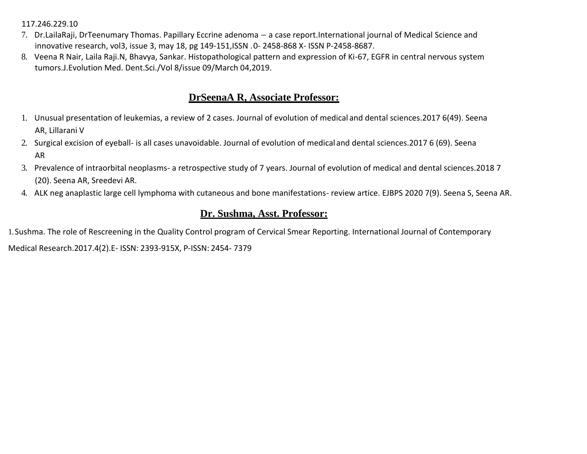#### 117.246.229.10

- 7. Dr.LailaRaji, DrTeenumary Thomas. Papillary Eccrine adenoma a case report.International journal of Medical Science and innovative research, vol3, issue 3, may 18, pg 149-151,ISSN .0- 2458-868 X- ISSN P-2458-8687.
- 8. Veena R Nair, Laila Raji.N, Bhavya, Sankar. Histopathological pattern and expression of Ki-67, EGFR in central nervous system tumors.J.Evolution Med. Dent.Sci./Vol 8/issue 09/March 04,2019.

### **DrSeenaA R, Associate Professor:**

- 1. Unusual presentation of leukemias, a review of 2 cases. Journal of evolution of medical and dental sciences.2017 6(49). Seena AR, Lillarani V
- 2. Surgical excision of eyeball- is all cases unavoidable. Journal of evolution of medical and dental sciences.2017 6 (69). Seena AR
- 3. Prevalence of intraorbital neoplasms- a retrospective study of 7 years. Journal of evolution of medical and dental sciences.2018 7 (20). Seena AR, Sreedevi AR.
- 4. ALK neg anaplastic large cell lymphoma with cutaneous and bone manifestations- review artice. EJBPS 2020 7(9). Seena S, Seena AR.

## **Dr. Sushma, Asst. Professor:**

1.Sushma. The role of Rescreening in the Quality Control program of Cervical Smear Reporting. International Journal of Contemporary

Medical Research.2017.4(2).E- ISSN: 2393-915X, P-ISSN: 2454- 7379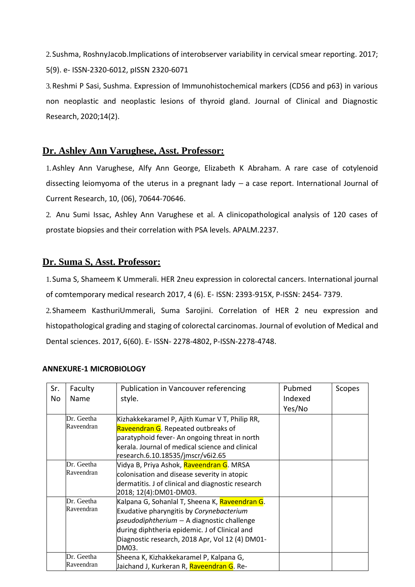2.Sushma, RoshnyJacob.Implications of interobserver variability in cervical smear reporting. 2017; 5(9). e- ISSN-2320-6012, pISSN 2320-6071

3.Reshmi P Sasi, Sushma. Expression of Immunohistochemical markers (CD56 and p63) in various non neoplastic and neoplastic lesions of thyroid gland. Journal of Clinical and Diagnostic Research, 2020;14(2).

### **Dr. Ashley Ann Varughese, Asst. Professor:**

1.Ashley Ann Varughese, Alfy Ann George, Elizabeth K Abraham. A rare case of cotylenoid dissecting leiomyoma of the uterus in a pregnant lady  $-$  a case report. International Journal of Current Research, 10, (06), 70644-70646.

2. Anu Sumi Issac, Ashley Ann Varughese et al. A clinicopathological analysis of 120 cases of prostate biopsies and their correlation with PSA levels. APALM.2237.

### **Dr. Suma S, Asst. Professor:**

1.Suma S, Shameem K Ummerali. HER 2neu expression in colorectal cancers. International journal of comtemporary medical research 2017, 4 (6). E- ISSN: 2393-915X, P-ISSN: 2454- 7379.

2.Shameem KasthuriUmmerali, Suma Sarojini. Correlation of HER 2 neu expression and histopathological grading and staging of colorectal carcinomas. Journal of evolution of Medical and Dental sciences. 2017, 6(60). E- ISSN- 2278-4802, P-ISSN-2278-4748.

| Sr. | Faculty                  | Publication in Vancouver referencing                                                  | Pubmed  | Scopes |
|-----|--------------------------|---------------------------------------------------------------------------------------|---------|--------|
| No  | Name                     | style.                                                                                | Indexed |        |
|     |                          |                                                                                       | Yes/No  |        |
|     | Dr. Geetha<br>Raveendran | Kizhakkekaramel P, Ajith Kumar V T, Philip RR,<br>Raveendran G. Repeated outbreaks of |         |        |
|     |                          | paratyphoid fever- An ongoing threat in north                                         |         |        |
|     |                          | kerala. Journal of medical science and clinical<br>research.6.10.18535/jmscr/v6i2.65  |         |        |
|     | Dr. Geetha               | Vidya B, Priya Ashok, <mark>Raveendran G</mark> . MRSA                                |         |        |
|     | Raveendran               | colonisation and disease severity in atopic                                           |         |        |
|     |                          | dermatitis. J of clinical and diagnostic research                                     |         |        |
|     |                          | 2018; 12(4):DM01-DM03.                                                                |         |        |
|     | Dr. Geetha               | Kalpana G, Sohanlal T, Sheena K, Raveendran G.                                        |         |        |
|     | Raveendran               | Exudative pharyngitis by Corynebacterium                                              |         |        |
|     |                          | pseudodiphtherium - A diagnostic challenge                                            |         |        |
|     |                          | during diphtheria epidemic. J of Clinical and                                         |         |        |
|     |                          | Diagnostic research, 2018 Apr, Vol 12 (4) DM01-                                       |         |        |
|     |                          | DM03.                                                                                 |         |        |
|     | Dr. Geetha               | Sheena K, Kizhakkekaramel P, Kalpana G,                                               |         |        |
|     | Raveendran               | Jaichand J, Kurkeran R, <mark>Raveendran G</mark> . Re-                               |         |        |

#### **ANNEXURE-1 MICROBIOLOGY**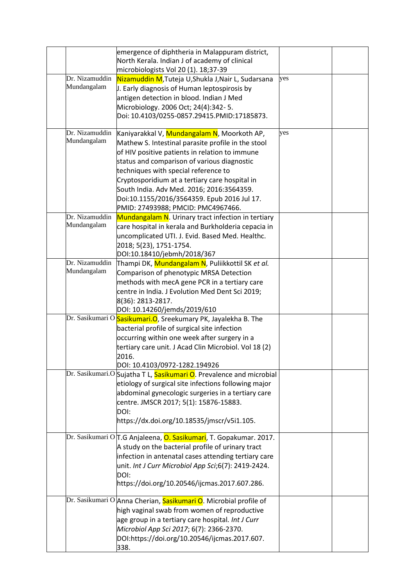|                               | emergence of diphtheria in Malappuram district,<br>North Kerala. Indian J of academy of clinical<br>microbiologists Vol 20 (1). 18;37-39                                                                                                                                                                                                                                                                                                     |     |  |
|-------------------------------|----------------------------------------------------------------------------------------------------------------------------------------------------------------------------------------------------------------------------------------------------------------------------------------------------------------------------------------------------------------------------------------------------------------------------------------------|-----|--|
| Dr. Nizamuddin<br>Mundangalam | Nizamuddin M,Tuteja U,Shukla J,Nair L, Sudarsana<br>J. Early diagnosis of Human leptospirosis by<br>antigen detection in blood. Indian J Med<br>Microbiology. 2006 Oct; 24(4):342-5.<br>Doi: 10.4103/0255-0857.29415.PMID:17185873.                                                                                                                                                                                                          | yes |  |
| Dr. Nizamuddin<br>Mundangalam | Kaniyarakkal V, <mark>Mundangalam N</mark> , Moorkoth AP,<br>Mathew S. Intestinal parasite profile in the stool<br>of HIV positive patients in relation to immune<br>status and comparison of various diagnostic<br>techniques with special reference to<br>Cryptosporidium at a tertiary care hospital in<br>South India. Adv Med. 2016; 2016:3564359.<br>Doi:10.1155/2016/3564359. Epub 2016 Jul 17.<br>PMID: 27493988; PMCID: PMC4967466. | yes |  |
| Dr. Nizamuddin<br>Mundangalam | Mundangalam N. Urinary tract infection in tertiary<br>care hospital in kerala and Burkholderia cepacia in<br>uncomplicated UTI. J. Evid. Based Med. Healthc.<br>2018; 5(23), 1751-1754.<br>DOI:10.18410/jebmh/2018/367                                                                                                                                                                                                                       |     |  |
| Dr. Nizamuddin<br>Mundangalam | Thampi DK, <mark>Mundangalam N</mark> , Puliikkottil SK <i>et al.</i><br>Comparison of phenotypic MRSA Detection<br>methods with mecA gene PCR in a tertiary care<br>centre in India. J Evolution Med Dent Sci 2019;<br>8(36): 2813-2817.<br>DOI: 10.14260/jemds/2019/610                                                                                                                                                                    |     |  |
|                               | Dr. Sasikumari O <mark>Sasikumari.O</mark> , Sreekumary PK, Jayalekha B. The<br>bacterial profile of surgical site infection<br>occurring within one week after surgery in a<br>tertiary care unit. J Acad Clin Microbiol. Vol 18 (2)<br>2016.<br>DOI: 10.4103/0972-1282.194926                                                                                                                                                              |     |  |
|                               | Dr. Sasikumari.O Sujatha T L, Sasikumari O. Prevalence and microbial<br>etiology of surgical site infections following major<br>abdominal gynecologic surgeries in a tertiary care<br>centre. JMSCR 2017; 5(1): 15876-15883.<br>DOI:<br>https://dx.doi.org/10.18535/jmscr/v5i1.105.                                                                                                                                                          |     |  |
|                               | Dr. Sasikumari O T.G Anjaleena, O. Sasikumari, T. Gopakumar. 2017.<br>A study on the bacterial profile of urinary tract<br>infection in antenatal cases attending tertiary care<br>unit. Int J Curr Microbiol App Sci;6(7): 2419-2424.<br>DOI:<br>https://doi.org/10.20546/ijcmas.2017.607.286.                                                                                                                                              |     |  |
|                               | Dr. Sasikumari O Anna Cherian, Sasikumari O. Microbial profile of<br>high vaginal swab from women of reproductive<br>age group in a tertiary care hospital. Int J Curr<br>Microbiol App Sci 2017; 6(7): 2366-2370.<br>DOI:https://doi.org/10.20546/ijcmas.2017.607.<br>338.                                                                                                                                                                  |     |  |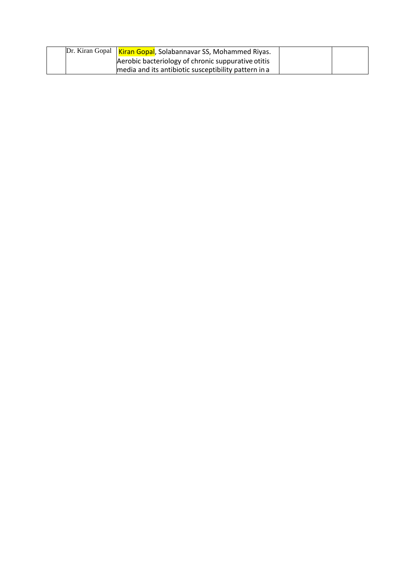| Dr. Kiran Gopal   Kiran Gopal, Solabannavar SS, Mohammed Riyas. |  |
|-----------------------------------------------------------------|--|
| Aerobic bacteriology of chronic suppurative otitis              |  |
| media and its antibiotic susceptibility pattern in a            |  |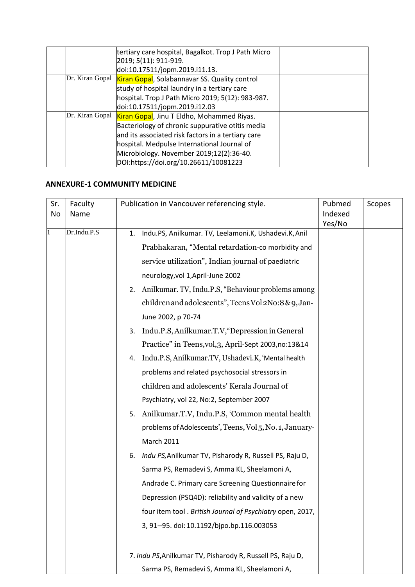| tertiary care hospital, Bagalkot. Trop J Path Micro<br>2019; 5(11): 911-919. |  |
|------------------------------------------------------------------------------|--|
| doi:10.17511/jopm.2019.i11.13.                                               |  |
| Dr. Kiran Gopal Kiran Gopal, Solabannavar SS. Quality control                |  |
| study of hospital laundry in a tertiary care                                 |  |
| hospital. Trop J Path Micro 2019; 5(12): 983-987.                            |  |
| doi:10.17511/jopm.2019.i12.03                                                |  |
| Dr. Kiran Gopal Kiran Gopal, Jinu T Eldho, Mohammed Riyas.                   |  |
| Bacteriology of chronic suppurative otitis media                             |  |
| and its associated risk factors in a tertiary care                           |  |
| hospital. Medpulse International Journal of                                  |  |
| Microbiology. November 2019;12(2):36-40.                                     |  |
| DOI:https://doi.org/10.26611/10081223                                        |  |

### **ANNEXURE-1 COMMUNITY MEDICINE**

| Sr. | Faculty     | Publication in Vancouver referencing style.                   | Pubmed  | Scopes |
|-----|-------------|---------------------------------------------------------------|---------|--------|
| No  | Name        |                                                               | Indexed |        |
|     | Dr.Indu.P.S | Indu.PS, Anilkumar. TV, Leelamoni.K, Ushadevi.K, Anil<br>1.   | Yes/No  |        |
|     |             |                                                               |         |        |
|     |             | Prabhakaran, "Mental retardation-co morbidity and             |         |        |
|     |             | service utilization", Indian journal of paediatric            |         |        |
|     |             | neurology, vol 1, April-June 2002                             |         |        |
|     |             | Anilkumar. TV, Indu.P.S, "Behaviour problems among<br>2.      |         |        |
|     |             | children and adolescents", Teens Vol 2No: 8 & 9, Jan-         |         |        |
|     |             | June 2002, p 70-74                                            |         |        |
|     |             | Indu.P.S, Anilkumar.T.V, "Depression in General<br>3.         |         |        |
|     |             | Practice" in Teens, vol, 3, April-Sept 2003, no: 13&14        |         |        |
|     |             | Indu.P.S, Anilkumar.TV, Ushadevi.K, 'Mental health<br>4.      |         |        |
|     |             | problems and related psychosocial stressors in                |         |        |
|     |             | children and adolescents' Kerala Journal of                   |         |        |
|     |             | Psychiatry, vol 22, No:2, September 2007                      |         |        |
|     |             | Anilkumar.T.V, Indu.P.S, 'Common mental health<br>5.          |         |        |
|     |             | problems of Adolescents', Teens, Vol 5, No. 1, January-       |         |        |
|     |             | <b>March 2011</b>                                             |         |        |
|     |             | Indu PS, Anilkumar TV, Pisharody R, Russell PS, Raju D,<br>6. |         |        |
|     |             | Sarma PS, Remadevi S, Amma KL, Sheelamoni A,                  |         |        |
|     |             | Andrade C. Primary care Screening Questionnaire for           |         |        |
|     |             | Depression (PSQ4D): reliability and validity of a new         |         |        |
|     |             | four item tool. British Journal of Psychiatry open, 2017,     |         |        |
|     |             | 3, 91-95. doi: 10.1192/bjpo.bp.116.003053                     |         |        |
|     |             |                                                               |         |        |
|     |             | 7. Indu PS, Anilkumar TV, Pisharody R, Russell PS, Raju D,    |         |        |
|     |             | Sarma PS, Remadevi S, Amma KL, Sheelamoni A,                  |         |        |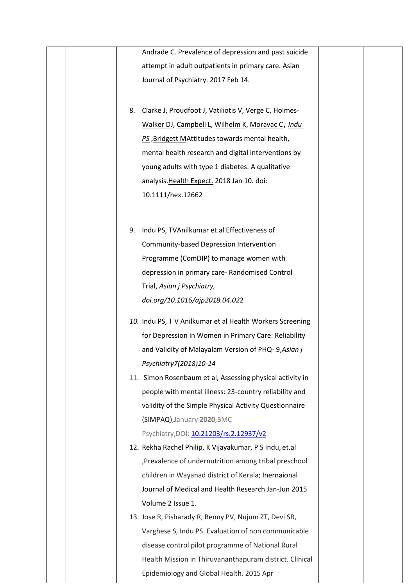| Andrade C. Prevalence of depression and past suicide      |
|-----------------------------------------------------------|
| attempt in adult outpatients in primary care. Asian       |
| Journal of Psychiatry. 2017 Feb 14.                       |
|                                                           |
| 8. Clarke J, Proudfoot J, Vatiliotis V, Verge C, Holmes-  |
| Walker DJ, Campbell L, Wilhelm K, Moravac C, Indu         |
| PS, Bridgett MAttitudes towards mental health,            |
| mental health research and digital interventions by       |
| young adults with type 1 diabetes: A qualitative          |
| analysis. Health Expect. 2018 Jan 10. doi:                |
| 10.1111/hex.12662                                         |
|                                                           |
| 9. Indu PS, TVAnilkumar et.al Effectiveness of            |
| Community-based Depression Intervention                   |
| Programme (ComDIP) to manage women with                   |
| depression in primary care-Randomised Control             |
| Trial, Asian j Psychiatry,                                |
| doi.org/10.1016/ajp2018.04.022                            |
| 10. Indu PS, TV Anilkumar et al Health Workers Screening  |
| for Depression in Women in Primary Care: Reliability      |
| and Validity of Malayalam Version of PHQ-9, Asian j       |
| Psychiatry7(2018)10-14                                    |
| 11. Simon Rosenbaum et al, Assessing physical activity in |
| people with mental illness: 23-country reliability and    |
| validity of the Simple Physical Activity Questionnaire    |
| (SIMPAQ), January 2020, BMC                               |
| Psychiatry, DOI: 10.21203/rs.2.12937/v2                   |
| 12. Rekha Rachel Philip, K Vijayakumar, P S Indu, et.al   |
| , Prevalence of undernutrition among tribal preschool     |
| children in Wayanad district of Kerala; Inernaional       |
| Journal of Medical and Health Research Jan-Jun 2015       |
| Volume 2 Issue 1.                                         |
| 13. Jose R, Pisharady R, Benny PV, Nujum ZT, Devi SR,     |
| Varghese S, Indu PS. Evaluation of non communicable       |
| disease control pilot programme of National Rural         |
| Health Mission in Thiruvananthapuram district. Clinical   |
| Epidemiology and Global Health. 2015 Apr                  |
|                                                           |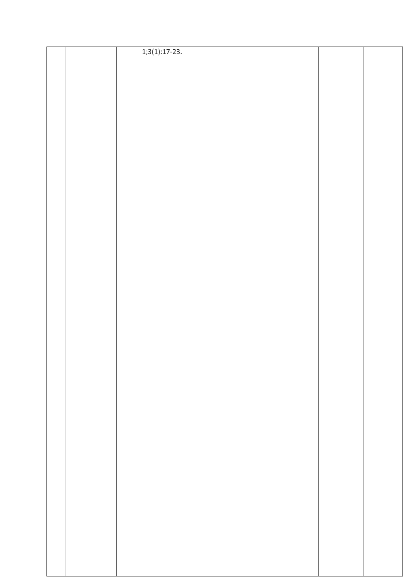|  | $1;3(1):17-23.$ |  |
|--|-----------------|--|
|  |                 |  |
|  |                 |  |
|  |                 |  |
|  |                 |  |
|  |                 |  |
|  |                 |  |
|  |                 |  |
|  |                 |  |
|  |                 |  |
|  |                 |  |
|  |                 |  |
|  |                 |  |
|  |                 |  |
|  |                 |  |
|  |                 |  |
|  |                 |  |
|  |                 |  |
|  |                 |  |
|  |                 |  |
|  |                 |  |
|  |                 |  |
|  |                 |  |
|  |                 |  |
|  |                 |  |
|  |                 |  |
|  |                 |  |
|  |                 |  |
|  |                 |  |
|  |                 |  |
|  |                 |  |
|  |                 |  |
|  |                 |  |
|  |                 |  |
|  |                 |  |
|  |                 |  |
|  |                 |  |
|  |                 |  |
|  |                 |  |
|  |                 |  |
|  |                 |  |
|  |                 |  |
|  |                 |  |
|  |                 |  |
|  |                 |  |
|  |                 |  |
|  |                 |  |
|  |                 |  |
|  |                 |  |
|  |                 |  |
|  |                 |  |
|  |                 |  |
|  |                 |  |
|  |                 |  |
|  |                 |  |
|  |                 |  |
|  |                 |  |
|  |                 |  |
|  |                 |  |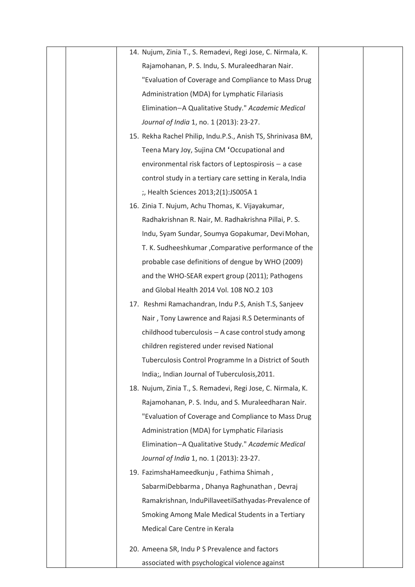| 14. Nujum, Zinia T., S. Remadevi, Regi Jose, C. Nirmala, K.  |
|--------------------------------------------------------------|
| Rajamohanan, P. S. Indu, S. Muraleedharan Nair.              |
| "Evaluation of Coverage and Compliance to Mass Drug          |
| Administration (MDA) for Lymphatic Filariasis                |
| Elimination-A Qualitative Study." Academic Medical           |
| Journal of India 1, no. 1 (2013): 23-27.                     |
| 15. Rekha Rachel Philip, Indu.P.S., Anish TS, Shrinivasa BM, |
| Teena Mary Joy, Sujina CM 'Occupational and                  |
| environmental risk factors of Leptospirosis - a case         |
| control study in a tertiary care setting in Kerala, India    |
| ;, Health Sciences 2013;2(1):JS005A 1                        |
| 16. Zinia T. Nujum, Achu Thomas, K. Vijayakumar,             |
| Radhakrishnan R. Nair, M. Radhakrishna Pillai, P. S.         |
| Indu, Syam Sundar, Soumya Gopakumar, Devi Mohan,             |
| T. K. Sudheeshkumar, Comparative performance of the          |
| probable case definitions of dengue by WHO (2009)            |
| and the WHO-SEAR expert group (2011); Pathogens              |
| and Global Health 2014 Vol. 108 NO.2 103                     |
| 17. Reshmi Ramachandran, Indu P.S, Anish T.S, Sanjeev        |
| Nair, Tony Lawrence and Rajasi R.S Determinants of           |
| childhood tuberculosis - A case control study among          |
| children registered under revised National                   |
| Tuberculosis Control Programme In a District of South        |
| India;, Indian Journal of Tuberculosis, 2011.                |
| 18. Nujum, Zinia T., S. Remadevi, Regi Jose, C. Nirmala, K.  |
| Rajamohanan, P. S. Indu, and S. Muraleedharan Nair.          |
| "Evaluation of Coverage and Compliance to Mass Drug          |
| Administration (MDA) for Lymphatic Filariasis                |
| Elimination-A Qualitative Study." Academic Medical           |
| Journal of India 1, no. 1 (2013): 23-27.                     |
| 19. FazimshaHameedkunju, Fathima Shimah,                     |
| SabarmiDebbarma, Dhanya Raghunathan, Devraj                  |
| Ramakrishnan, InduPillaveetilSathyadas-Prevalence of         |
| Smoking Among Male Medical Students in a Tertiary            |
| Medical Care Centre in Kerala                                |
| 20. Ameena SR, Indu P S Prevalence and factors               |
| associated with psychological violence against               |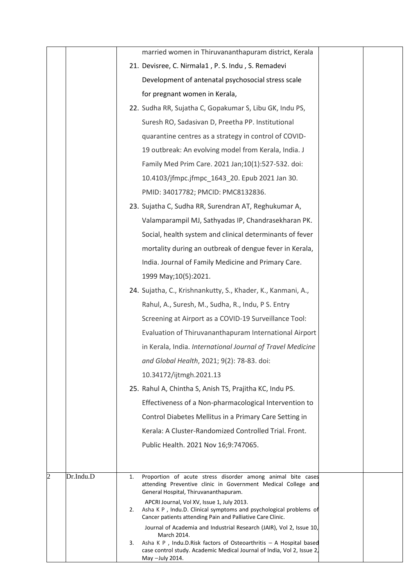|                |           | married women in Thiruvananthapuram district, Kerala                                                                                                            |
|----------------|-----------|-----------------------------------------------------------------------------------------------------------------------------------------------------------------|
|                |           | 21. Devisree, C. Nirmala1, P. S. Indu, S. Remadevi                                                                                                              |
|                |           | Development of antenatal psychosocial stress scale                                                                                                              |
|                |           | for pregnant women in Kerala,                                                                                                                                   |
|                |           | 22. Sudha RR, Sujatha C, Gopakumar S, Libu GK, Indu PS,                                                                                                         |
|                |           | Suresh RO, Sadasivan D, Preetha PP. Institutional                                                                                                               |
|                |           | quarantine centres as a strategy in control of COVID-                                                                                                           |
|                |           | 19 outbreak: An evolving model from Kerala, India. J                                                                                                            |
|                |           | Family Med Prim Care. 2021 Jan;10(1):527-532. doi:                                                                                                              |
|                |           | 10.4103/jfmpc.jfmpc_1643_20. Epub 2021 Jan 30.                                                                                                                  |
|                |           | PMID: 34017782; PMCID: PMC8132836.                                                                                                                              |
|                |           | 23. Sujatha C, Sudha RR, Surendran AT, Reghukumar A,                                                                                                            |
|                |           | Valamparampil MJ, Sathyadas IP, Chandrasekharan PK.                                                                                                             |
|                |           | Social, health system and clinical determinants of fever                                                                                                        |
|                |           | mortality during an outbreak of dengue fever in Kerala,                                                                                                         |
|                |           | India. Journal of Family Medicine and Primary Care.                                                                                                             |
|                |           | 1999 May; 10(5): 2021.                                                                                                                                          |
|                |           | 24. Sujatha, C., Krishnankutty, S., Khader, K., Kanmani, A.,                                                                                                    |
|                |           | Rahul, A., Suresh, M., Sudha, R., Indu, P S. Entry                                                                                                              |
|                |           | Screening at Airport as a COVID-19 Surveillance Tool:                                                                                                           |
|                |           | Evaluation of Thiruvananthapuram International Airport                                                                                                          |
|                |           | in Kerala, India. International Journal of Travel Medicine                                                                                                      |
|                |           | and Global Health, 2021; 9(2): 78-83. doi:                                                                                                                      |
|                |           | 10.34172/ijtmgh.2021.13                                                                                                                                         |
|                |           | 25. Rahul A, Chintha S, Anish TS, Prajitha KC, Indu PS.                                                                                                         |
|                |           | Effectiveness of a Non-pharmacological Intervention to                                                                                                          |
|                |           | Control Diabetes Mellitus in a Primary Care Setting in                                                                                                          |
|                |           | Kerala: A Cluster-Randomized Controlled Trial. Front.                                                                                                           |
|                |           | Public Health. 2021 Nov 16;9:747065.                                                                                                                            |
|                |           |                                                                                                                                                                 |
| $\overline{c}$ | Dr.Indu.D | Proportion of acute stress disorder among animal bite cases<br>1.<br>attending Preventive clinic in Government Medical College and                              |
|                |           | General Hospital, Thiruvananthapuram.<br>APCRI Journal, Vol XV, Issue 1, July 2013.                                                                             |
|                |           | Asha K P, Indu.D. Clinical symptoms and psychological problems of<br>2.<br>Cancer patients attending Pain and Palliative Care Clinic.                           |
|                |           | Journal of Academia and Industrial Research (JAIR), Vol 2, Issue 10,<br>March 2014.<br>Asha K P, Indu.D.Risk factors of Osteoarthritis - A Hospital based<br>3. |
|                |           | case control study. Academic Medical Journal of India, Vol 2, Issue 2,<br>May -July 2014.                                                                       |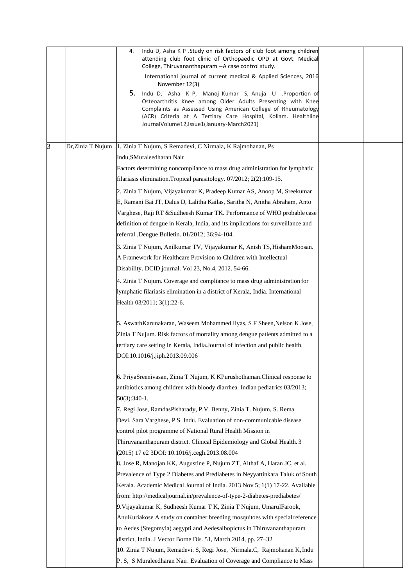|   |                   | Indu D, Asha K P . Study on risk factors of club foot among children<br>4.<br>attending club foot clinic of Orthopaedic OPD at Govt. Medical<br>College, Thiruvananthapuram - A case control study.<br>International journal of current medical & Applied Sciences, 2016<br>November 12(3)<br>5.<br>Indu D, Asha K P, Manoj Kumar S, Anuja U .Proportion of<br>Osteoarthritis Knee among Older Adults Presenting with Knee<br>Complaints as Assessed Using American College of Rheumatology<br>(ACR) Criteria at A Tertiary Care Hospital, Kollam. Healthline<br>JournalVolume12, Issue1(January-March2021) |  |
|---|-------------------|-------------------------------------------------------------------------------------------------------------------------------------------------------------------------------------------------------------------------------------------------------------------------------------------------------------------------------------------------------------------------------------------------------------------------------------------------------------------------------------------------------------------------------------------------------------------------------------------------------------|--|
| 3 | Dr, Zinia T Nujum | 1. Zinia T Nujum, S Remadevi, C Nirmala, K Rajmohanan, Ps                                                                                                                                                                                                                                                                                                                                                                                                                                                                                                                                                   |  |
|   |                   | Indu, SMuraleedharan Nair                                                                                                                                                                                                                                                                                                                                                                                                                                                                                                                                                                                   |  |
|   |                   | Factors determining noncompliance to mass drug administration for lymphatic                                                                                                                                                                                                                                                                                                                                                                                                                                                                                                                                 |  |
|   |                   | filariasis elimination. Tropical parasitology. 07/2012; 2(2):109-15.                                                                                                                                                                                                                                                                                                                                                                                                                                                                                                                                        |  |
|   |                   |                                                                                                                                                                                                                                                                                                                                                                                                                                                                                                                                                                                                             |  |
|   |                   | 2. Zinia T Nujum, Vijayakumar K, Pradeep Kumar AS, Anoop M, Sreekumar                                                                                                                                                                                                                                                                                                                                                                                                                                                                                                                                       |  |
|   |                   | E, Ramani Bai JT, Dalus D, Lalitha Kailas, Saritha N, Anitha Abraham, Anto                                                                                                                                                                                                                                                                                                                                                                                                                                                                                                                                  |  |
|   |                   | Varghese, Raji RT &Sudheesh Kumar TK. Performance of WHO probable case                                                                                                                                                                                                                                                                                                                                                                                                                                                                                                                                      |  |
|   |                   | definition of dengue in Kerala, India, and its implications for surveillance and                                                                                                                                                                                                                                                                                                                                                                                                                                                                                                                            |  |
|   |                   | referral .Dengue Bulletin. 01/2012; 36:94-104.                                                                                                                                                                                                                                                                                                                                                                                                                                                                                                                                                              |  |
|   |                   | 3. Zinia T Nujum, Anilkumar TV, Vijayakumar K, Anish TS, HishamMoosan.                                                                                                                                                                                                                                                                                                                                                                                                                                                                                                                                      |  |
|   |                   | A Framework for Healthcare Provision to Children with Intellectual                                                                                                                                                                                                                                                                                                                                                                                                                                                                                                                                          |  |
|   |                   | Disability. DCID journal. Vol 23, No.4, 2012. 54-66.                                                                                                                                                                                                                                                                                                                                                                                                                                                                                                                                                        |  |
|   |                   | 4. Zinia T Nujum. Coverage and compliance to mass drug administration for                                                                                                                                                                                                                                                                                                                                                                                                                                                                                                                                   |  |
|   |                   | lymphatic filariasis elimination in a district of Kerala, India. International                                                                                                                                                                                                                                                                                                                                                                                                                                                                                                                              |  |
|   |                   | Health 03/2011; 3(1):22-6.                                                                                                                                                                                                                                                                                                                                                                                                                                                                                                                                                                                  |  |
|   |                   | 5. AswathKarunakaran, Waseem Mohammed Ilyas, S F Sheen, Nelson K Jose,                                                                                                                                                                                                                                                                                                                                                                                                                                                                                                                                      |  |
|   |                   | Zinia T Nujum. Risk factors of mortality among dengue patients admitted to a                                                                                                                                                                                                                                                                                                                                                                                                                                                                                                                                |  |
|   |                   | tertiary care setting in Kerala, India.Journal of infection and public health.                                                                                                                                                                                                                                                                                                                                                                                                                                                                                                                              |  |
|   |                   | DOI:10.1016/j.jiph.2013.09.006                                                                                                                                                                                                                                                                                                                                                                                                                                                                                                                                                                              |  |
|   |                   |                                                                                                                                                                                                                                                                                                                                                                                                                                                                                                                                                                                                             |  |
|   |                   | 6. PriyaSreenivasan, Zinia T Nujum, K KPurushothaman.Clinical response to                                                                                                                                                                                                                                                                                                                                                                                                                                                                                                                                   |  |
|   |                   | antibiotics among children with bloody diarrhea. Indian pediatrics 03/2013;                                                                                                                                                                                                                                                                                                                                                                                                                                                                                                                                 |  |
|   |                   | $50(3):340-1.$                                                                                                                                                                                                                                                                                                                                                                                                                                                                                                                                                                                              |  |
|   |                   | 7. Regi Jose, RamdasPisharady, P.V. Benny, Zinia T. Nujum, S. Rema                                                                                                                                                                                                                                                                                                                                                                                                                                                                                                                                          |  |
|   |                   | Devi, Sara Varghese, P.S. Indu. Evaluation of non-communicable disease                                                                                                                                                                                                                                                                                                                                                                                                                                                                                                                                      |  |
|   |                   | control pilot programme of National Rural Health Mission in                                                                                                                                                                                                                                                                                                                                                                                                                                                                                                                                                 |  |
|   |                   | Thiruvananthapuram district. Clinical Epidemiology and Global Health. 3                                                                                                                                                                                                                                                                                                                                                                                                                                                                                                                                     |  |
|   |                   | (2015) 17 e2 3DOI: 10.1016/j.cegh.2013.08.004                                                                                                                                                                                                                                                                                                                                                                                                                                                                                                                                                               |  |
|   |                   | 8. Jose R, Manojan KK, Augustine P, Nujum ZT, Althaf A, Haran JC, et al.                                                                                                                                                                                                                                                                                                                                                                                                                                                                                                                                    |  |
|   |                   | Prevalence of Type 2 Diabetes and Prediabetes in Neyyattinkara Taluk of South                                                                                                                                                                                                                                                                                                                                                                                                                                                                                                                               |  |
|   |                   | Kerala. Academic Medical Journal of India. 2013 Nov 5; 1(1) 17-22. Available                                                                                                                                                                                                                                                                                                                                                                                                                                                                                                                                |  |
|   |                   | from: http://medicaljournal.in/prevalence-of-type-2-diabetes-prediabetes/                                                                                                                                                                                                                                                                                                                                                                                                                                                                                                                                   |  |
|   |                   | 9. Vijayakumar K, Sudheesh Kumar T K, Zinia T Nujum, UmarulFarook,                                                                                                                                                                                                                                                                                                                                                                                                                                                                                                                                          |  |
|   |                   | AnuKuriakose A study on container breeding mosquitoes with special reference                                                                                                                                                                                                                                                                                                                                                                                                                                                                                                                                |  |
|   |                   | to Aedes (Stegomyia) aegypti and Aedesalbopictus in Thiruvananthapuram                                                                                                                                                                                                                                                                                                                                                                                                                                                                                                                                      |  |
|   |                   | district, India. J Vector Borne Dis. 51, March 2014, pp. 27–32                                                                                                                                                                                                                                                                                                                                                                                                                                                                                                                                              |  |
|   |                   | 10. Zinia T Nujum, Remadevi. S, Regi Jose, Nirmala.C, Rajmohanan K, Indu                                                                                                                                                                                                                                                                                                                                                                                                                                                                                                                                    |  |
|   |                   | P. S. S Muraleedharan Nair. Evaluation of Coverage and Compliance to Mass                                                                                                                                                                                                                                                                                                                                                                                                                                                                                                                                   |  |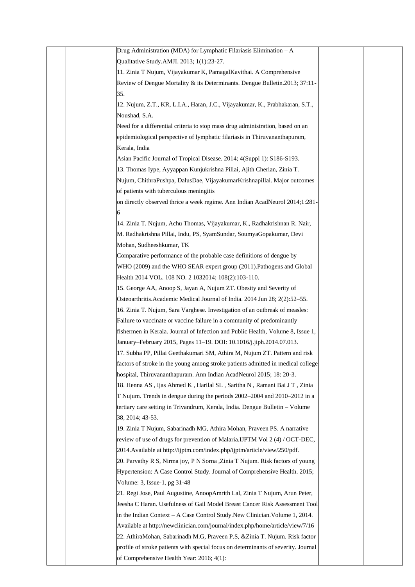| Drug Administration (MDA) for Lymphatic Filariasis Elimination $-A$                |  |
|------------------------------------------------------------------------------------|--|
| Qualitative Study.AMJI. 2013; 1(1):23-27.                                          |  |
| 11. Zinia T Nujum, Vijayakumar K, PamagalKavithai. A Comprehensive                 |  |
| Review of Dengue Mortality & its Determinants. Dengue Bulletin.2013; 37:11-        |  |
| 35.                                                                                |  |
| 12. Nujum, Z.T., KR, L.I.A., Haran, J.C., Vijayakumar, K., Prabhakaran, S.T.,      |  |
| Noushad, S.A.                                                                      |  |
| Need for a differential criteria to stop mass drug administration, based on an     |  |
| epidemiological perspective of lymphatic filariasis in Thiruvananthapuram,         |  |
| Kerala, India                                                                      |  |
| Asian Pacific Journal of Tropical Disease. 2014; 4(Suppl 1): S186-S193.            |  |
| 13. Thomas Iype, Ayyappan Kunjukrishna Pillai, Ajith Cherian, Zinia T.             |  |
| Nujum, ChithraPushpa, DalusDae, VijayakumarKrishnapillai. Major outcomes           |  |
| of patients with tuberculous meningitis                                            |  |
| on directly observed thrice a week regime. Ann Indian AcadNeurol 2014;1:281-       |  |
|                                                                                    |  |
| 14. Zinia T. Nujum, Achu Thomas, Vijayakumar, K., Radhakrishnan R. Nair,           |  |
| M. Radhakrishna Pillai, Indu, PS, SyamSundar, SoumyaGopakumar, Devi                |  |
| Mohan, Sudheeshkumar, TK                                                           |  |
| Comparative performance of the probable case definitions of dengue by              |  |
| WHO (2009) and the WHO SEAR expert group (2011). Pathogens and Global              |  |
| Health 2014 VOL. 108 NO. 2 1032014; 108(2):103-110.                                |  |
| 15. George AA, Anoop S, Jayan A, Nujum ZT. Obesity and Severity of                 |  |
| Osteoarthritis. Academic Medical Journal of India. 2014 Jun 28; 2(2):52-55.        |  |
| 16. Zinia T. Nujum, Sara Varghese. Investigation of an outbreak of measles:        |  |
| Failure to vaccinate or vaccine failure in a community of predominantly            |  |
| fishermen in Kerala. Journal of Infection and Public Health, Volume 8, Issue 1,    |  |
| January–February 2015, Pages 11–19. DOI: 10.1016/j.jiph.2014.07.013.               |  |
| 17. Subha PP, Pillai Geethakumari SM, Athira M, Nujum ZT. Pattern and risk         |  |
| factors of stroke in the young among stroke patients admitted in medical college   |  |
| hospital, Thiruvananthapuram. Ann Indian AcadNeurol 2015; 18: 20-3.                |  |
| 18. Henna AS, Ijas Ahmed K, Harilal SL, Saritha N, Ramani Bai JT, Zinia            |  |
| T Nujum. Trends in dengue during the periods 2002–2004 and 2010–2012 in a          |  |
| tertiary care setting in Trivandrum, Kerala, India. Dengue Bulletin – Volume       |  |
| 38, 2014; 43-53.                                                                   |  |
| 19. Zinia T Nujum, Sabarinadh MG, Athira Mohan, Praveen PS. A narrative            |  |
| review of use of drugs for prevention of Malaria.IJPTM Vol 2 (4) / OCT-DEC,        |  |
| 2014. Available at http://ijptm.com/index.php/ijptm/article/view/250/pdf.          |  |
| 20. Parvathy R S, Nirma joy, P N Sorna , Zinia T Nujum. Risk factors of young      |  |
| Hypertension: A Case Control Study. Journal of Comprehensive Health. 2015;         |  |
| Volume: 3, Issue-1, pg 31-48                                                       |  |
| 21. Regi Jose, Paul Augustine, AnoopAmrith Lal, Zinia T Nujum, Arun Peter,         |  |
| Jeesha C Haran. Usefulness of Gail Model Breast Cancer Risk Assessment Tool        |  |
| in the Indian Context – A Case Control Study. New Clinician. Volume 1, 2014.       |  |
| Available at http://newclinician.com/journal/index.php/home/article/view/7/16      |  |
| 22. AthiraMohan, Sabarinadh M.G, Praveen P.S, &Zinia T. Nujum. Risk factor         |  |
| profile of stroke patients with special focus on determinants of severity. Journal |  |
|                                                                                    |  |
| of Comprehensive Health Year: 2016; 4(1):                                          |  |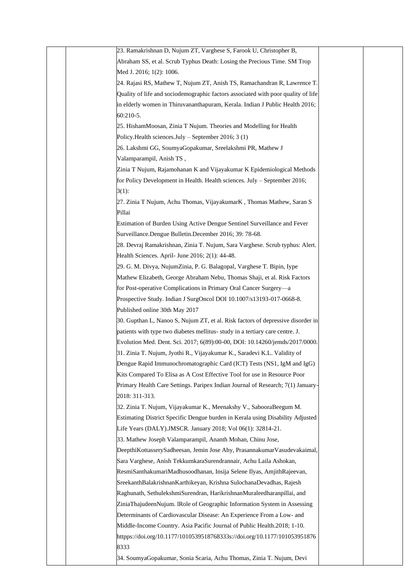| 23. Ramakrishnan D, Nujum ZT, Varghese S, Farook U, Christopher B,                |
|-----------------------------------------------------------------------------------|
| Abraham SS, et al. Scrub Typhus Death: Losing the Precious Time. SM Trop          |
| Med J. 2016; 1(2): 1006.                                                          |
| 24. Rajasi RS, Mathew T, Nujum ZT, Anish TS, Ramachandran R, Lawrence T.          |
| Quality of life and sociodemographic factors associated with poor quality of life |
| in elderly women in Thiruvananthapuram, Kerala. Indian J Public Health 2016;      |
| $60:210-5.$                                                                       |
| 25. HishamMoosan, Zinia T Nujum. Theories and Modelling for Health                |
| Policy. Health sciences. July - September 2016; 3 (1)                             |
| 26. Lakshmi GG, SoumyaGopakumar, Sreelakshmi PR, Mathew J                         |
|                                                                                   |
| Valamparampil, Anish TS,                                                          |
| Zinia T Nujum, Rajamohanan K and Vijayakumar K Epidemiological Methods            |
| for Policy Development in Health. Health sciences. July - September 2016;         |
| $3(1)$ :                                                                          |
| 27. Zinia T Nujum, Achu Thomas, VijayakumarK, Thomas Mathew, Saran S              |
| Pillai                                                                            |
| Estimation of Burden Using Active Dengue Sentinel Surveillance and Fever          |
| Surveillance.Dengue Bulletin.December 2016; 39: 78-68.                            |
| 28. Devraj Ramakrishnan, Zinia T. Nujum, Sara Varghese. Scrub typhus: Alert.      |
| Health Sciences. April- June 2016; 2(1): 44-48.                                   |
| 29. G. M. Divya, NujumZinia, P. G. Balagopal, Varghese T. Bipin, Iype             |
| Mathew Elizabeth, George Abraham Nebu, Thomas Shaji, et al. Risk Factors          |
| for Post-operative Complications in Primary Oral Cancer Surgery-a                 |
| Prospective Study. Indian J SurgOncol DOI 10.1007/s13193-017-0668-8.              |
| Published online 30th May 2017                                                    |
| 30. Gupthan L, Nanoo S, Nujum ZT, et al. Risk factors of depressive disorder in   |
| patients with type two diabetes mellitus- study in a tertiary care centre. J.     |
| Evolution Med. Dent. Sci. 2017; 6(89):00-00, DOI: 10.14260/jemds/2017/0000.       |
| 31. Zinia T. Nujum, Jyothi R., Vijayakumar K., Saradevi K.L. Validity of          |
| Dengue Rapid Immunochromatographic Card (ICT) Tests (NS1, IgM and IgG)            |
| Kits Compared To Elisa as A Cost Effective Tool for use in Resource Poor          |
| Primary Health Care Settings. Paripex Indian Journal of Research; 7(1) January-   |
| 2018: 311-313.                                                                    |
| 32. Zinia T. Nujum, Vijayakumar K., Meenakshy V., SabooraBeegum M.                |
| Estimating District Specific Dengue burden in Kerala using Disability Adjusted    |
| Life Years (DALY).JMSCR. January 2018; Vol 06(1): 32814-21.                       |
| 33. Mathew Joseph Valamparampil, Ananth Mohan, Chinu Jose,                        |
| DeepthiKottasserySadheesan, Jemin Jose Aby, PrasannakumarVasudevakaimal,          |
| Sara Varghese, Anish TekkumkaraSurendrannair, Achu Laila Ashokan,                 |
| ResmiSanthakumariMadhusoodhanan, Insija Selene Ilyas, AmjithRajeevan,             |
| SreekanthBalakrishnanKarthikeyan, Krishna SulochanaDevadhas, Rajesh               |
| Raghunath, SethulekshmiSurendran, HarikrishnanMuraleedharanpillai, and            |
| ZiniaThajudeenNujum. IRole of Geographic Information System in Assessing          |
| Determinants of Cardiovascular Disease: An Experience From a Low- and             |
| Middle-Income Country. Asia Pacific Journal of Public Health.2018; 1-10.          |
| httpps://doi.org/10.1177/1010539518768333s://doi.org/10.1177/101053951876         |
| 8333                                                                              |
| 34. SoumyaGopakumar, Sonia Scaria, Achu Thomas, Zinia T. Nujum, Devi              |
|                                                                                   |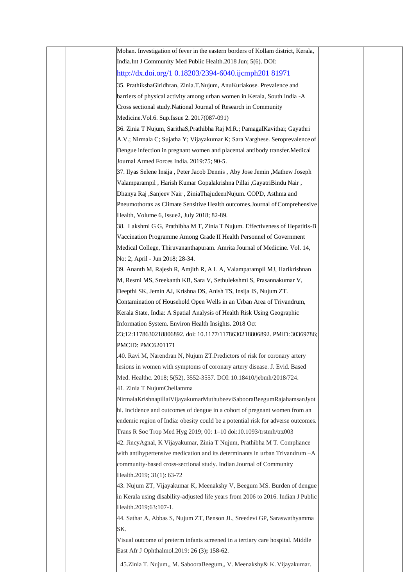|  | Mohan. Investigation of fever in the eastern borders of Kollam district, Kerala,  |  |
|--|-----------------------------------------------------------------------------------|--|
|  | India. Int J Community Med Public Health. 2018 Jun; 5(6). DOI:                    |  |
|  | http://dx.doi.org/1 0.18203/2394-6040.ijcmph201 81971                             |  |
|  | 35. PrathikshaGiridhran, Zinia.T.Nujum, AnuKuriakose. Prevalence and              |  |
|  | barriers of physical activity among urban women in Kerala, South India -A         |  |
|  | Cross sectional study. National Journal of Research in Community                  |  |
|  | Medicine. Vol.6. Sup. Issue 2. 2017(087-091)                                      |  |
|  | 36. Zinia T Nujum, SarithaS, Prathibha Raj M.R.; Pamagal Kavithai; Gayathri       |  |
|  | A.V.; Nirmala C; Sujatha Y; Vijayakumar K; Sara Varghese. Seroprevalence of       |  |
|  | Dengue infection in pregnant women and placental antibody transfer. Medical       |  |
|  | Journal Armed Forces India. 2019:75; 90-5.                                        |  |
|  | 37. Ilyas Selene Insija, Peter Jacob Dennis, Aby Jose Jemin, Mathew Joseph        |  |
|  | Valamparampil, Harish Kumar Gopalakrishna Pillai, GayatriBindu Nair,              |  |
|  | Dhanya Raj ,Sanjeev Nair, ZiniaThajudeenNujum. COPD, Asthma and                   |  |
|  | Pneumothorax as Climate Sensitive Health outcomes. Journal of Comprehensive       |  |
|  | Health, Volume 6, Issue2, July 2018; 82-89.                                       |  |
|  | 38. Lakshmi G G, Prathibha M T, Zinia T Nujum. Effectiveness of Hepatitis-B       |  |
|  | Vaccination Programme Among Grade II Health Personnel of Government               |  |
|  | Medical College, Thiruvananthapuram. Amrita Journal of Medicine. Vol. 14,         |  |
|  | No: 2; April - Jun 2018; 28-34.                                                   |  |
|  | 39. Ananth M, Rajesh R, Amjith R, A L A, Valamparampil MJ, Harikrishnan           |  |
|  | M, Resmi MS, Sreekanth KB, Sara V, Sethulekshmi S, Prasannakumar V,               |  |
|  | Deepthi SK, Jemin AJ, Krishna DS, Anish TS, Insija IS, Nujum ZT.                  |  |
|  | Contamination of Household Open Wells in an Urban Area of Trivandrum,             |  |
|  | Kerala State, India: A Spatial Analysis of Health Risk Using Geographic           |  |
|  | Information System. Environ Health Insights. 2018 Oct                             |  |
|  | 23;12:1178630218806892. doi: 10.1177/1178630218806892. PMID: 30369786;            |  |
|  | PMCID: PMC6201171                                                                 |  |
|  | 40. Ravi M, Narendran N, Nujum ZT.Predictors of risk for coronary artery          |  |
|  | lesions in women with symptoms of coronary artery disease. J. Evid. Based         |  |
|  | Med. Healthc. 2018; 5(52), 3552-3557. DOI: 10.18410/jebmh/2018/724.               |  |
|  | 41. Zinia T NujumChellamma                                                        |  |
|  | NirmalaKrishnapillaiVijayakumarMuthubeeviSabooraBeegumRajahamsanJyot              |  |
|  | hi. Incidence and outcomes of dengue in a cohort of pregnant women from an        |  |
|  | endemic region of India: obesity could be a potential risk for adverse outcomes.  |  |
|  | Trans R Soc Trop Med Hyg 2019; 00: 1-10 doi:10.1093/trstmh/trz003                 |  |
|  | 42. JincyAgnal, K Vijayakumar, Zinia T Nujum, Prathibha M T. Compliance           |  |
|  | with antihypertensive medication and its determinants in urban Trivandrum -A      |  |
|  | community-based cross-sectional study. Indian Journal of Community                |  |
|  | Health.2019; 31(1): 63-72                                                         |  |
|  | 43. Nujum ZT, Vijayakumar K, Meenakshy V, Beegum MS. Burden of dengue             |  |
|  | in Kerala using disability-adjusted life years from 2006 to 2016. Indian J Public |  |
|  | Health.2019;63:107-1.                                                             |  |
|  | 44. Sathar A, Abbas S, Nujum ZT, Benson JL, Sreedevi GP, Saraswathyamma           |  |
|  | SK.                                                                               |  |
|  | Visual outcome of preterm infants screened in a tertiary care hospital. Middle    |  |
|  | East Afr J Ophthalmol.2019: 26 (3); 158-62.                                       |  |
|  | 45.Zinia T. Nujum,, M. SabooraBeegum,, V. Meenakshy& K. Vijayakumar.              |  |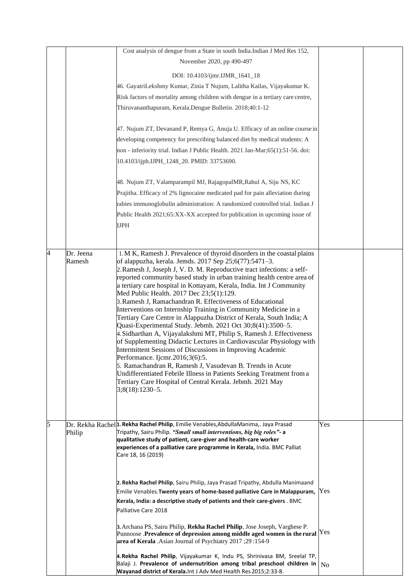|   |                     | Cost analysis of dengue from a State in south India.Indian J Med Res 152,                                                                                |                |  |
|---|---------------------|----------------------------------------------------------------------------------------------------------------------------------------------------------|----------------|--|
|   |                     | November 2020, pp 490-497                                                                                                                                |                |  |
|   |                     | DOI: 10.4103/ijmr.IJMR_1641_18                                                                                                                           |                |  |
|   |                     | 46. GayatriLekshmy Kumar, Zinia T Nujum, Lalitha Kailas, Vijayakumar K.                                                                                  |                |  |
|   |                     | Risk factors of mortality among children with dengue in a tertiary care centre,                                                                          |                |  |
|   |                     | Thiruvananthapuram, Kerala.Dengue Bulletin. 2018;40:1-12                                                                                                 |                |  |
|   |                     |                                                                                                                                                          |                |  |
|   |                     | 47. Nujum ZT, Devanand P, Remya G, Anuja U. Efficacy of an online course in                                                                              |                |  |
|   |                     | developing competency for prescribing balanced diet by medical students: A                                                                               |                |  |
|   |                     | non - inferiority trial. Indian J Public Health. 2021 Jan-Mar;65(1):51-56. doi:                                                                          |                |  |
|   |                     | 10.4103/ijph.IJPH_1248_20. PMID: 33753690.                                                                                                               |                |  |
|   |                     |                                                                                                                                                          |                |  |
|   |                     | 48. Nujum ZT, Valamparampil MJ, RajagopalMR, Rahul A, Siju NS, KC                                                                                        |                |  |
|   |                     | Prajitha. Efficacy of 2% lignocaine medicated pad for pain alleviation during                                                                            |                |  |
|   |                     | rabies immunoglobulin administration: A randomized controlled trial. Indian J                                                                            |                |  |
|   |                     | Public Health 2021;65:XX-XX accepted for publication in upcoming issue of                                                                                |                |  |
|   |                     | <b>IJPH</b>                                                                                                                                              |                |  |
|   |                     |                                                                                                                                                          |                |  |
|   |                     |                                                                                                                                                          |                |  |
|   | Dr. Jeena<br>Ramesh | 1. M K, Ramesh J. Prevalence of thyroid disorders in the coastal plains<br>of alappuzha, kerala. Jemds. 2017 Sep 25;6(77):5471-3.                        |                |  |
|   |                     | 2. Ramesh J, Joseph J, V. D. M. Reproductive tract infections: a self-                                                                                   |                |  |
|   |                     | reported community based study in urban training health centre area of                                                                                   |                |  |
|   |                     | a tertiary care hospital in Kottayam, Kerala, India. Int J Community                                                                                     |                |  |
|   |                     | Med Public Health. 2017 Dec 23;5(1):129.<br>3. Ramesh J, Ramachandran R. Effectiveness of Educational                                                    |                |  |
|   |                     | Interventions on Internship Training in Community Medicine in a                                                                                          |                |  |
|   |                     | Tertiary Care Centre in Alappuzha District of Kerala, South India; A                                                                                     |                |  |
|   |                     | Quasi-Experimental Study. Jebmh. 2021 Oct 30;8(41):3500-5.                                                                                               |                |  |
|   |                     | 4. Sidharthan A, Vijayalakshmi MT, Philip S, Ramesh J. Effectiveness<br>of Supplementing Didactic Lectures in Cardiovascular Physiology with             |                |  |
|   |                     | Intermittent Sessions of Discussions in Improving Academic                                                                                               |                |  |
|   |                     | Performance. Ijcmr.2016;3(6):5.                                                                                                                          |                |  |
|   |                     | 5. Ramachandran R, Ramesh J, Vasudevan B. Trends in Acute<br>Undifferentiated Febrile Illness in Patients Seeking Treatment from a                       |                |  |
|   |                     | Tertiary Care Hospital of Central Kerala. Jebmh. 2021 May                                                                                                |                |  |
|   |                     | $3;8(18):1230-5.$                                                                                                                                        |                |  |
|   |                     |                                                                                                                                                          |                |  |
|   |                     |                                                                                                                                                          |                |  |
| 5 |                     | Dr. Rekha Rachel <sup>1</sup> . Rekha Rachel Philip, Emilie Venables, Abdulla Manima,. Jaya Prasad                                                       | Yes            |  |
|   | Philip              | Tripathy, Sairu Philip. "Small small interventions, big big roles"- a                                                                                    |                |  |
|   |                     | qualitative study of patient, care-giver and health-care worker<br>experiences of a palliative care programme in Kerala, India. BMC Palliat              |                |  |
|   |                     | Care 18, 16 (2019)                                                                                                                                       |                |  |
|   |                     |                                                                                                                                                          |                |  |
|   |                     |                                                                                                                                                          |                |  |
|   |                     | 2. Rekha Rachel Philip, Sairu Philip, Jaya Prasad Tripathy, Abdulla Manimaand                                                                            | Yes            |  |
|   |                     | Emilie Venables. Twenty years of home-based palliative Care in Malappuram,<br>Kerala, India: a descriptive study of patients and their care-givers . BMC |                |  |
|   |                     | Palliative Care 2018                                                                                                                                     |                |  |
|   |                     |                                                                                                                                                          |                |  |
|   |                     | 3. Archana PS, Sairu Philip, Rekha Rachel Philip, Jose Joseph, Varghese P.                                                                               | Yes            |  |
|   |                     | Punnoose .Prevalence of depression among middle aged women in the rural<br>area of Kerala .Asian Journal of Psychiatry 2017;29:154-9                     |                |  |
|   |                     |                                                                                                                                                          |                |  |
|   |                     | 4.Rekha Rachel Philip, Vijayakumar K, Indu PS, Shrinivasa BM, Sreelal TP,<br>Balaji J. Prevalence of undernutrition among tribal preschool children in   |                |  |
|   |                     | Wayanad district of Kerala. Int J Adv Med Health Res 2015;2:33-8.                                                                                        | N <sub>0</sub> |  |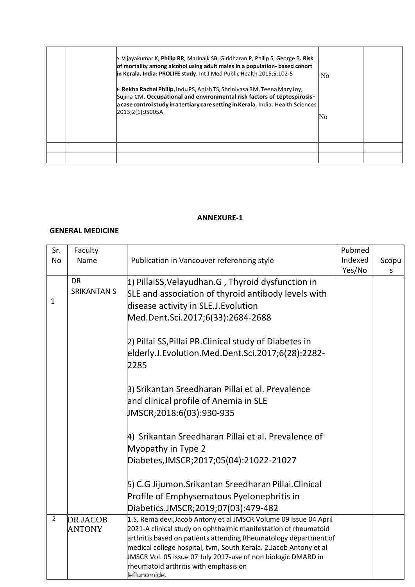|  | 5. Vijayakumar K, Philip RR, Marinaik SB, Giridharan P, Philip S, George B. Risk<br>of mortality among alcohol using adult males in a population- based cohort<br>in Kerala, India: PROLIFE study. Int J Med Public Health 2015;5:102-5                                | N <sub>0</sub> |  |
|--|------------------------------------------------------------------------------------------------------------------------------------------------------------------------------------------------------------------------------------------------------------------------|----------------|--|
|  | 6. <b>Rekha Rachel Philip</b> , Indu PS, Anish TS, Shrinivasa BM, Teena Mary Joy,<br>Sujina CM. Occupational and environmental risk factors of Leptospirosis-<br>a case control study in a tertiary care setting in Kerala, India. Health Sciences<br>2013;2(1):JS005A | No             |  |
|  |                                                                                                                                                                                                                                                                        |                |  |
|  |                                                                                                                                                                                                                                                                        |                |  |

### **GENERAL MEDICINE**

| Sr.          | Faculty                                            |                                                                   | Pubmed  |       |
|--------------|----------------------------------------------------|-------------------------------------------------------------------|---------|-------|
| <b>No</b>    | Name<br>Publication in Vancouver referencing style |                                                                   | Indexed | Scopu |
|              |                                                    |                                                                   |         | S     |
|              | <b>DR</b>                                          | 1) PillaiSS, Velayudhan. G, Thyroid dysfunction in                |         |       |
|              | <b>SRIKANTAN S</b>                                 | SLE and association of thyroid antibody levels with               |         |       |
| $\mathbf{1}$ |                                                    |                                                                   |         |       |
|              |                                                    | disease activity in SLE.J. Evolution                              |         |       |
|              |                                                    | Med.Dent.Sci.2017;6(33):2684-2688                                 |         |       |
|              |                                                    | 2) Pillai SS, Pillai PR. Clinical study of Diabetes in            |         |       |
|              |                                                    | elderly.J.Evolution.Med.Dent.Sci.2017;6(28):2282-                 |         |       |
|              |                                                    | 2285                                                              |         |       |
|              |                                                    |                                                                   |         |       |
|              |                                                    | 3) Srikantan Sreedharan Pillai et al. Prevalence                  |         |       |
|              | and clinical profile of Anemia in SLE              |                                                                   |         |       |
|              | JMSCR;2018:6(03):930-935                           |                                                                   |         |       |
|              |                                                    |                                                                   |         |       |
|              |                                                    | 4) Srikantan Sreedharan Pillai et al. Prevalence of               |         |       |
|              |                                                    | Myopathy in Type 2                                                |         |       |
|              |                                                    | Diabetes, JMSCR; 2017; 05 (04): 21022-21027                       |         |       |
|              |                                                    |                                                                   |         |       |
|              |                                                    | 5) C.G Jijumon.Srikantan Sreedharan Pillai.Clinical               |         |       |
|              |                                                    | Profile of Emphysematous Pyelonephritis in                        |         |       |
|              |                                                    | Diabetics.JMSCR;2019;07(03):479-482                               |         |       |
| $\sqrt{2}$   | <b>DR JACOB</b>                                    | 1.S. Rema devi, Jacob Antony et al JMSCR Volume 09 Issue 04 April |         |       |
|              | <b>ANTONY</b>                                      | 2021-A clinical study on ophthalmic manifestation of rheumatoid   |         |       |
|              |                                                    | arthritis based on patients attending Rheumatology department of  |         |       |
|              |                                                    | medical college hospital, tvm, South Kerala. 2.Jacob Antony et al |         |       |
|              |                                                    | JMSCR Vol. 05 issue 07 July 2017-use of non biologic DMARD in     |         |       |
|              |                                                    | rheumatoid arthritis with emphasis on                             |         |       |
|              |                                                    | leflunomide.                                                      |         |       |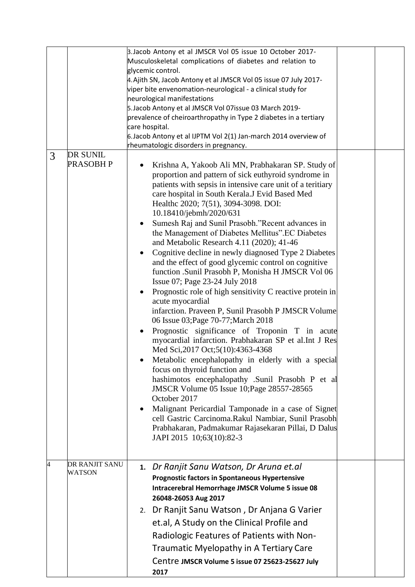|   |                  | 3. Jacob Antony et al JMSCR Vol 05 issue 10 October 2017-<br>Musculoskeletal complications of diabetes and relation to<br>glycemic control.<br>4. Ajith SN, Jacob Antony et al JMSCR Vol 05 issue 07 July 2017-<br>viper bite envenomation-neurological - a clinical study for<br>neurological manifestations<br>5. Jacob Antony et al JMSCR Vol 07issue 03 March 2019-<br>prevalence of cheiroarthropathy in Type 2 diabetes in a tertiary<br>care hospital.<br>6. Jacob Antony et al IJPTM Vol 2(1) Jan-march 2014 overview of<br>rheumatologic disorders in pregnancy.                                                                                                                                                                                                                                                                                                                                                                                                                                                                                                                                                                                                                                                                                                                                                                                                                                          |  |
|---|------------------|--------------------------------------------------------------------------------------------------------------------------------------------------------------------------------------------------------------------------------------------------------------------------------------------------------------------------------------------------------------------------------------------------------------------------------------------------------------------------------------------------------------------------------------------------------------------------------------------------------------------------------------------------------------------------------------------------------------------------------------------------------------------------------------------------------------------------------------------------------------------------------------------------------------------------------------------------------------------------------------------------------------------------------------------------------------------------------------------------------------------------------------------------------------------------------------------------------------------------------------------------------------------------------------------------------------------------------------------------------------------------------------------------------------------|--|
| 3 | <b>DR SUNIL</b>  |                                                                                                                                                                                                                                                                                                                                                                                                                                                                                                                                                                                                                                                                                                                                                                                                                                                                                                                                                                                                                                                                                                                                                                                                                                                                                                                                                                                                                    |  |
|   | <b>PRASOBH P</b> | Krishna A, Yakoob Ali MN, Prabhakaran SP. Study of<br>proportion and pattern of sick euthyroid syndrome in<br>patients with sepsis in intensive care unit of a teritiary<br>care hospital in South Kerala.J Evid Based Med<br>Healthc 2020; 7(51), 3094-3098. DOI:<br>10.18410/jebmh/2020/631<br>Sumesh Raj and Sunil Prasobh."Recent advances in<br>the Management of Diabetes Mellitus". EC Diabetes<br>and Metabolic Research 4.11 (2020); 41-46<br>Cognitive decline in newly diagnosed Type 2 Diabetes<br>$\bullet$<br>and the effect of good glycemic control on cognitive<br>function .Sunil Prasobh P, Monisha H JMSCR Vol 06<br>Issue 07; Page 23-24 July 2018<br>Prognostic role of high sensitivity C reactive protein in<br>acute myocardial<br>infarction. Praveen P, Sunil Prasobh P JMSCR Volume<br>06 Issue 03; Page 70-77; March 2018<br>Prognostic significance of Troponin T in acute<br>myocardial infarction. Prabhakaran SP et al.Int J Res<br>Med Sci, 2017 Oct; 5(10): 4363-4368<br>Metabolic encephalopathy in elderly with a special<br>focus on thyroid function and<br>hashimotos encephalopathy .Sunil Prasobh P et al<br>JMSCR Volume 05 Issue 10; Page 28557-28565<br>October 2017<br>Malignant Pericardial Tamponade in a case of Signet<br>cell Gastric Carcinoma.Rakul Nambiar, Sunil Prasobh<br>Prabhakaran, Padmakumar Rajasekaran Pillai, D Dalus<br>JAPI 2015 10;63(10):82-3 |  |
| 4 | DR RANJIT SANU   | 1. Dr Ranjit Sanu Watson, Dr Aruna et.al                                                                                                                                                                                                                                                                                                                                                                                                                                                                                                                                                                                                                                                                                                                                                                                                                                                                                                                                                                                                                                                                                                                                                                                                                                                                                                                                                                           |  |
|   | WATSON           | <b>Prognostic factors in Spontaneous Hypertensive</b><br>Intracerebral Hemorrhage JMSCR Volume 5 issue 08<br>26048-26053 Aug 2017                                                                                                                                                                                                                                                                                                                                                                                                                                                                                                                                                                                                                                                                                                                                                                                                                                                                                                                                                                                                                                                                                                                                                                                                                                                                                  |  |
|   |                  | 2. Dr Ranjit Sanu Watson, Dr Anjana G Varier                                                                                                                                                                                                                                                                                                                                                                                                                                                                                                                                                                                                                                                                                                                                                                                                                                                                                                                                                                                                                                                                                                                                                                                                                                                                                                                                                                       |  |
|   |                  | et.al, A Study on the Clinical Profile and                                                                                                                                                                                                                                                                                                                                                                                                                                                                                                                                                                                                                                                                                                                                                                                                                                                                                                                                                                                                                                                                                                                                                                                                                                                                                                                                                                         |  |
|   |                  | Radiologic Features of Patients with Non-                                                                                                                                                                                                                                                                                                                                                                                                                                                                                                                                                                                                                                                                                                                                                                                                                                                                                                                                                                                                                                                                                                                                                                                                                                                                                                                                                                          |  |
|   |                  | Traumatic Myelopathy in A Tertiary Care                                                                                                                                                                                                                                                                                                                                                                                                                                                                                                                                                                                                                                                                                                                                                                                                                                                                                                                                                                                                                                                                                                                                                                                                                                                                                                                                                                            |  |
|   |                  | Centre JMSCR Volume 5 issue 07 25623-25627 July<br>2017                                                                                                                                                                                                                                                                                                                                                                                                                                                                                                                                                                                                                                                                                                                                                                                                                                                                                                                                                                                                                                                                                                                                                                                                                                                                                                                                                            |  |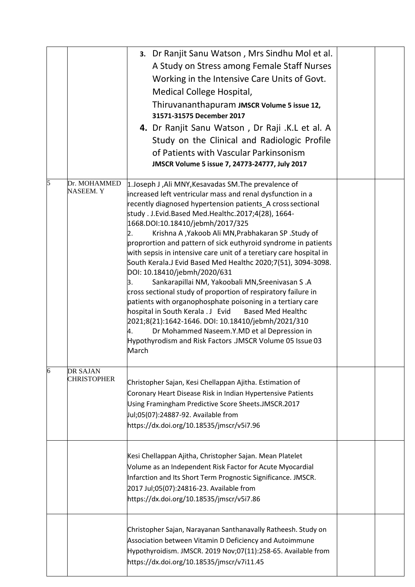|   |                                       | 3. Dr Ranjit Sanu Watson, Mrs Sindhu Mol et al.<br>A Study on Stress among Female Staff Nurses<br>Working in the Intensive Care Units of Govt.<br>Medical College Hospital,<br>Thiruvananthapuram JMSCR Volume 5 issue 12,<br>31571-31575 December 2017<br>4. Dr Ranjit Sanu Watson, Dr Raji .K.L et al. A<br>Study on the Clinical and Radiologic Profile<br>of Patients with Vascular Parkinsonism<br>JMSCR Volume 5 issue 7, 24773-24777, July 2017                                                                                                                                                                                                                                                                                                                                                                                                                                                                                                                                                                    |  |
|---|---------------------------------------|---------------------------------------------------------------------------------------------------------------------------------------------------------------------------------------------------------------------------------------------------------------------------------------------------------------------------------------------------------------------------------------------------------------------------------------------------------------------------------------------------------------------------------------------------------------------------------------------------------------------------------------------------------------------------------------------------------------------------------------------------------------------------------------------------------------------------------------------------------------------------------------------------------------------------------------------------------------------------------------------------------------------------|--|
| 5 | Dr. MOHAMMED<br><b>NASEEM.Y</b>       | 1. Joseph J, Ali MNY, Kesavadas SM. The prevalence of<br>increased left ventricular mass and renal dysfunction in a<br>recently diagnosed hypertension patients A cross sectional<br>study . J.Evid.Based Med.Healthc.2017;4(28), 1664-<br>1668.DOI:10.18410/jebmh/2017/325<br>Krishna A, Yakoob Ali MN, Prabhakaran SP . Study of<br>2.<br>proprortion and pattern of sick euthyroid syndrome in patients<br>with sepsis in intensive care unit of a teretiary care hospital in<br>South Kerala.J Evid Based Med Healthc 2020;7(51), 3094-3098.<br>DOI: 10.18410/jebmh/2020/631<br>Sankarapillai NM, Yakoobali MN, Sreenivasan S.A<br>З.<br>cross sectional study of proportion of respiratory failure in<br>patients with organophosphate poisoning in a tertiary care<br>hospital in South Kerala . J Evid<br><b>Based Med Healthc</b><br>2021;8(21):1642-1646. DOI: 10.18410/jebmh/2021/310<br>Dr Mohammed Naseem.Y.MD et al Depression in<br>4.<br>Hypothyrodism and Risk Factors .JMSCR Volume 05 Issue 03<br>March |  |
| 6 | <b>DR SAJAN</b><br><b>CHRISTOPHER</b> | Christopher Sajan, Kesi Chellappan Ajitha. Estimation of<br>Coronary Heart Disease Risk in Indian Hypertensive Patients<br>Using Framingham Predictive Score Sheets.JMSCR.2017<br>Jul;05(07):24887-92. Available from<br>https://dx.doi.org/10.18535/jmscr/v5i7.96                                                                                                                                                                                                                                                                                                                                                                                                                                                                                                                                                                                                                                                                                                                                                        |  |
|   |                                       | Kesi Chellappan Ajitha, Christopher Sajan. Mean Platelet<br>Volume as an Independent Risk Factor for Acute Myocardial<br>Infarction and Its Short Term Prognostic Significance. JMSCR.<br>2017 Jul;05(07):24816-23. Available from<br>https://dx.doi.org/10.18535/jmscr/v5i7.86                                                                                                                                                                                                                                                                                                                                                                                                                                                                                                                                                                                                                                                                                                                                           |  |
|   |                                       | Christopher Sajan, Narayanan Santhanavally Ratheesh. Study on<br>Association between Vitamin D Deficiency and Autoimmune<br>Hypothyroidism. JMSCR. 2019 Nov;07(11):258-65. Available from<br>https://dx.doi.org/10.18535/jmscr/v7i11.45                                                                                                                                                                                                                                                                                                                                                                                                                                                                                                                                                                                                                                                                                                                                                                                   |  |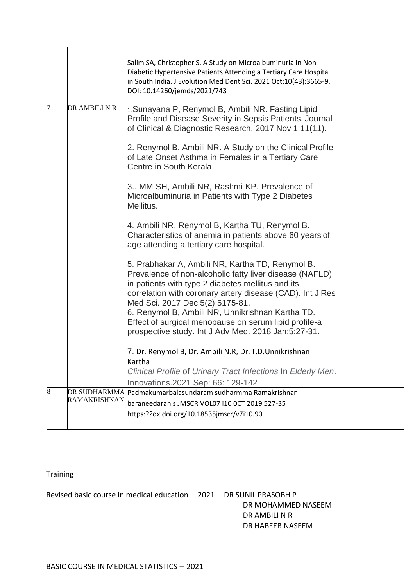|   |               | Salim SA, Christopher S. A Study on Microalbuminuria in Non-<br>Diabetic Hypertensive Patients Attending a Tertiary Care Hospital<br>in South India. J Evolution Med Dent Sci. 2021 Oct;10(43):3665-9.<br>DOI: 10.14260/jemds/2021/743                                                                                                                                                                                               |  |
|---|---------------|--------------------------------------------------------------------------------------------------------------------------------------------------------------------------------------------------------------------------------------------------------------------------------------------------------------------------------------------------------------------------------------------------------------------------------------|--|
| 7 | DR AMBILI N R | 1. Sunayana P, Renymol B, Ambili NR. Fasting Lipid<br>Profile and Disease Severity in Sepsis Patients. Journal<br>of Clinical & Diagnostic Research. 2017 Nov 1;11(11).                                                                                                                                                                                                                                                              |  |
|   |               | 2. Renymol B, Ambili NR. A Study on the Clinical Profile<br>of Late Onset Asthma in Females in a Tertiary Care<br>Centre in South Kerala                                                                                                                                                                                                                                                                                             |  |
|   |               | 3 MM SH, Ambili NR, Rashmi KP. Prevalence of<br>Microalbuminuria in Patients with Type 2 Diabetes<br>Mellitus.                                                                                                                                                                                                                                                                                                                       |  |
|   |               | 4. Ambili NR, Renymol B, Kartha TU, Renymol B.<br>Characteristics of anemia in patients above 60 years of<br>age attending a tertiary care hospital.                                                                                                                                                                                                                                                                                 |  |
|   |               | 5. Prabhakar A, Ambili NR, Kartha TD, Renymol B.<br>Prevalence of non-alcoholic fatty liver disease (NAFLD)<br>in patients with type 2 diabetes mellitus and its<br>correlation with coronary artery disease (CAD). Int J Res<br>Med Sci. 2017 Dec;5(2):5175-81.<br>6. Renymol B, Ambili NR, Unnikrishnan Kartha TD.<br>Effect of surgical menopause on serum lipid profile-a<br>prospective study. Int J Adv Med. 2018 Jan;5:27-31. |  |
|   |               | 7. Dr. Renymol B, Dr. Ambili N.R, Dr. T.D.Unnikrishnan<br>Kartha<br>Clinical Profile of Urinary Tract Infections In Elderly Men.<br>Innovations.2021 Sep: 66: 129-142                                                                                                                                                                                                                                                                |  |
| 8 | RAMAKRISHNAN  | DR SUDHARMMA Padmakumarbalasundaram sudharmma Ramakrishnan<br>baraneedaran s JMSCR VOL07 i10 OCT 2019 527-35<br>https:??dx.doi.org/10.18535jmscr/v7i10.90                                                                                                                                                                                                                                                                            |  |
|   |               |                                                                                                                                                                                                                                                                                                                                                                                                                                      |  |

Training

Revised basic course in medical education – 2021 – DR SUNIL PRASOBH P DR MOHAMMED NASEEM DR AMBILI N R DR HABEEB NASEEM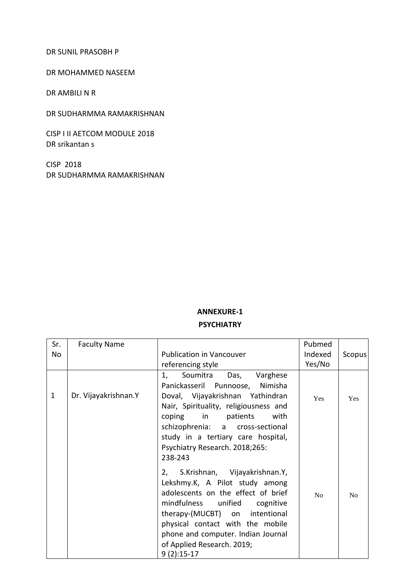#### DR SUNIL PRASOBH P

#### DR MOHAMMED NASEEM

DR AMBILI N R

DR SUDHARMMA RAMAKRISHNAN

CISP I II AETCOM MODULE 2018 DR srikantan s

CISP 2018 DR SUDHARMMA RAMAKRISHNAN

#### **ANNEXURE-1**

#### **PSYCHIATRY**

| Sr.          | <b>Faculty Name</b>  |                                                                                                                                                                                                                                                          | Pubmed     |        |
|--------------|----------------------|----------------------------------------------------------------------------------------------------------------------------------------------------------------------------------------------------------------------------------------------------------|------------|--------|
| No           |                      | <b>Publication in Vancouver</b>                                                                                                                                                                                                                          | Indexed    | Scopus |
|              |                      | referencing style                                                                                                                                                                                                                                        | Yes/No     |        |
| $\mathbf{1}$ | Dr. Vijayakrishnan.Y | Soumitra<br>Das,<br>Varghese<br>1,<br>Panickasseril Punnoose,<br>Nimisha<br>Doval, Vijayakrishnan Yathindran<br>Nair, Spirituality, religiousness and<br>with<br>coping in patients                                                                      | <b>Yes</b> | Yes    |
|              |                      | schizophrenia: a cross-sectional<br>study in a tertiary care hospital,<br>Psychiatry Research. 2018;265:<br>238-243                                                                                                                                      |            |        |
|              |                      | 2, S.Krishnan, Vijayakrishnan.Y,<br>Lekshmy.K, A Pilot study among<br>adolescents on the effect of brief<br>mindfulness unified<br>cognitive<br>therapy-(MUCBT) on intentional<br>physical contact with the mobile<br>phone and computer. Indian Journal | No         | No     |
|              |                      | of Applied Research. 2019;<br>$9(2):15-17$                                                                                                                                                                                                               |            |        |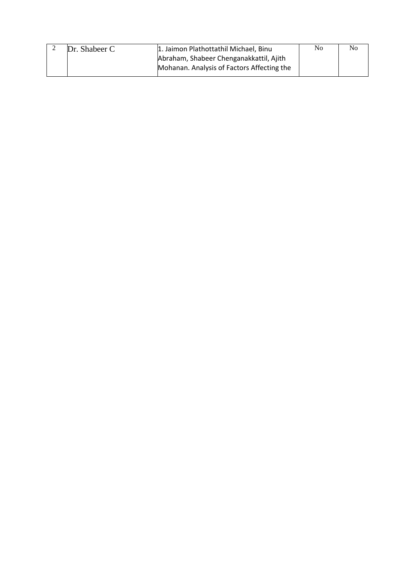| Dr. Shabeer C | 1. Jaimon Plathottathil Michael, Binu      | No | N <sub>0</sub> |
|---------------|--------------------------------------------|----|----------------|
|               | Abraham, Shabeer Chenganakkattil, Ajith    |    |                |
|               | Mohanan. Analysis of Factors Affecting the |    |                |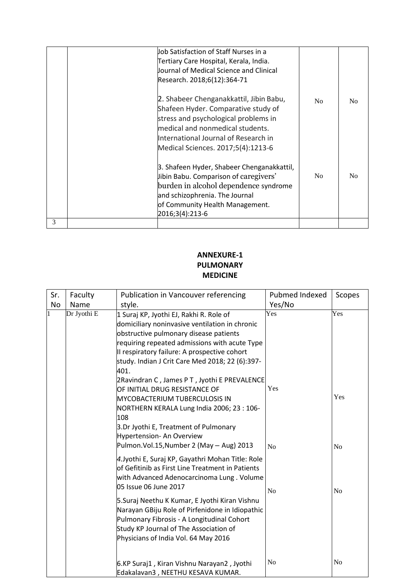|   | Job Satisfaction of Staff Nurses in a<br>Tertiary Care Hospital, Kerala, India.<br>Journal of Medical Science and Clinical<br>Research. 2018;6(12):364-71                                                                                |                |                |
|---|------------------------------------------------------------------------------------------------------------------------------------------------------------------------------------------------------------------------------------------|----------------|----------------|
|   | 2. Shabeer Chenganakkattil, Jibin Babu,<br>Shafeen Hyder. Comparative study of<br>stress and psychological problems in<br>medical and nonmedical students.<br>International Journal of Research in<br>Medical Sciences. 2017;5(4):1213-6 | No             | N <sub>o</sub> |
|   | 3. Shafeen Hyder, Shabeer Chenganakkattil,<br>Jibin Babu. Comparison of caregivers'<br>burden in alcohol dependence syndrome<br>and schizophrenia. The Journal<br>of Community Health Management.<br>2016;3(4):213-6                     | N <sub>0</sub> | N <sub>0</sub> |
| 3 |                                                                                                                                                                                                                                          |                |                |

### **ANNEXURE-1 PULMONARY MEDICINE**

| Sr.       | Faculty     | <b>Publication in Vancouver referencing</b>                                                                                                                                                                                                                                                                                                                                                                      | Pubmed Indexed        | Scopes                |
|-----------|-------------|------------------------------------------------------------------------------------------------------------------------------------------------------------------------------------------------------------------------------------------------------------------------------------------------------------------------------------------------------------------------------------------------------------------|-----------------------|-----------------------|
| <b>No</b> | Name        | style.                                                                                                                                                                                                                                                                                                                                                                                                           | Yes/No                |                       |
|           | Dr Jyothi E | 1 Suraj KP, Jyothi EJ, Rakhi R. Role of<br>domiciliary noninvasive ventilation in chronic<br>obstructive pulmonary disease patients<br>requiring repeated admissions with acute Type<br>Il respiratory failure: A prospective cohort<br>study. Indian J Crit Care Med 2018; 22 (6):397-<br>401.                                                                                                                  | Yes                   | Yes                   |
|           |             | 2Ravindran C, James PT, Jyothi E PREVALENCE<br>OF INITIAL DRUG RESISTANCE OF<br><b>MYCOBACTERIUM TUBERCULOSIS IN</b><br>NORTHERN KERALA Lung India 2006; 23:106-<br>108<br>3.Dr Jyothi E, Treatment of Pulmonary<br>Hypertension- An Overview<br>Pulmon.Vol.15, Number 2 (May - Aug) 2013                                                                                                                        | Yes<br>N <sub>o</sub> | Yes<br>N <sub>o</sub> |
|           |             | 4. Jyothi E, Suraj KP, Gayathri Mohan Title: Role<br>of Gefitinib as First Line Treatment in Patients<br>with Advanced Adenocarcinoma Lung. Volume<br>05 Issue 06 June 2017<br>5. Suraj Neethu K Kumar, E Jyothi Kiran Vishnu<br>Narayan GBiju Role of Pirfenidone in Idiopathic<br>Pulmonary Fibrosis - A Longitudinal Cohort<br>Study KP Journal of The Association of<br>Physicians of India Vol. 64 May 2016 | No                    | N <sub>o</sub>        |
|           |             | 6.KP Suraj1, Kiran Vishnu Narayan2, Jyothi<br>Edakalavan3, NEETHU KESAVA KUMAR.                                                                                                                                                                                                                                                                                                                                  | No                    | N <sub>o</sub>        |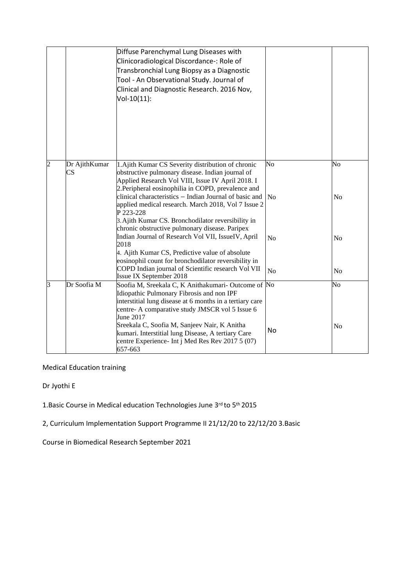|                |                     | Diffuse Parenchymal Lung Diseases with<br>Clinicoradiological Discordance-: Role of<br>Transbronchial Lung Biopsy as a Diagnostic<br>Tool - An Observational Study. Journal of<br>Clinical and Diagnostic Research. 2016 Nov,<br>Vol-10(11):                                                                                                                                                                                                                                                                                                                                                                                                                                           |                                  |                                              |
|----------------|---------------------|----------------------------------------------------------------------------------------------------------------------------------------------------------------------------------------------------------------------------------------------------------------------------------------------------------------------------------------------------------------------------------------------------------------------------------------------------------------------------------------------------------------------------------------------------------------------------------------------------------------------------------------------------------------------------------------|----------------------------------|----------------------------------------------|
| $\overline{c}$ | Dr AjithKumar<br>CS | 1. Ajith Kumar CS Severity distribution of chronic<br>obstructive pulmonary disease. Indian journal of<br>Applied Research Vol VIII, Issue IV April 2018. I<br>2. Peripheral eosinophilia in COPD, prevalence and<br>clinical characteristics - Indian Journal of basic and<br>applied medical research. March 2018, Vol 7 Issue 2<br>P 223-228<br>3. Ajith Kumar CS. Bronchodilator reversibility in<br>chronic obstructive pulmonary disease. Paripex<br>Indian Journal of Research Vol VII, IssueIV, April<br>2018<br>4. Ajith Kumar CS, Predictive value of absolute<br>eosinophil count for bronchodilator reversibility in<br>COPD Indian journal of Scientific research Vol VII | No<br>No<br>No<br>N <sub>o</sub> | No<br>N <sub>0</sub><br>N <sub>0</sub><br>No |
| $\overline{3}$ | Dr Soofia M         | Issue IX September 2018<br>Soofia M, Sreekala C, K Anithakumari- Outcome of No<br>Idiopathic Pulmonary Fibrosis and non IPF<br>interstitial lung disease at 6 months in a tertiary care<br>centre- A comparative study JMSCR vol 5 Issue 6<br>June 2017<br>Sreekala C, Soofia M, Sanjeev Nair, K Anitha<br>kumari. Interstitial lung Disease, A tertiary Care<br>centre Experience- Int j Med Res Rev 2017 5 (07)<br>657-663                                                                                                                                                                                                                                                           | No                               | No<br>No                                     |

Medical Education training

Dr Jyothi E

1.Basic Course in Medical education Technologies June 3rd to 5th 2015

2, Curriculum Implementation Support Programme II 21/12/20 to 22/12/20 3.Basic

Course in Biomedical Research September 2021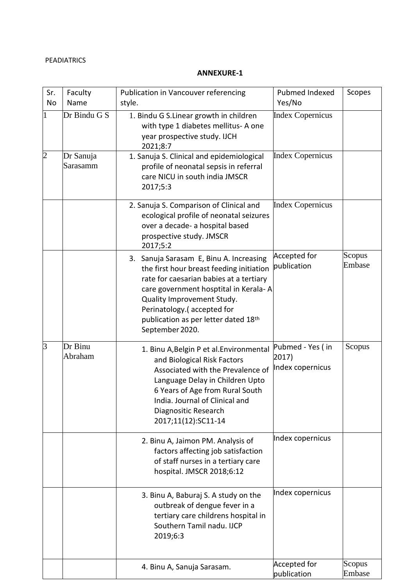### PEADIATRICS

#### **ANNEXURE-1**

| Sr.            | Faculty               | Publication in Vancouver referencing                                                                                                                                                                                                                                                           | Pubmed Indexed                                | Scopes           |
|----------------|-----------------------|------------------------------------------------------------------------------------------------------------------------------------------------------------------------------------------------------------------------------------------------------------------------------------------------|-----------------------------------------------|------------------|
| <b>No</b>      | Name                  | style.                                                                                                                                                                                                                                                                                         | Yes/No                                        |                  |
| $\mathbf{1}$   | Dr Bindu G S          | 1. Bindu G S.Linear growth in children<br>with type 1 diabetes mellitus- A one<br>year prospective study. IJCH<br>2021;8:7                                                                                                                                                                     | <b>Index Copernicus</b>                       |                  |
| $\overline{2}$ | Dr Sanuja<br>Sarasamm | 1. Sanuja S. Clinical and epidemiological<br>profile of neonatal sepsis in referral<br>care NICU in south india JMSCR<br>2017;5:3                                                                                                                                                              | <b>Index Copernicus</b>                       |                  |
|                |                       | 2. Sanuja S. Comparison of Clinical and<br>ecological profile of neonatal seizures<br>over a decade- a hospital based<br>prospective study. JMSCR<br>2017;5:2                                                                                                                                  | <b>Index Copernicus</b>                       |                  |
|                |                       | 3. Sanuja Sarasam E, Binu A. Increasing<br>the first hour breast feeding initiation<br>rate for caesarian babies at a tertiary<br>care government hosptital in Kerala-A<br>Quality Improvement Study.<br>Perinatology.(accepted for<br>publication as per letter dated 18th<br>September 2020. | <b>Accepted for</b><br>publication            | Scopus<br>Embase |
| $\overline{3}$ | Dr Binu<br>Abraham    | 1. Binu A, Belgin P et al. Environmental<br>and Biological Risk Factors<br>Associated with the Prevalence of<br>Language Delay in Children Upto<br>6 Years of Age from Rural South<br>India. Journal of Clinical and<br>Diagnositic Research<br>2017;11(12):SC11-14                            | Pubmed - Yes (in<br>2017)<br>Index copernicus | Scopus           |
|                |                       | 2. Binu A, Jaimon PM. Analysis of<br>factors affecting job satisfaction<br>of staff nurses in a tertiary care<br>hospital. JMSCR 2018;6:12                                                                                                                                                     | Index copernicus                              |                  |
|                |                       | 3. Binu A, Baburaj S. A study on the<br>outbreak of dengue fever in a<br>tertiary care childrens hospital in<br>Southern Tamil nadu. IJCP<br>2019;6:3                                                                                                                                          | Index copernicus                              |                  |
|                |                       | 4. Binu A, Sanuja Sarasam.                                                                                                                                                                                                                                                                     | Accepted for<br>publication                   | Scopus<br>Embase |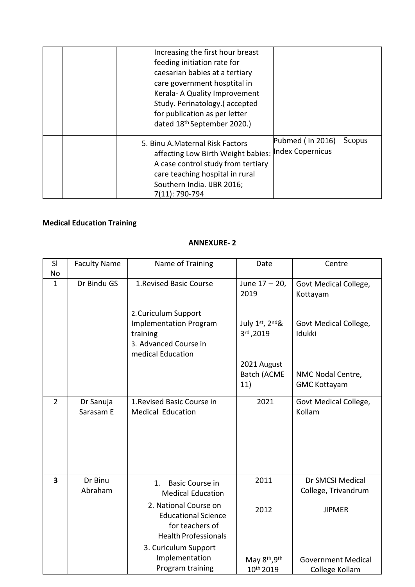| Increasing the first hour breast<br>feeding initiation rate for<br>caesarian babies at a tertiary<br>care government hosptital in<br>Kerala- A Quality Improvement<br>Study. Perinatology.(accepted<br>for publication as per letter<br>dated 18th September 2020.) |                                         |        |
|---------------------------------------------------------------------------------------------------------------------------------------------------------------------------------------------------------------------------------------------------------------------|-----------------------------------------|--------|
| 5. Binu A.Maternal Risk Factors<br>affecting Low Birth Weight babies:<br>A case control study from tertiary<br>care teaching hospital in rural<br>Southern India. IJBR 2016;<br>7(11): 790-794                                                                      | Pubmed (in $2016$ )<br>Index Copernicus | Scopus |

# **Medical Education Training**

### **ANNEXURE- 2**

| SI                      | <b>Faculty Name</b>    | Name of Training                                                                                                | Date                                     | Centre                                      |
|-------------------------|------------------------|-----------------------------------------------------------------------------------------------------------------|------------------------------------------|---------------------------------------------|
| No                      |                        |                                                                                                                 |                                          |                                             |
| $\mathbf{1}$            | Dr Bindu GS            | 1. Revised Basic Course                                                                                         | June $17 - 20$ ,<br>2019                 | Govt Medical College,<br>Kottayam           |
|                         |                        | 2. Curiculum Support<br><b>Implementation Program</b><br>training<br>3. Advanced Course in<br>medical Education | July 1st, 2nd&<br>3rd, 2019              | Govt Medical College,<br>Idukki             |
|                         |                        |                                                                                                                 | 2021 August<br><b>Batch (ACME</b><br>11) | NMC Nodal Centre,<br><b>GMC Kottayam</b>    |
| $\overline{2}$          | Dr Sanuja<br>Sarasam E | 1. Revised Basic Course in<br><b>Medical Education</b>                                                          | 2021                                     | Govt Medical College,<br>Kollam             |
| $\overline{\mathbf{3}}$ | Dr Binu<br>Abraham     | <b>Basic Course in</b><br>1.<br><b>Medical Education</b>                                                        | 2011                                     | Dr SMCSI Medical<br>College, Trivandrum     |
|                         |                        | 2. National Course on<br><b>Educational Science</b><br>for teachers of<br><b>Health Professionals</b>           | 2012                                     | <b>JIPMER</b>                               |
|                         |                        | 3. Curiculum Support<br>Implementation<br>Program training                                                      | May 8th, 9th<br>10th 2019                | <b>Government Medical</b><br>College Kollam |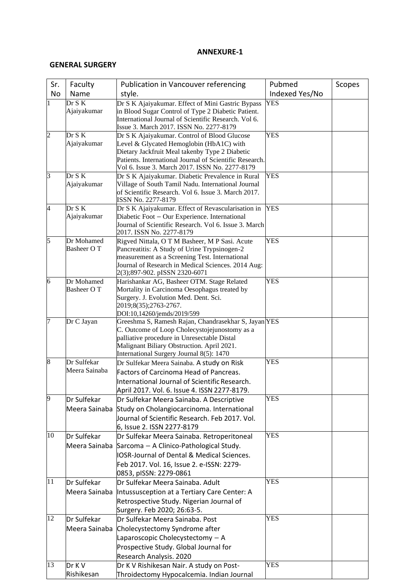#### **GENERAL SURGERY**

| Sr.            | Faculty       | Publication in Vancouver referencing                                                                      | Pubmed         | Scopes |
|----------------|---------------|-----------------------------------------------------------------------------------------------------------|----------------|--------|
| No             | Name          | style.                                                                                                    | Indexed Yes/No |        |
| 1              | Dr S K        | Dr S K Ajaiyakumar. Effect of Mini Gastric Bypass                                                         | YES            |        |
|                | Ajaiyakumar   | in Blood Sugar Control of Type 2 Diabetic Patient.                                                        |                |        |
|                |               | International Journal of Scientific Research. Vol 6.                                                      |                |        |
| $\overline{2}$ | Dr S K        | Issue 3. March 2017. ISSN No. 2277-8179                                                                   | <b>YES</b>     |        |
|                | Ajaiyakumar   | Dr S K Ajaiyakumar. Control of Blood Glucose<br>Level & Glycated Hemoglobin (HbA1C) with                  |                |        |
|                |               | Dietary Jackfruit Meal takenby Type 2 Diabetic                                                            |                |        |
|                |               | Patients. International Journal of Scientific Research.                                                   |                |        |
|                |               | Vol 6. Issue 3. March 2017. ISSN No. 2277-8179                                                            |                |        |
| $\overline{3}$ | Dr S K        | Dr S K Ajaiyakumar. Diabetic Prevalence in Rural                                                          | <b>YES</b>     |        |
|                | Ajaiyakumar   | Village of South Tamil Nadu. International Journal<br>of Scientific Research. Vol 6. Issue 3. March 2017. |                |        |
|                |               | ISSN No. 2277-8179                                                                                        |                |        |
| $\overline{4}$ | Dr S K        | Dr S K Ajaiyakumar. Effect of Revascularisation in                                                        | <b>YES</b>     |        |
|                | Ajaiyakumar   | Diabetic Foot - Our Experience. International                                                             |                |        |
|                |               | Journal of Scientific Research. Vol 6. Issue 3. March                                                     |                |        |
| $\overline{5}$ | Dr Mohamed    | 2017. ISSN No. 2277-8179<br>Rigved Nittala, O T M Basheer, M P Sasi. Acute                                | <b>YES</b>     |        |
|                | Basheer OT    | Pancreatitis: A Study of Urine Trypsinogen-2                                                              |                |        |
|                |               | measurement as a Screening Test. International                                                            |                |        |
|                |               | Journal of Research in Medical Sciences. 2014 Aug:                                                        |                |        |
|                |               | 2(3);897-902. pISSN 2320-6071                                                                             |                |        |
| 6              | Dr Mohamed    | Harishankar AG, Basheer OTM. Stage Related                                                                | <b>YES</b>     |        |
|                | Basheer OT    | Mortality in Carcinoma Oesophagus treated by<br>Surgery. J. Evolution Med. Dent. Sci.                     |                |        |
|                |               | 2019;8(35);2763-2767.                                                                                     |                |        |
|                |               | DOI:10,14260/jemds/2019/599                                                                               |                |        |
| 7              | Dr C Jayan    | Greeshma S, Ramesh Rajan, Chandrasekhar S, Jayan YES                                                      |                |        |
|                |               | C. Outcome of Loop Cholecystojejunostomy as a                                                             |                |        |
|                |               | palliative procedure in Unresectable Distal<br>Malignant Biliary Obstruction. April 2021.                 |                |        |
|                |               | International Surgery Journal 8(5): 1470                                                                  |                |        |
| 8              | Dr Sulfekar   | Dr Sulfekar Meera Sainaba. A study on Risk                                                                | <b>YES</b>     |        |
|                | Meera Sainaba | Factors of Carcinoma Head of Pancreas.                                                                    |                |        |
|                |               | International Journal of Scientific Research.                                                             |                |        |
|                |               | April 2017. Vol. 6. Issue 4. ISSN 2277-8179.                                                              |                |        |
| $\overline{9}$ | Dr Sulfekar   | Dr Sulfekar Meera Sainaba. A Descriptive                                                                  | <b>YES</b>     |        |
|                | Meera Sainaba | Study on Cholangiocarcinoma. International                                                                |                |        |
|                |               | Journal of Scientific Research. Feb 2017. Vol.                                                            |                |        |
|                |               | 6, Issue 2. ISSN 2277-8179                                                                                |                |        |
| 10             | Dr Sulfekar   | Dr Sulfekar Meera Sainaba. Retroperitoneal                                                                | <b>YES</b>     |        |
|                | Meera Sainaba | Sarcoma - A Clinico-Pathological Study.                                                                   |                |        |
|                |               | IOSR-Journal of Dental & Medical Sciences.                                                                |                |        |
|                |               | Feb 2017. Vol. 16, Issue 2. e-ISSN: 2279-                                                                 |                |        |
|                |               | 0853, pISSN: 2279-0861                                                                                    |                |        |
| 11             | Dr Sulfekar   | Dr Sulfekar Meera Sainaba. Adult                                                                          | <b>YES</b>     |        |
|                | Meera Sainaba | Intussusception at a Tertiary Care Center: A                                                              |                |        |
|                |               | Retrospective Study. Nigerian Journal of                                                                  |                |        |
| 12             | Dr Sulfekar   | Surgery. Feb 2020; 26:63-5.<br>Dr Sulfekar Meera Sainaba. Post                                            | <b>YES</b>     |        |
|                | Meera Sainaba |                                                                                                           |                |        |
|                |               | Cholecystectomy Syndrome after<br>Laparoscopic Cholecystectomy $-$ A                                      |                |        |
|                |               | Prospective Study. Global Journal for                                                                     |                |        |
|                |               | Research Analysis. 2020                                                                                   |                |        |
| 13             | Dr K V        | Dr K V Rishikesan Nair. A study on Post-                                                                  | <b>YES</b>     |        |
|                | Rishikesan    | Throidectomy Hypocalcemia. Indian Journal                                                                 |                |        |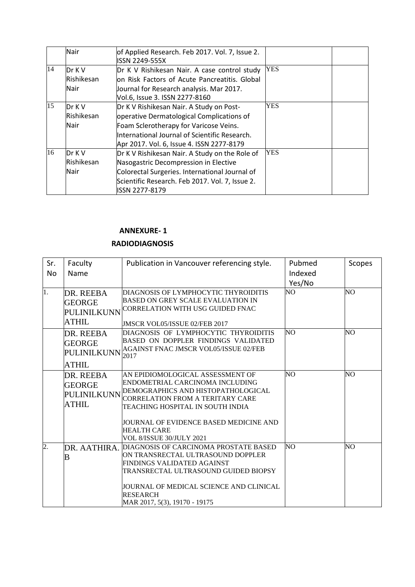|    | Nair                         | of Applied Research. Feb 2017. Vol. 7, Issue 2.<br><b>ISSN 2249-555X</b>                                                                                                                                                      |            |
|----|------------------------------|-------------------------------------------------------------------------------------------------------------------------------------------------------------------------------------------------------------------------------|------------|
| 14 | Dr K V<br>Rishikesan<br>Nair | Dr K V Rishikesan Nair. A case control study<br>lon Risk Factors of Acute Pancreatitis. Global<br>Journal for Research analysis. Mar 2017.<br>Vol.6, Issue 3. ISSN 2277-8160                                                  | <b>YES</b> |
| 15 | Dr K V<br>Rishikesan<br>Nair | Dr K V Rishikesan Nair. A Study on Post-<br>operative Dermatological Complications of<br>Foam Sclerotherapy for Varicose Veins.<br>International Journal of Scientific Research.<br>Apr 2017. Vol. 6, Issue 4. ISSN 2277-8179 | <b>YES</b> |
| 16 | Dr K V<br>Rishikesan<br>Nair | Dr K V Rishikesan Nair. A Study on the Role of<br>Nasogastric Decompression in Elective<br>Colorectal Surgeries. International Journal of<br>Scientific Research. Feb 2017. Vol. 7, Issue 2.<br><b>ISSN 2277-8179</b>         | <b>YES</b> |

#### **RADIODIAGNOSIS**

| Sr. | Faculty                                                   | Publication in Vancouver referencing style.                                                                                                                                                                                                       | Pubmed            | Scopes |
|-----|-----------------------------------------------------------|---------------------------------------------------------------------------------------------------------------------------------------------------------------------------------------------------------------------------------------------------|-------------------|--------|
| No  | Name                                                      |                                                                                                                                                                                                                                                   | Indexed<br>Yes/No |        |
| 1.  | DR. REEBA<br><b>GEORGE</b><br>PULINILKUNN<br><b>ATHIL</b> | DIAGNOSIS OF LYMPHOCYTIC THYROIDITIS<br><b>BASED ON GREY SCALE EVALUATION IN</b><br><b>CORRELATION WITH USG GUIDED FNAC</b><br>JMSCR VOL05/ISSUE 02/FEB 2017                                                                                      | NO.               | NO.    |
|     | DR. REEBA<br><b>GEORGE</b><br>PULINILKUNN<br><b>ATHIL</b> | DIAGNOSIS OF LYMPHOCYTIC THYROIDITIS<br>BASED ON DOPPLER FINDINGS VALIDATED<br>AGAINST FNAC JMSCR VOL05/ISSUE 02/FEB<br>2017                                                                                                                      | NO                | NO     |
|     | DR. REEBA<br><b>GEORGE</b><br>PULINILKUNN<br><b>ATHIL</b> | AN EPIDIOMOLOGICAL ASSESSMENT OF<br>ENDOMETRIAL CARCINOMA INCLUDING<br>DEMOGRAPHICS AND HISTOPATHOLOGICAL<br>CORRELATION FROM A TERITARY CARE<br>TEACHING HOSPITAL IN SOUTH INDIA<br>JOURNAL OF EVIDENCE BASED MEDICINE AND<br><b>HEALTH CARE</b> | NO                | NO.    |
|     |                                                           | VOL 8/ISSUE 30/JULY 2021                                                                                                                                                                                                                          |                   |        |
| 2.  | DR. AATHIRA.<br>B                                         | DIAGNOSIS OF CARCINOMA PROSTATE BASED<br>ON TRANSRECTAL ULTRASOUND DOPPLER<br>FINDINGS VALIDATED AGAINST<br>TRANSRECTAL ULTRASOUND GUIDED BIOPSY<br>JOURNAL OF MEDICAL SCIENCE AND CLINICAL<br><b>RESEARCH</b><br>MAR 2017, 5(3), 19170 - 19175   | NO                | NO.    |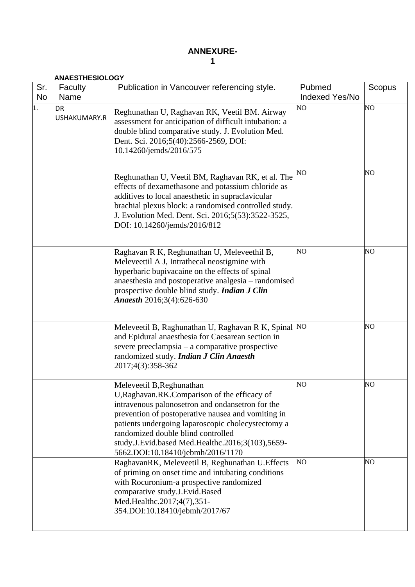## **ANNEXURE-1**

|                  | <b>ANAESTHESIOLOGY</b> |                                                                                                                                                                                                                                                                                                                                                                            |                                 |                |  |  |
|------------------|------------------------|----------------------------------------------------------------------------------------------------------------------------------------------------------------------------------------------------------------------------------------------------------------------------------------------------------------------------------------------------------------------------|---------------------------------|----------------|--|--|
| Sr.<br><b>No</b> | Faculty<br>Name        | Publication in Vancouver referencing style.                                                                                                                                                                                                                                                                                                                                | Pubmed<br><b>Indexed Yes/No</b> | Scopus         |  |  |
| 1.               | DR<br>USHAKUMARY.R     | Reghunathan U, Raghavan RK, Veetil BM. Airway<br>assessment for anticipation of difficult intubation: a<br>double blind comparative study. J. Evolution Med.<br>Dent. Sci. 2016;5(40):2566-2569, DOI:<br>10.14260/jemds/2016/575                                                                                                                                           | NO                              | N <sub>O</sub> |  |  |
|                  |                        | Reghunathan U, Veetil BM, Raghavan RK, et al. The<br>effects of dexamethasone and potassium chloride as<br>additives to local anaesthetic in supraclavicular<br>brachial plexus block: a randomised controlled study.<br>J. Evolution Med. Dent. Sci. 2016;5(53):3522-3525,<br>DOI: 10.14260/jemds/2016/812                                                                | NO                              | NO.            |  |  |
|                  |                        | Raghavan R K, Reghunathan U, Meleveethil B,<br>Meleveettil A J, Intrathecal neostigmine with<br>hyperbaric bupivacaine on the effects of spinal<br>anaesthesia and postoperative analgesia – randomised<br>prospective double blind study. Indian J Clin<br>Anaesth 2016;3(4):626-630                                                                                      | NO                              | NO.            |  |  |
|                  |                        | Meleveetil B, Raghunathan U, Raghavan R K, Spinal<br>and Epidural anaesthesia for Caesarean section in<br>severe preeclampsia – a comparative prospective<br>randomized study. Indian J Clin Anaesth<br>2017;4(3):358-362                                                                                                                                                  | N <sub>O</sub>                  | NO.            |  |  |
|                  |                        | Meleveetil B, Reghunathan<br>U, Raghavan. RK. Comparison of the efficacy of<br>intravenous palonosetron and ondansetron for the<br>prevention of postoperative nausea and vomiting in<br>patients undergoing laparoscopic cholecystectomy a<br>randomized double blind controlled<br>study.J.Evid.based Med.Healthc.2016;3(103),5659-<br>5662.DOI:10.18410/jebmh/2016/1170 | NO                              | NO             |  |  |
|                  |                        | RaghavanRK, Meleveetil B, Reghunathan U. Effects<br>of priming on onset time and intubating conditions<br>with Rocuronium-a prospective randomized<br>comparative study.J.Evid.Based<br>Med.Healthc.2017;4(7),351-<br>354.DOI:10.18410/jebmh/2017/67                                                                                                                       | NO <sub>1</sub>                 | NO.            |  |  |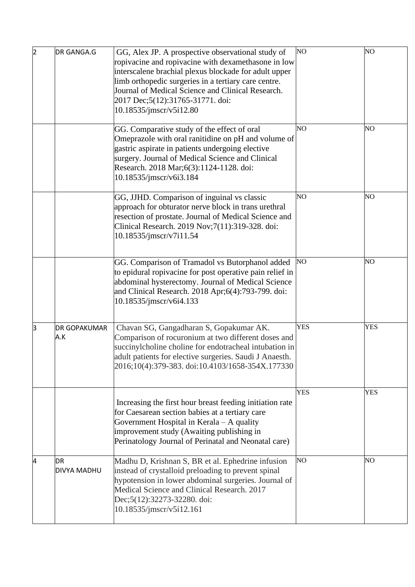| $\overline{2}$ | DR GANGA.G                 | GG, Alex JP. A prospective observational study of<br>ropivacine and ropivacine with dexamethasone in low<br>interscalene brachial plexus blockade for adult upper<br>limb orthopedic surgeries in a tertiary care centre.<br>Journal of Medical Science and Clinical Research.<br>2017 Dec;5(12):31765-31771. doi:<br>10.18535/jmscr/v5i12.80 | NO <sub></sub>  | N <sub>O</sub> |
|----------------|----------------------------|-----------------------------------------------------------------------------------------------------------------------------------------------------------------------------------------------------------------------------------------------------------------------------------------------------------------------------------------------|-----------------|----------------|
|                |                            | GG. Comparative study of the effect of oral<br>Omeprazole with oral ranitidine on pH and volume of<br>gastric aspirate in patients undergoing elective<br>surgery. Journal of Medical Science and Clinical<br>Research. 2018 Mar;6(3):1124-1128. doi:<br>10.18535/jmscr/v6i3.184                                                              | N <sub>O</sub>  | NO             |
|                |                            | GG, JJHD. Comparison of inguinal vs classic<br>approach for obturator nerve block in trans urethral<br>resection of prostate. Journal of Medical Science and<br>Clinical Research. 2019 Nov;7(11):319-328. doi:<br>10.18535/jmscr/v7i11.54                                                                                                    | NO <sub>1</sub> | NO             |
|                |                            | GG. Comparison of Tramadol vs Butorphanol added<br>to epidural ropivacine for post operative pain relief in<br>abdominal hysterectomy. Journal of Medical Science<br>and Clinical Research. 2018 Apr;6(4):793-799. doi:<br>10.18535/jmscr/v6i4.133                                                                                            | NO <sub></sub>  | NO             |
| з              | <b>DR GOPAKUMAR</b><br>A.K | Chavan SG, Gangadharan S, Gopakumar AK.<br>Comparison of rocuronium at two different doses and<br>succinylcholine choline for endotracheal intubation in<br>adult patients for elective surgeries. Saudi J Anaesth.<br>2016;10(4):379-383. doi:10.4103/1658-354X.177330                                                                       | <b>YES</b>      | <b>YES</b>     |
|                |                            | Increasing the first hour breast feeding initiation rate<br>for Caesarean section babies at a tertiary care<br>Government Hospital in Kerala – A quality<br>improvement study (Awaiting publishing in<br>Perinatology Journal of Perinatal and Neonatal care)                                                                                 | <b>YES</b>      | <b>YES</b>     |
| 4              | <b>DR</b><br>DIVYA MADHU   | Madhu D, Krishnan S, BR et al. Ephedrine infusion<br>instead of crystalloid preloading to prevent spinal<br>hypotension in lower abdominal surgeries. Journal of<br>Medical Science and Clinical Research. 2017<br>Dec;5(12):32273-32280. doi:<br>10.18535/jmscr/v5i12.161                                                                    | NO <sub>1</sub> | NO             |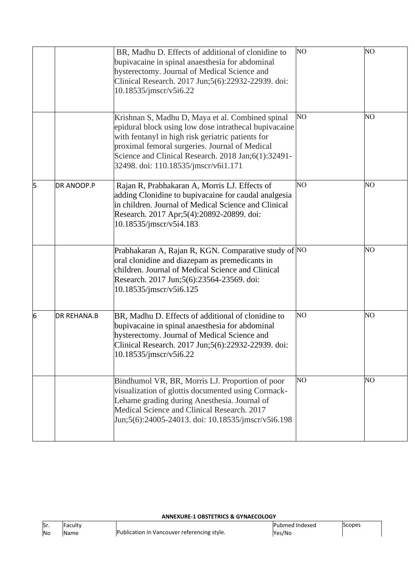|   |                    | BR, Madhu D. Effects of additional of clonidine to<br>bupivacaine in spinal anaesthesia for abdominal<br>hysterectomy. Journal of Medical Science and<br>Clinical Research. 2017 Jun;5(6):22932-22939. doi:<br>10.18535/jmscr/v5i6.22                                                                           | NO             | N <sub>O</sub> |
|---|--------------------|-----------------------------------------------------------------------------------------------------------------------------------------------------------------------------------------------------------------------------------------------------------------------------------------------------------------|----------------|----------------|
|   |                    | Krishnan S, Madhu D, Maya et al. Combined spinal<br>epidural block using low dose intrathecal bupivacaine<br>with fentanyl in high risk geriatric patients for<br>proximal femoral surgeries. Journal of Medical<br>Science and Clinical Research. 2018 Jan;6(1):32491-<br>32498. doi: 110.18535/jmscr/v6i1.171 | NO             | NO             |
| 5 | <b>DR ANOOP.P</b>  | Rajan R, Prabhakaran A, Morris LJ. Effects of<br>adding Clonidine to bupivacaine for caudal analgesia<br>in children. Journal of Medical Science and Clinical<br>Research. 2017 Apr;5(4):20892-20899. doi:<br>10.18535/jmscr/v5i4.183                                                                           | NO             | NO             |
|   |                    | Prabhakaran A, Rajan R, KGN. Comparative study of NO<br>oral clonidine and diazepam as premedicants in<br>children. Journal of Medical Science and Clinical<br>Research. 2017 Jun;5(6):23564-23569. doi:<br>10.18535/jmscr/v5i6.125                                                                             |                | NO             |
| 6 | <b>DR REHANA.B</b> | BR, Madhu D. Effects of additional of clonidine to<br>bupivacaine in spinal anaesthesia for abdominal<br>hysterectomy. Journal of Medical Science and<br>Clinical Research. 2017 Jun;5(6):22932-22939. doi:<br>10.18535/jmscr/v5i6.22                                                                           | NO <sub></sub> | NO             |
|   |                    | Bindhumol VR, BR, Morris LJ. Proportion of poor<br>visualization of glottis documented using Cormack-<br>Lehame grading during Anesthesia. Journal of<br>Medical Science and Clinical Research. 2017<br>Jun;5(6):24005-24013. doi: 10.18535/jmscr/v5i6.198                                                      | NO             | NO             |

## **ANNEXURE-1 OBSTETRICS & GYNAECOLOGY**

| lSr.      | saculty - |                                             | Pubmed Indexed | copes |  |
|-----------|-----------|---------------------------------------------|----------------|-------|--|
| <b>No</b> |           | Publication in Vancouver referencing style. | Yes/No         |       |  |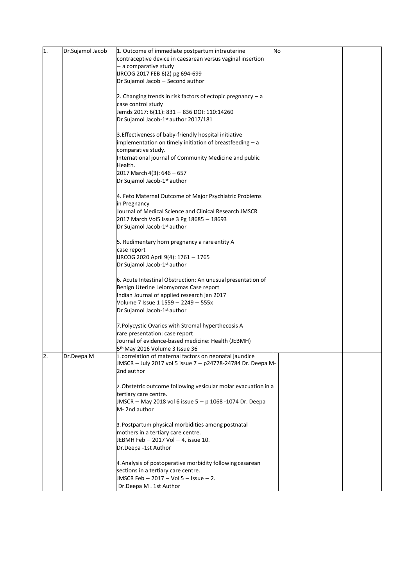| 1. | Dr.Sujamol Jacob | 1. Outcome of immediate postpartum intrauterine                | No |  |
|----|------------------|----------------------------------------------------------------|----|--|
|    |                  | contraceptive device in caesarean versus vaginal insertion     |    |  |
|    |                  | - a comparative study                                          |    |  |
|    |                  | IJRCOG 2017 FEB 6(2) pg 694-699                                |    |  |
|    |                  |                                                                |    |  |
|    |                  | Dr Sujamol Jacob - Second author                               |    |  |
|    |                  |                                                                |    |  |
|    |                  | 2. Changing trends in risk factors of ectopic pregnancy $-$ a  |    |  |
|    |                  | case control study                                             |    |  |
|    |                  | Jemds 2017: 6(11): 831 - 836 DOI: 110:14260                    |    |  |
|    |                  | Dr Sujamol Jacob-1st author 2017/181                           |    |  |
|    |                  |                                                                |    |  |
|    |                  | 3. Effectiveness of baby-friendly hospital initiative          |    |  |
|    |                  | implementation on timely initiation of breastfeeding - a       |    |  |
|    |                  | comparative study.                                             |    |  |
|    |                  |                                                                |    |  |
|    |                  | International journal of Community Medicine and public         |    |  |
|    |                  | Health.                                                        |    |  |
|    |                  | 2017 March 4(3): 646 - 657                                     |    |  |
|    |                  | Dr Sujamol Jacob-1st author                                    |    |  |
|    |                  |                                                                |    |  |
|    |                  | 4. Feto Maternal Outcome of Major Psychiatric Problems         |    |  |
|    |                  | in Pregnancy                                                   |    |  |
|    |                  | Journal of Medical Science and Clinical Research JMSCR         |    |  |
|    |                  | 2017 March Vol5 Issue 3 Pg 18685 - 18693                       |    |  |
|    |                  | Dr Sujamol Jacob-1st author                                    |    |  |
|    |                  |                                                                |    |  |
|    |                  |                                                                |    |  |
|    |                  | 5. Rudimentary horn pregnancy a rare entity A                  |    |  |
|    |                  | case report                                                    |    |  |
|    |                  | IJRCOG 2020 April 9(4): 1761 - 1765                            |    |  |
|    |                  | Dr Sujamol Jacob-1st author                                    |    |  |
|    |                  |                                                                |    |  |
|    |                  | 6. Acute Intestinal Obstruction: An unusual presentation of    |    |  |
|    |                  | Benign Uterine Leiomyomas Case report                          |    |  |
|    |                  | Indian Journal of applied research jan 2017                    |    |  |
|    |                  | Volume 7 Issue 1 1559 - 2249 - 555x                            |    |  |
|    |                  | Dr Sujamol Jacob-1st author                                    |    |  |
|    |                  |                                                                |    |  |
|    |                  |                                                                |    |  |
|    |                  | 7. Polycystic Ovaries with Stromal hyperthecosis A             |    |  |
|    |                  | rare presentation: case report                                 |    |  |
|    |                  | Journal of evidence-based medicine: Health (JEBMH)             |    |  |
|    |                  | 5 <sup>th</sup> May 2016 Volume 3 Issue 36                     |    |  |
| l2 | Dr.Deepa M       | 1. correlation of maternal factors on neonatal jaundice        |    |  |
|    |                  | JMSCR - July 2017 vol 5 issue 7 - p24778-24784 Dr. Deepa M-    |    |  |
|    |                  | 2nd author                                                     |    |  |
|    |                  |                                                                |    |  |
|    |                  | 2. Obstetric outcome following vesicular molar evacuation in a |    |  |
|    |                  | tertiary care centre.                                          |    |  |
|    |                  | JMSCR - May 2018 vol 6 issue 5 - p 1068 -1074 Dr. Deepa        |    |  |
|    |                  | M-2nd author                                                   |    |  |
|    |                  |                                                                |    |  |
|    |                  |                                                                |    |  |
|    |                  | 3. Postpartum physical morbidities among postnatal             |    |  |
|    |                  | mothers in a tertiary care centre.                             |    |  |
|    |                  | JEBMH Feb - 2017 Vol - 4, issue 10.                            |    |  |
|    |                  | Dr.Deepa -1st Author                                           |    |  |
|    |                  |                                                                |    |  |
|    |                  | 4. Analysis of postoperative morbidity following cesarean      |    |  |
|    |                  | sections in a tertiary care centre.                            |    |  |
|    |                  | JMSCR Feb $-2017 - Vol 5 - Isue - 2.$                          |    |  |
|    |                  |                                                                |    |  |
|    |                  | Dr.Deepa M . 1st Author                                        |    |  |